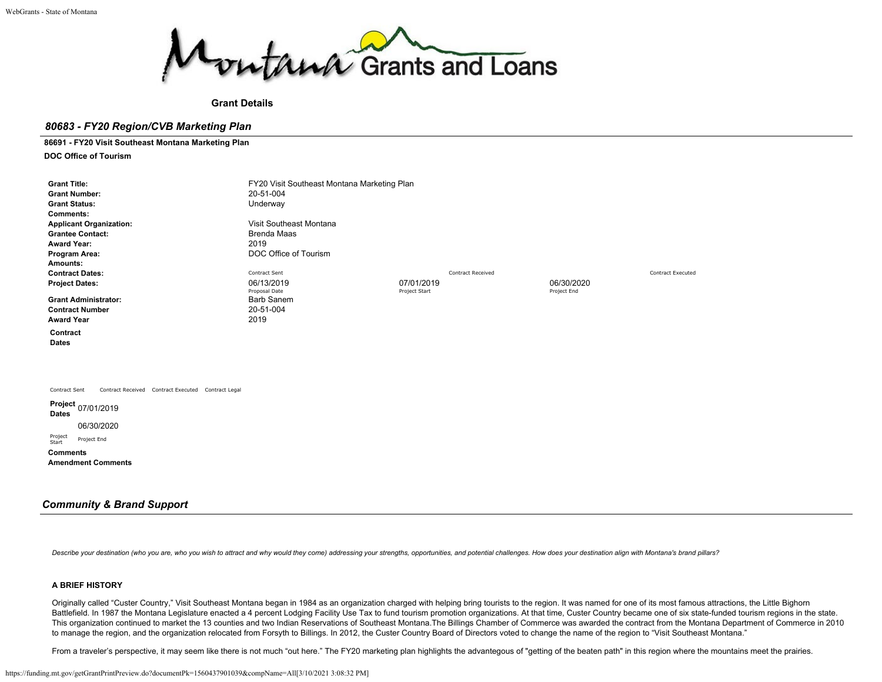

**Grant Details**

# *80683 - FY20 Region/CVB Marketing Plan*

## **86691 - FY20 Visit Southeast Montana Marketing Plan**

**DOC Office of Tourism**

| <b>Grant Title:</b><br><b>Grant Number:</b><br><b>Grant Status:</b><br><b>Comments:</b><br><b>Applicant Organization:</b><br><b>Grantee Contact:</b><br><b>Award Year:</b><br>Program Area: | FY20 Visit Southeast Montana Marketing Plan<br>20-51-004<br>Underway<br>Visit Southeast Montana<br><b>Brenda Maas</b><br>2019<br>DOC Office of Tourism |                             |                           |
|---------------------------------------------------------------------------------------------------------------------------------------------------------------------------------------------|--------------------------------------------------------------------------------------------------------------------------------------------------------|-----------------------------|---------------------------|
| Amounts:                                                                                                                                                                                    | Contract Sent                                                                                                                                          | <b>Contract Received</b>    | <b>Contract Executed</b>  |
| <b>Contract Dates:</b><br><b>Project Dates:</b>                                                                                                                                             | 06/13/2019<br>Proposal Date                                                                                                                            | 07/01/2019<br>Project Start | 06/30/2020<br>Project End |
| <b>Grant Administrator:</b>                                                                                                                                                                 | <b>Barb Sanem</b>                                                                                                                                      |                             |                           |
| <b>Contract Number</b>                                                                                                                                                                      | 20-51-004                                                                                                                                              |                             |                           |
| <b>Award Year</b>                                                                                                                                                                           | 2019                                                                                                                                                   |                             |                           |
| Contract<br><b>Dates</b>                                                                                                                                                                    |                                                                                                                                                        |                             |                           |
| Contract Sent<br>Contract Received Contract Executed Contract Legal                                                                                                                         |                                                                                                                                                        |                             |                           |
| Project 07/01/2019<br><b>Dates</b><br>06/30/2020<br>Project<br>Project End<br>Start<br><b>Comments</b><br><b>Amendment Comments</b>                                                         |                                                                                                                                                        |                             |                           |

# *Community & Brand Support*

Describe your destination (who you are, who you wish to attract and why would they come) addressing your strengths, opportunities, and potential challenges. How does your destination align with Montana's brand pillars?

# **A BRIEF HISTORY**

Originally called "Custer Country," Visit Southeast Montana began in 1984 as an organization charged with helping bring tourists to the region. It was named for one of its most famous attractions, the Little Bighorn Battlefield. In 1987 the Montana Legislature enacted a 4 percent Lodging Facility Use Tax to fund tourism promotion organizations. At that time, Custer Country became one of six state-funded tourism regions in the state. This organization continued to market the 13 counties and two Indian Reservations of Southeast Montana.The Billings Chamber of Commerce was awarded the contract from the Montana Department of Commerce in 2010 to manage the region, and the organization relocated from Forsyth to Billings. In 2012, the Custer Country Board of Directors voted to change the name of the region to "Visit Southeast Montana."

From a traveler's perspective, it may seem like there is not much "out here." The FY20 marketing plan highlights the advantegous of "getting of the beaten path" in this region where the mountains meet the prairies.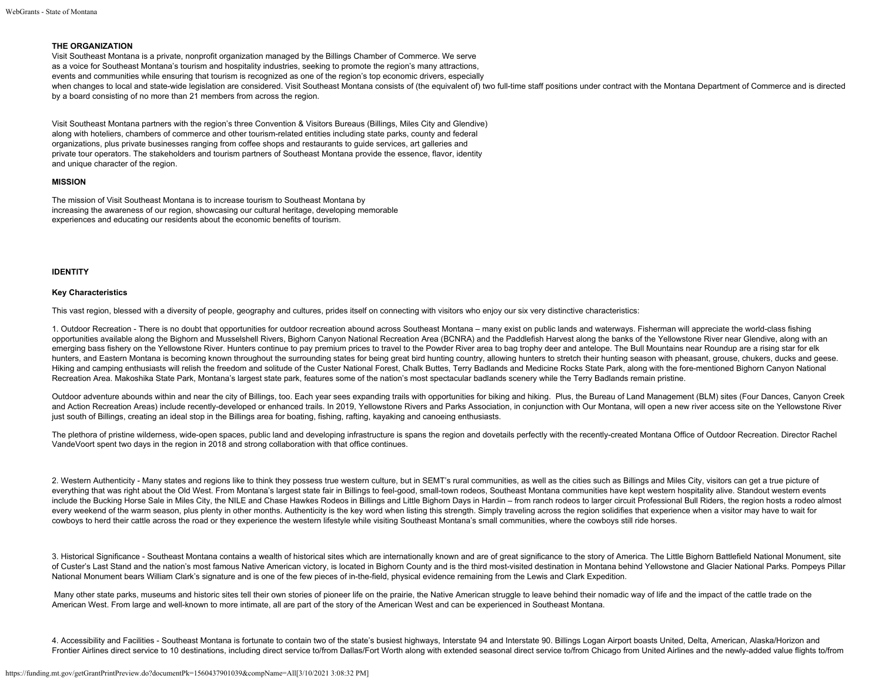## **THE ORGANIZATION**

Visit Southeast Montana is a private, nonprofit organization managed by the Billings Chamber of Commerce. We serve as a voice for Southeast Montana's tourism and hospitality industries, seeking to promote the region's many attractions, events and communities while ensuring that tourism is recognized as one of the region's top economic drivers, especially when changes to local and state-wide legislation are considered. Visit Southeast Montana consists of (the equivalent of) two full-time staff positions under contract with the Montana Department of Commerce and is directed by a board consisting of no more than 21 members from across the region.

Visit Southeast Montana partners with the region's three Convention & Visitors Bureaus (Billings, Miles City and Glendive) along with hoteliers, chambers of commerce and other tourism-related entities including state parks, county and federal organizations, plus private businesses ranging from coffee shops and restaurants to guide services, art galleries and private tour operators. The stakeholders and tourism partners of Southeast Montana provide the essence, flavor, identity and unique character of the region.

## **MISSION**

The mission of Visit Southeast Montana is to increase tourism to Southeast Montana by increasing the awareness of our region, showcasing our cultural heritage, developing memorable experiences and educating our residents about the economic benefits of tourism.

## **IDENTITY**

## **Key Characteristics**

This vast region, blessed with a diversity of people, geography and cultures, prides itself on connecting with visitors who enjoy our six very distinctive characteristics:

1. Outdoor Recreation - There is no doubt that opportunities for outdoor recreation abound across Southeast Montana – many exist on public lands and waterways. Fisherman will appreciate the world-class fishing opportunities available along the Bighorn and Musselshell Rivers, Bighorn Canyon National Recreation Area (BCNRA) and the Paddlefish Harvest along the banks of the Yellowstone River near Glendive, along with an emerging bass fishery on the Yellowstone River. Hunters continue to pay premium prices to travel to the Powder River area to bag trophy deer and antelope. The Bull Mountains near Roundup are a rising star for elk hunters, and Eastern Montana is becoming known throughout the surrounding states for being great bird hunting country, allowing hunters to stretch their hunting season with pheasant, grouse, chukers, ducks and geese. Hiking and camping enthusiasts will relish the freedom and solitude of the Custer National Forest, Chalk Buttes, Terry Badlands and Medicine Rocks State Park, along with the fore-mentioned Bighorn Canyon National Recreation Area. Makoshika State Park, Montana's largest state park, features some of the nation's most spectacular badlands scenery while the Terry Badlands remain pristine.

Outdoor adventure abounds within and near the city of Billings, too. Each year sees expanding trails with opportunities for biking and hiking. Plus, the Bureau of Land Management (BLM) sites (Four Dances, Canyon Creek and Action Recreation Areas) include recently-developed or enhanced trails. In 2019, Yellowstone Rivers and Parks Association, in conjunction with Our Montana, will open a new river access site on the Yellowstone River just south of Billings, creating an ideal stop in the Billings area for boating, fishing, rafting, kayaking and canoeing enthusiasts.

The plethora of pristine wilderness, wide-open spaces, public land and developing infrastructure is spans the region and dovetails perfectly with the recently-created Montana Office of Outdoor Recreation. Director Rachel VandeVoort spent two days in the region in 2018 and strong collaboration with that office continues.

2. Western Authenticity - Many states and regions like to think they possess true western culture, but in SEMT's rural communities, as well as the cities such as Billings and Miles City, visitors can get a true picture of everything that was right about the Old West. From Montana's largest state fair in Billings to feel-good, small-town rodeos, Southeast Montana communities have kept western hospitality alive. Standout western events include the Bucking Horse Sale in Miles City, the NILE and Chase Hawkes Rodeos in Billings and Little Bighorn Days in Hardin – from ranch rodeos to larger circuit Professional Bull Riders, the region hosts a rodeo almost every weekend of the warm season, plus plenty in other months. Authenticity is the key word when listing this strength. Simply traveling across the region solidifies that experience when a visitor may have to wait for cowboys to herd their cattle across the road or they experience the western lifestyle while visiting Southeast Montana's small communities, where the cowboys still ride horses.

3. Historical Significance - Southeast Montana contains a wealth of historical sites which are internationally known and are of great significance to the story of America. The Little Bighorn Battlefield National Monument, of Custer's Last Stand and the nation's most famous Native American victory, is located in Bighorn County and is the third most-visited destination in Montana behind Yellowstone and Glacier National Parks. Pompeys Pillar National Monument bears William Clark's signature and is one of the few pieces of in-the-field, physical evidence remaining from the Lewis and Clark Expedition.

Many other state parks, museums and historic sites tell their own stories of pioneer life on the prairie, the Native American struggle to leave behind their nomadic way of life and the impact of the cattle trade on the American West. From large and well-known to more intimate, all are part of the story of the American West and can be experienced in Southeast Montana.

4. Accessibility and Facilities - Southeast Montana is fortunate to contain two of the state's busiest highways, Interstate 94 and Interstate 90. Billings Logan Airport boasts United, Delta, American, Alaska/Horizon and Frontier Airlines direct service to 10 destinations, including direct service to/from Dallas/Fort Worth along with extended seasonal direct service to/from Chicago from United Airlines and the newly-added value flights to/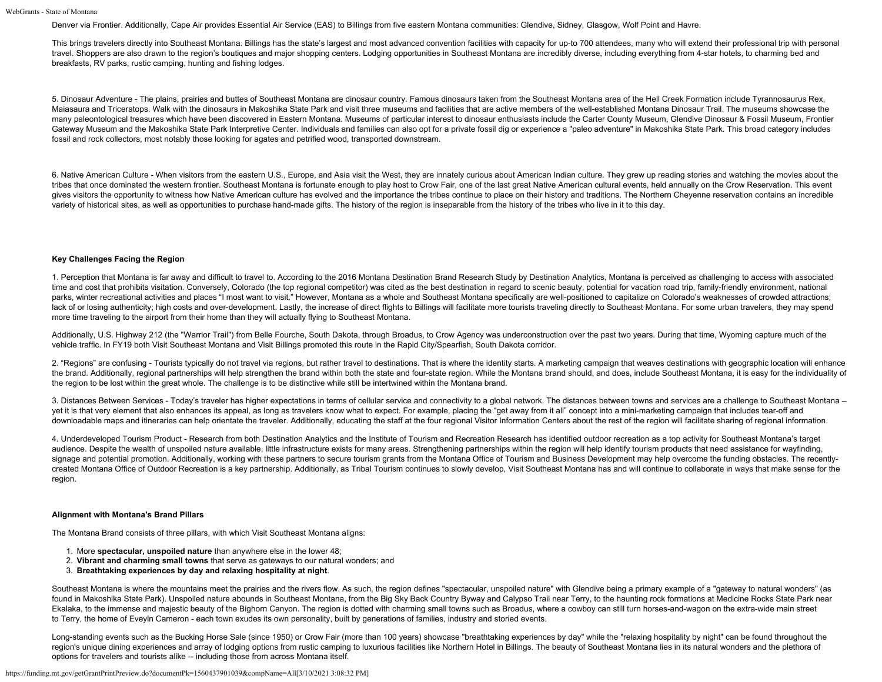Denver via Frontier. Additionally, Cape Air provides Essential Air Service (EAS) to Billings from five eastern Montana communities: Glendive, Sidney, Glasgow, Wolf Point and Havre.

This brings travelers directly into Southeast Montana. Billings has the state's largest and most advanced convention facilities with capacity for up-to 700 attendees, many who will extend their professional trip with perso travel. Shoppers are also drawn to the region's boutiques and major shopping centers. Lodging opportunities in Southeast Montana are incredibly diverse, including everything from 4-star hotels, to charming bed and breakfasts, RV parks, rustic camping, hunting and fishing lodges.

5. Dinosaur Adventure - The plains, prairies and buttes of Southeast Montana are dinosaur country. Famous dinosaurs taken from the Southeast Montana area of the Hell Creek Formation include Tyrannosaurus Rex, Maiasaura and Triceratops. Walk with the dinosaurs in Makoshika State Park and visit three museums and facilities that are active members of the well-established Montana Dinosaur Trail. The museums showcase the many paleontological treasures which have been discovered in Eastern Montana. Museums of particular interest to dinosaur enthusiasts include the Carter County Museum, Glendive Dinosaur & Fossil Museum, Frontier Gateway Museum and the Makoshika State Park Interpretive Center. Individuals and families can also opt for a private fossil dig or experience a "paleo adventure" in Makoshika State Park. This broad category includes fossil and rock collectors, most notably those looking for agates and petrified wood, transported downstream.

6. Native American Culture - When visitors from the eastern U.S., Europe, and Asia visit the West, they are innately curious about American Indian culture. They grew up reading stories and watching the movies about the tribes that once dominated the western frontier. Southeast Montana is fortunate enough to play host to Crow Fair, one of the last great Native American cultural events, held annually on the Crow Reservation. This event gives visitors the opportunity to witness how Native American culture has evolved and the importance the tribes continue to place on their history and traditions. The Northern Cheyenne reservation contains an incredible variety of historical sites, as well as opportunities to purchase hand-made gifts. The history of the region is inseparable from the history of the tribes who live in it to this day.

# **Key Challenges Facing the Region**

1. Perception that Montana is far away and difficult to travel to. According to the 2016 Montana Destination Brand Research Study by Destination Analytics, Montana is perceived as challenging to access with associated time and cost that prohibits visitation. Conversely, Colorado (the top regional competitor) was cited as the best destination in regard to scenic beauty, potential for vacation road trip, family-friendly environment, natio parks, winter recreational activities and places "I most want to visit." However, Montana as a whole and Southeast Montana specifically are well-positioned to capitalize on Colorado's weaknesses of crowded attractions; lack of or losing authenticity; high costs and over-development. Lastly, the increase of direct flights to Billings will facilitate more tourists traveling directly to Southeast Montana. For some urban travelers, they may more time traveling to the airport from their home than they will actually flying to Southeast Montana.

Additionally, U.S. Highway 212 (the "Warrior Trail") from Belle Fourche, South Dakota, through Broadus, to Crow Agency was underconstruction over the past two years. During that time, Wyoming capture much of the vehicle traffic. In FY19 both Visit Southeast Montana and Visit Billings promoted this route in the Rapid City/Spearfish, South Dakota corridor.

2. "Regions" are confusing - Tourists typically do not travel via regions, but rather travel to destinations. That is where the identity starts. A marketing campaign that weaves destinations with geographic location will e the brand. Additionally, regional partnerships will help strengthen the brand within both the state and four-state region. While the Montana brand should, and does, include Southeast Montana, it is easy for the individuali the region to be lost within the great whole. The challenge is to be distinctive while still be intertwined within the Montana brand.

3. Distances Between Services - Today's traveler has higher expectations in terms of cellular service and connectivity to a global network. The distances between towns and services are a challenge to Southeast Montana – yet it is that very element that also enhances its appeal, as long as travelers know what to expect. For example, placing the "get away from it all" concept into a mini-marketing campaign that includes tear-off and downloadable maps and itineraries can help orientate the traveler. Additionally, educating the staff at the four regional Visitor Information Centers about the rest of the region will facilitate sharing of regional informa

4. Underdeveloped Tourism Product - Research from both Destination Analytics and the Institute of Tourism and Recreation Research has identified outdoor recreation as a top activity for Southeast Montana's target audience. Despite the wealth of unspoiled nature available, little infrastructure exists for many areas. Strengthening partnerships within the region will help identify tourism products that need assistance for wayfinding, signage and potential promotion. Additionally, working with these partners to secure tourism grants from the Montana Office of Tourism and Business Development may help overcome the funding obstacles. The recentlycreated Montana Office of Outdoor Recreation is a key partnership. Additionally, as Tribal Tourism continues to slowly develop, Visit Southeast Montana has and will continue to collaborate in ways that make sense for the region.

## **Alignment with Montana's Brand Pillars**

The Montana Brand consists of three pillars, with which Visit Southeast Montana aligns:

- 1. More **spectacular, unspoiled nature** than anywhere else in the lower 48;
- 2. **Vibrant and charming small towns** that serve as gateways to our natural wonders; and
- 3. **Breathtaking experiences by day and relaxing hospitality at night**.

Southeast Montana is where the mountains meet the prairies and the rivers flow. As such, the region defines "spectacular, unspoiled nature" with Glendive being a primary example of a "gateway to natural wonders" (as found in Makoshika State Park). Unspoiled nature abounds in Southeast Montana, from the Big Sky Back Country Byway and Calypso Trail near Terry, to the haunting rock formations at Medicine Rocks State Park near Ekalaka, to the immense and majestic beauty of the Bighorn Canyon. The region is dotted with charming small towns such as Broadus, where a cowboy can still turn horses-and-wagon on the extra-wide main street to Terry, the home of Eveyln Cameron - each town exudes its own personality, built by generations of families, industry and storied events.

Long-standing events such as the Bucking Horse Sale (since 1950) or Crow Fair (more than 100 years) showcase "breathtaking experiences by day" while the "relaxing hospitality by night" can be found throughout the region's unique dining experiences and array of lodging options from rustic camping to luxurious facilities like Northern Hotel in Billings. The beauty of Southeast Montana lies in its natural wonders and the plethora of options for travelers and tourists alike -- including those from across Montana itself.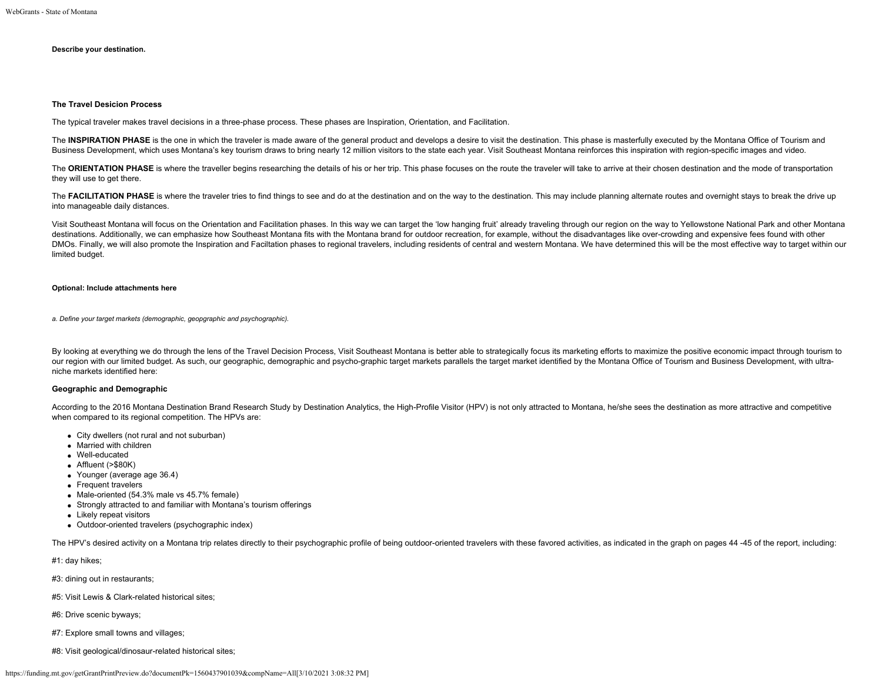# **Describe your destination.**

### **The Travel Desicion Process**

The typical traveler makes travel decisions in a three-phase process. These phases are Inspiration, Orientation, and Facilitation.

The INSPIRATION PHASE is the one in which the traveler is made aware of the general product and develops a desire to visit the destination. This phase is masterfully executed by the Montana Office of Tourism and Business Development, which uses Montana's key tourism draws to bring nearly 12 million visitors to the state each year. Visit Southeast Montana reinforces this inspiration with region-specific images and video.

The ORIENTATION PHASE is where the traveller begins researching the details of his or her trip. This phase focuses on the route the traveler will take to arrive at their chosen destination and the mode of transportation they will use to get there.

The FACILITATION PHASE is where the traveler tries to find things to see and do at the destination and on the way to the destination. This may include planning alternate routes and overnight stays to break the drive up into manageable daily distances.

Visit Southeast Montana will focus on the Orientation and Facilitation phases. In this way we can target the 'low hanging fruit' already traveling through our region on the way to Yellowstone National Park and other Montana destinations. Additionally, we can emphasize how Southeast Montana fits with the Montana brand for outdoor recreation, for example, without the disadvantages like over-crowding and expensive fees found with other DMOs. Finally, we will also promote the Inspiration and Faciltation phases to regional travelers, including residents of central and western Montana. We have determined this will be the most effective way to target within limited budget.

## **Optional: Include attachments here**

*a. Define your target markets (demographic, geopgraphic and psychographic).*

By looking at everything we do through the lens of the Travel Decision Process, Visit Southeast Montana is better able to strategically focus its marketing efforts to maximize the positive economic impact through tourism t our region with our limited budget. As such, our geographic, demographic and psycho-graphic target markets parallels the target market identified by the Montana Office of Tourism and Business Development, with ultraniche markets identified here:

## **Geographic and Demographic**

According to the 2016 Montana Destination Brand Research Study by Destination Analytics, the High-Profile Visitor (HPV) is not only attracted to Montana, he/she sees the destination as more attractive and competitive when compared to its regional competition. The HPVs are:

- City dwellers (not rural and not suburban)
- Married with children
- Well-educated
- Affluent (>\$80K)
- Younger (average age 36.4)
- Frequent travelers
- Male-oriented (54.3% male vs 45.7% female)
- Strongly attracted to and familiar with Montana's tourism offerings
- Likely repeat visitors
- Outdoor-oriented travelers (psychographic index)

The HPV's desired activity on a Montana trip relates directly to their psychographic profile of being outdoor-oriented travelers with these favored activities, as indicated in the graph on pages 44-45 of the report, includ

#1: day hikes;

#3: dining out in restaurants;

#5: Visit Lewis & Clark-related historical sites;

#6: Drive scenic byways;

#7: Explore small towns and villages;

#8: Visit geological/dinosaur-related historical sites;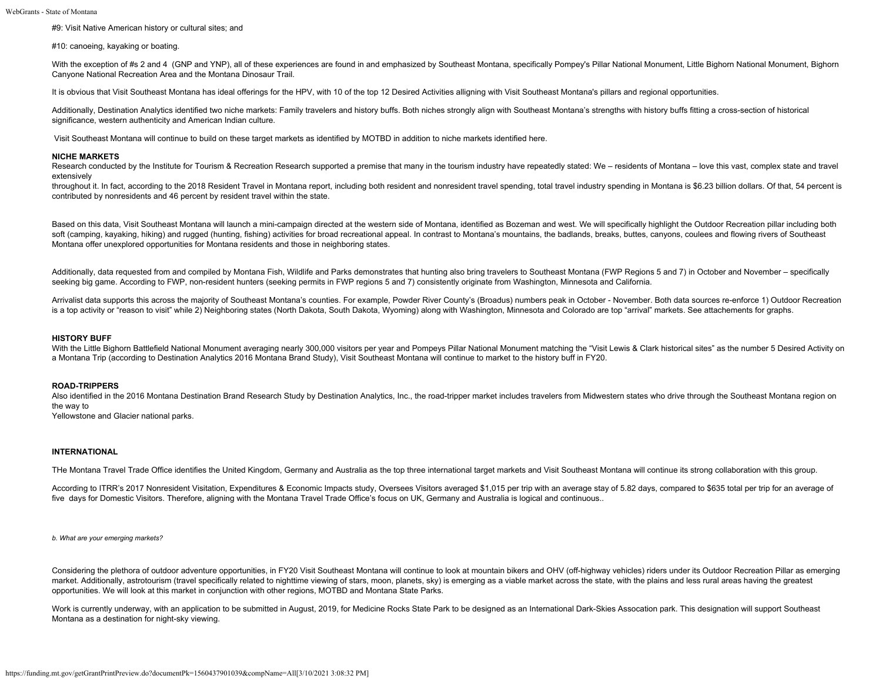#9: Visit Native American history or cultural sites; and

#10: canoeing, kayaking or boating.

With the exception of #s 2 and 4 (GNP and YNP), all of these experiences are found in and emphasized by Southeast Montana, specifically Pompey's Pillar National Monument, Little Bighorn National Monument, Bighorn Canyone National Recreation Area and the Montana Dinosaur Trail.

It is obvious that Visit Southeast Montana has ideal offerings for the HPV, with 10 of the top 12 Desired Activities alligning with Visit Southeast Montana's pillars and regional opportunities.

Additionally, Destination Analytics identified two niche markets: Family travelers and history buffs. Both niches strongly align with Southeast Montana's strengths with history buffs fitting a cross-section of historical significance, western authenticity and American Indian culture.

Visit Southeast Montana will continue to build on these target markets as identified by MOTBD in addition to niche markets identified here.

#### **NICHE MARKETS**

Research conducted by the Institute for Tourism & Recreation Research supported a premise that many in the tourism industry have repeatedly stated: We – residents of Montana – love this vast, complex state and travel extensively

throughout it. In fact, according to the 2018 Resident Travel in Montana report, including both resident and nonresident travel spending, total travel industry spending in Montana is \$6.23 billion dollars. Of that, 54 perc contributed by nonresidents and 46 percent by resident travel within the state.

Based on this data, Visit Southeast Montana will launch a mini-campaign directed at the western side of Montana, identified as Bozeman and west. We will specifically highlight the Outdoor Recreation pillar including both soft (camping, kayaking, hiking) and rugged (hunting, fishing) activities for broad recreational appeal. In contrast to Montana's mountains, the badlands, breaks, buttes, canyons, coulees and flowing rivers of Southeast Montana offer unexplored opportunities for Montana residents and those in neighboring states.

Additionally, data requested from and compiled by Montana Fish, Wildlife and Parks demonstrates that hunting also bring travelers to Southeast Montana (FWP Regions 5 and 7) in October and November – specifically seeking big game. According to FWP, non-resident hunters (seeking permits in FWP regions 5 and 7) consistently originate from Washington, Minnesota and California.

Arrivalist data supports this across the majority of Southeast Montana's counties. For example, Powder River County's (Broadus) numbers peak in October - November. Both data sources re-enforce 1) Outdoor Recreation is a top activity or "reason to visit" while 2) Neighboring states (North Dakota, South Dakota, Wyoming) along with Washington, Minnesota and Colorado are top "arrival" markets. See attachements for graphs.

# **HISTORY BUFF**

With the Little Bighorn Battlefield National Monument averaging nearly 300,000 visitors per year and Pompeys Pillar National Monument matching the "Visit Lewis & Clark historical sites" as the number 5 Desired Activity on a Montana Trip (according to Destination Analytics 2016 Montana Brand Study), Visit Southeast Montana will continue to market to the history buff in FY20.

### **ROAD-TRIPPERS**

Also identified in the 2016 Montana Destination Brand Research Study by Destination Analytics, Inc., the road-tripper market includes travelers from Midwestern states who drive through the Southeast Montana region on the way to

Yellowstone and Glacier national parks.

### **INTERNATIONAL**

THe Montana Travel Trade Office identifies the United Kingdom, Germany and Australia as the top three international target markets and Visit Southeast Montana will continue its strong collaboration with this group.

According to ITRR's 2017 Nonresident Visitation, Expenditures & Economic Impacts study, Oversees Visitors averaged \$1,015 per trip with an average stay of 5.82 days, compared to \$635 total per trip for an average of five days for Domestic Visitors. Therefore, aligning with the Montana Travel Trade Office's focus on UK, Germany and Australia is logical and continuous..

*b. What are your emerging markets?*

Considering the plethora of outdoor adventure opportunities, in FY20 Visit Southeast Montana will continue to look at mountain bikers and OHV (off-highway vehicles) riders under its Outdoor Recreation Pillar as emerging market. Additionally, astrotourism (travel specifically related to nighttime viewing of stars, moon, planets, sky) is emerging as a viable market across the state, with the plains and less rural areas having the greatest opportunities. We will look at this market in conjunction with other regions, MOTBD and Montana State Parks.

Work is currently underway, with an application to be submitted in August, 2019, for Medicine Rocks State Park to be designed as an International Dark-Skies Assocation park. This designation will support Southeast Montana as a destination for night-sky viewing.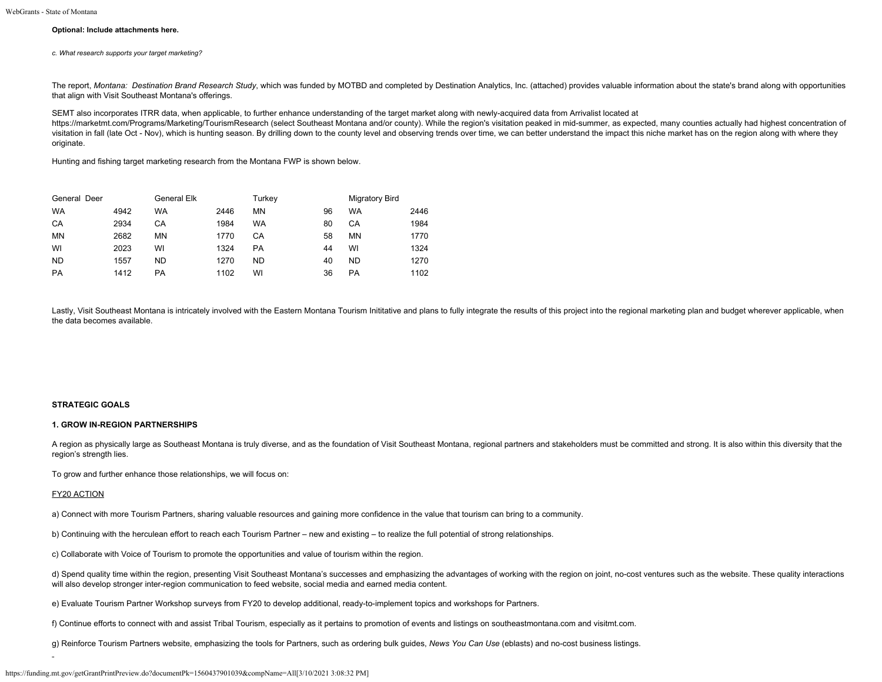## **Optional: Include attachments here.**

*c. What research supports your target marketing?*

The report, *Montana: Destination Brand Research Study*, which was funded by MOTBD and completed by Destination Analytics, Inc. (attached) provides valuable information about the state's brand along with opportunities that align with Visit Southeast Montana's offerings.

SEMT also incorporates ITRR data, when applicable, to further enhance understanding of the target market along with newly-acquired data from Arrivalist located at

<https://marketmt.com/Programs/Marketing/TourismResearch> (select Southeast Montana and/or county). While the region's visitation peaked in mid-summer, as expected, many counties actually had highest concentration of visitation in fall (late Oct - Nov), which is hunting season. By drilling down to the county level and observing trends over time, we can better understand the impact this niche market has on the region along with where th originate.

Hunting and fishing target marketing research from the Montana FWP is shown below.

| General Deer |      | General Elk |      | Turkey |    | <b>Migratory Bird</b> |      |
|--------------|------|-------------|------|--------|----|-----------------------|------|
| <b>WA</b>    | 4942 | WA          | 2446 | MN     | 96 | WA                    | 2446 |
| CA           | 2934 | CА          | 1984 | WA     | 80 | СA                    | 1984 |
| <b>MN</b>    | 2682 | ΜN          | 1770 | СA     | 58 | MN                    | 1770 |
| WI           | 2023 | WI          | 1324 | PA     | 44 | WI                    | 1324 |
| <b>ND</b>    | 1557 | ND          | 1270 | ND     | 40 | <b>ND</b>             | 1270 |
| PA           | 1412 | РA          | 1102 | WI     | 36 | PA                    | 1102 |

Lastly, Visit Southeast Montana is intricately involved with the Eastern Montana Tourism Inititative and plans to fully integrate the results of this project into the regional marketing plan and budget wherever applicable, the data becomes available.

## **STRATEGIC GOALS**

#### **1. GROW IN-REGION PARTNERSHIPS**

A region as physically large as Southeast Montana is truly diverse, and as the foundation of Visit Southeast Montana, regional partners and stakeholders must be committed and strong. It is also within this diversity that t region's strength lies.

To grow and further enhance those relationships, we will focus on:

# FY20 ACTION

a) Connect with more Tourism Partners, sharing valuable resources and gaining more confidence in the value that tourism can bring to a community.

b) Continuing with the herculean effort to reach each Tourism Partner – new and existing – to realize the full potential of strong relationships.

c) Collaborate with Voice of Tourism to promote the opportunities and value of tourism within the region.

d) Spend quality time within the region, presenting Visit Southeast Montana's successes and emphasizing the advantages of working with the region on joint, no-cost ventures such as the website. These quality interactions will also develop stronger inter-region communication to feed website, social media and earned media content.

e) Evaluate Tourism Partner Workshop surveys from FY20 to develop additional, ready-to-implement topics and workshops for Partners.

f) Continue efforts to connect with and assist Tribal Tourism, especially as it pertains to promotion of events and listings on southeastmontana.com and visitmt.com.

g) Reinforce Tourism Partners website, emphasizing the tools for Partners, such as ordering bulk guides, *News You Can Use* (eblasts) and no-cost business listings.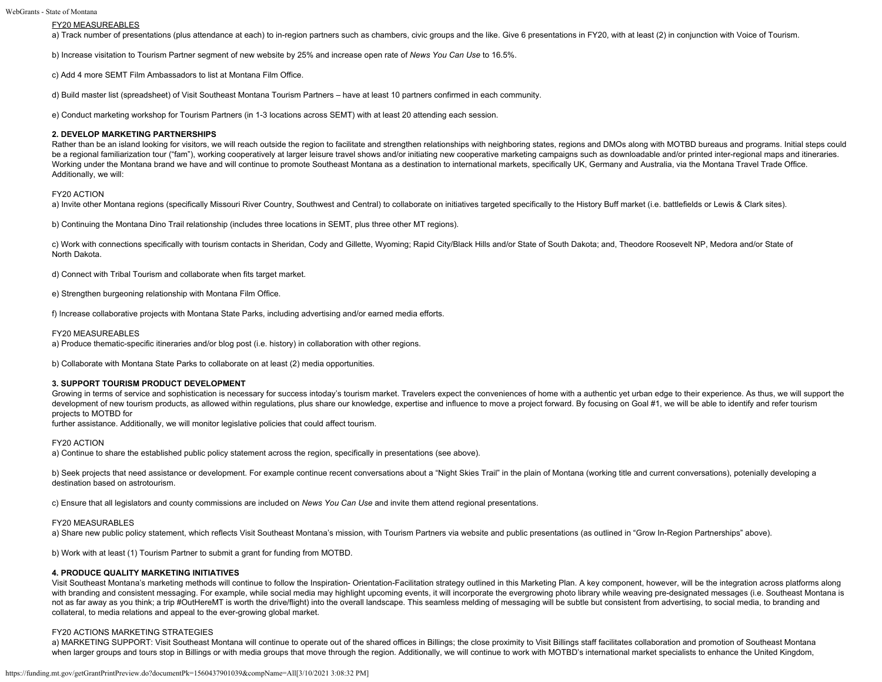## FY20 MEASUREABLES

a) Track number of presentations (plus attendance at each) to in-region partners such as chambers, civic groups and the like. Give 6 presentations in FY20, with at least (2) in conjunction with Voice of Tourism.

b) Increase visitation to Tourism Partner segment of new website by 25% and increase open rate of *News You Can Use* to 16.5%.

c) Add 4 more SEMT Film Ambassadors to list at Montana Film Office.

d) Build master list (spreadsheet) of Visit Southeast Montana Tourism Partners – have at least 10 partners confirmed in each community.

e) Conduct marketing workshop for Tourism Partners (in 1-3 locations across SEMT) with at least 20 attending each session.

## **2. DEVELOP MARKETING PARTNERSHIPS**

Rather than be an island looking for visitors, we will reach outside the region to facilitate and strengthen relationships with neighboring states, regions and DMOs along with MOTBD bureaus and programs. Initial steps coul be a regional familiarization tour ("fam"), working cooperatively at larger leisure travel shows and/or initiating new cooperative marketing campaigns such as downloadable and/or printed inter-regional maps and itineraries Working under the Montana brand we have and will continue to promote Southeast Montana as a destination to international markets, specifically UK, Germany and Australia, via the Montana Travel Trade Office. Additionally, we will:

### FY20 ACTION

a) Invite other Montana regions (specifically Missouri River Country, Southwest and Central) to collaborate on initiatives targeted specifically to the History Buff market (i.e. battlefields or Lewis & Clark sites).

b) Continuing the Montana Dino Trail relationship (includes three locations in SEMT, plus three other MT regions).

c) Work with connections specifically with tourism contacts in Sheridan, Cody and Gillette, Wyoming; Rapid City/Black Hills and/or State of South Dakota; and, Theodore Roosevelt NP, Medora and/or State of North Dakota.

d) Connect with Tribal Tourism and collaborate when fits target market.

e) Strengthen burgeoning relationship with Montana Film Office.

f) Increase collaborative projects with Montana State Parks, including advertising and/or earned media efforts.

### FY20 MEASUREABLES

a) Produce thematic-specific itineraries and/or blog post (i.e. history) in collaboration with other regions.

b) Collaborate with Montana State Parks to collaborate on at least (2) media opportunities.

#### **3. SUPPORT TOURISM PRODUCT DEVELOPMENT**

Growing in terms of service and sophistication is necessary for success intoday's tourism market. Travelers expect the conveniences of home with a authentic yet urban edge to their experience. As thus, we will support the development of new tourism products, as allowed within regulations, plus share our knowledge, expertise and influence to move a project forward. By focusing on Goal #1, we will be able to identify and refer tourism projects to MOTBD for

further assistance. Additionally, we will monitor legislative policies that could affect tourism.

## FY20 ACTION

a) Continue to share the established public policy statement across the region, specifically in presentations (see above).

b) Seek projects that need assistance or development. For example continue recent conversations about a "Night Skies Trail" in the plain of Montana (working title and current conversations), potenially developing a destination based on astrotourism.

c) Ensure that all legislators and county commissions are included on *News You Can Use* and invite them attend regional presentations.

### FY20 MEASURABLES

a) Share new public policy statement, which reflects Visit Southeast Montana's mission, with Tourism Partners via website and public presentations (as outlined in "Grow In-Region Partnerships" above).

b) Work with at least (1) Tourism Partner to submit a grant for funding from MOTBD.

## **4. PRODUCE QUALITY MARKETING INITIATIVES**

Visit Southeast Montana's marketing methods will continue to follow the Inspiration- Orientation-Facilitation strategy outlined in this Marketing Plan. A key component, however, will be the integration across platforms along with branding and consistent messaging. For example, while social media may highlight upcoming events, it will incorporate the evergrowing photo library while weaving pre-designated messages (i.e. Southeast Montana is not as far away as you think; a trip #OutHereMT is worth the drive/flight) into the overall landscape. This seamless melding of messaging will be subtle but consistent from advertising, to social media, to branding and collateral, to media relations and appeal to the ever-growing global market.

#### FY20 ACTIONS MARKETING STRATEGIES

a) MARKETING SUPPORT: Visit Southeast Montana will continue to operate out of the shared offices in Billings; the close proximity to Visit Billings staff facilitates collaboration and promotion of Southeast Montana when larger groups and tours stop in Billings or with media groups that move through the region. Additionally, we will continue to work with MOTBD's international market specialists to enhance the United Kingdom,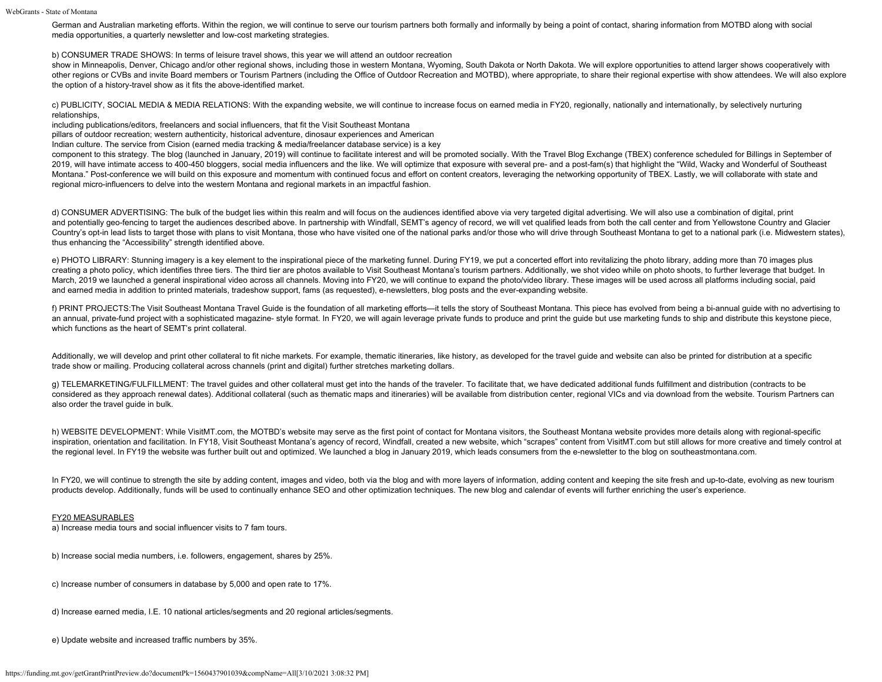WebGrants - State of Montana

German and Australian marketing efforts. Within the region, we will continue to serve our tourism partners both formally and informally by being a point of contact, sharing information from MOTBD along with social media opportunities, a quarterly newsletter and low-cost marketing strategies.

b) CONSUMER TRADE SHOWS: In terms of leisure travel shows, this year we will attend an outdoor recreation

show in Minneapolis, Denver, Chicago and/or other regional shows, including those in western Montana, Wyoming, South Dakota or North Dakota. We will explore opportunities to attend larger shows cooperatively with other regions or CVBs and invite Board members or Tourism Partners (including the Office of Outdoor Recreation and MOTBD), where appropriate, to share their regional expertise with show attendees. We will also explore the option of a history-travel show as it fits the above-identified market.

c) PUBLICITY, SOCIAL MEDIA & MEDIA RELATIONS: With the expanding website, we will continue to increase focus on earned media in FY20, regionally, nationally and internationally, by selectively nurturing relationships,

including publications/editors, freelancers and social influencers, that fit the Visit Southeast Montana

pillars of outdoor recreation; western authenticity, historical adventure, dinosaur experiences and American

Indian culture. The service from Cision (earned media tracking & media/freelancer database service) is a key

component to this strategy. The blog (launched in January, 2019) will continue to facilitate interest and will be promoted socially. With the Travel Blog Exchange (TBEX) conference scheduled for Billings in September of 2019, will have intimate access to 400-450 bloggers, social media influencers and the like. We will optimize that exposure with several pre- and a post-fam(s) that highlight the "Wild, Wacky and Wonderful of Southeast Montana." Post-conference we will build on this exposure and momentum with continued focus and effort on content creators, leveraging the networking opportunity of TBEX. Lastly, we will collaborate with state and regional micro-influencers to delve into the western Montana and regional markets in an impactful fashion.

d) CONSUMER ADVERTISING: The bulk of the budget lies within this realm and will focus on the audiences identified above via very targeted digital advertising. We will also use a combination of digital, print and potentially geo-fencing to target the audiences described above. In partnership with Windfall, SEMT's agency of record, we will vet qualified leads from both the call center and from Yellowstone Country and Glacier Country's opt-in lead lists to target those with plans to visit Montana, those who have visited one of the national parks and/or those who will drive through Southeast Montana to get to a national park (i.e. Midwestern sta thus enhancing the "Accessibility" strength identified above.

e) PHOTO LIBRARY: Stunning imagery is a key element to the inspirational piece of the marketing funnel. During FY19, we put a concerted effort into revitalizing the photo library, adding more than 70 images plus creating a photo policy, which identifies three tiers. The third tier are photos available to Visit Southeast Montana's tourism partners. Additionally, we shot video while on photo shoots, to further leverage that budget. In March, 2019 we launched a general inspirational video across all channels. Moving into FY20, we will continue to expand the photo/video library. These images will be used across all platforms including social, paid and earned media in addition to printed materials, tradeshow support, fams (as requested), e-newsletters, blog posts and the ever-expanding website.

f) PRINT PROJECTS:The Visit Southeast Montana Travel Guide is the foundation of all marketing efforts—it tells the story of Southeast Montana. This piece has evolved from being a bi-annual guide with no advertising to an annual, private-fund project with a sophisticated magazine- style format. In FY20, we will again leverage private funds to produce and print the guide but use marketing funds to ship and distribute this keystone piece, which functions as the heart of SEMT's print collateral.

Additionally, we will develop and print other collateral to fit niche markets. For example, thematic itineraries, like history, as developed for the travel guide and website can also be printed for distribution at a specif trade show or mailing. Producing collateral across channels (print and digital) further stretches marketing dollars.

g) TELEMARKETING/FULFILLMENT: The travel guides and other collateral must get into the hands of the traveler. To facilitate that, we have dedicated additional funds fulfillment and distribution (contracts to be considered as they approach renewal dates). Additional collateral (such as thematic maps and itineraries) will be available from distribution center, regional VICs and via download from the website. Tourism Partners can also order the travel guide in bulk.

h) WEBSITE DEVELOPMENT: While VisitMT.com, the MOTBD's website may serve as the first point of contact for Montana visitors, the Southeast Montana website provides more details along with regional-specific inspiration, orientation and facilitation. In FY18, Visit Southeast Montana's agency of record, Windfall, created a new website, which "scrapes" content from VisitMT.com but still allows for more creative and timely contro the regional level. In FY19 the website was further built out and optimized. We launched a blog in January 2019, which leads consumers from the e-newsletter to the blog on southeastmontana.com.

In FY20, we will continue to strength the site by adding content, images and video, both via the blog and with more layers of information, adding content and keeping the site fresh and up-to-date, evolving as new tourism products develop. Additionally, funds will be used to continually enhance SEO and other optimization techniques. The new blog and calendar of events will further enriching the user's experience.

#### FY20 MEASURABLES

a) Increase media tours and social influencer visits to 7 fam tours.

b) Increase social media numbers, i.e. followers, engagement, shares by 25%.

c) Increase number of consumers in database by 5,000 and open rate to 17%.

d) Increase earned media, I.E. 10 national articles/segments and 20 regional articles/segments.

e) Update website and increased traffic numbers by 35%.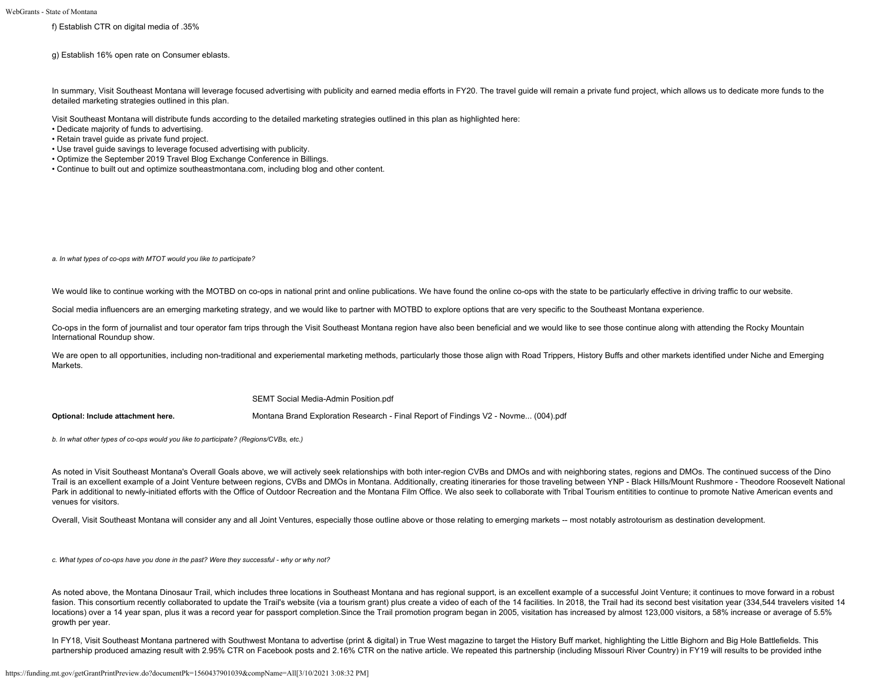f) Establish CTR on digital media of .35%

g) Establish 16% open rate on Consumer eblasts.

In summary, Visit Southeast Montana will leverage focused advertising with publicity and earned media efforts in FY20. The travel guide will remain a private fund project, which allows us to dedicate more funds to the detailed marketing strategies outlined in this plan.

Visit Southeast Montana will distribute funds according to the detailed marketing strategies outlined in this plan as highlighted here:

- Dedicate majority of funds to advertising.
- Retain travel guide as private fund project.
- Use travel guide savings to leverage focused advertising with publicity.
- Optimize the September 2019 Travel Blog Exchange Conference in Billings.
- Continue to built out and optimize southeastmontana.com, including blog and other content.

*a. In what types of co-ops with MTOT would you like to participate?*

We would like to continue working with the MOTBD on co-ops in national print and online publications. We have found the online co-ops with the state to be particularly effective in driving traffic to our website.

Social media influencers are an emerging marketing strategy, and we would like to partner with MOTBD to explore options that are very specific to the Southeast Montana experience.

Co-ops in the form of journalist and tour operator fam trips through the Visit Southeast Montana region have also been beneficial and we would like to see those continue along with attending the Rocky Mountain International Roundup show.

We are open to all opportunities, including non-traditional and experiemental marketing methods, particularly those those align with Road Trippers, History Buffs and other markets identified under Niche and Emerging Markets.

[SEMT Social Media-Admin Position.pdf](https://funding.mt.gov/fileDownload.jsp?filename=1559756300935_SEMT+Social+Media-Admin+Position.pdf)

**Optional: Include attachment here.** [Montana Brand Exploration Research - Final Report of Findings V2 - Novme... \(004\).pdf](https://funding.mt.gov/fileDownload.jsp?filename=1494009487636_Montana+Brand+Exploration+Research+-+Final+Report+of+Findings+V2+-+Novme...+%28004%29.pdf)

*b. In what other types of co-ops would you like to participate? (Regions/CVBs, etc.)*

As noted in Visit Southeast Montana's Overall Goals above, we will actively seek relationships with both inter-region CVBs and DMOs and with neighboring states, regions and DMOs. The continued success of the Dino Trail is an excellent example of a Joint Venture between regions, CVBs and DMOs in Montana. Additionally, creating itineraries for those traveling between YNP - Black Hills/Mount Rushmore - Theodore Roosevelt National Park in additional to newly-initiated efforts with the Office of Outdoor Recreation and the Montana Film Office. We also seek to collaborate with Tribal Tourism entitities to continue to promote Native American events and venues for visitors.

Overall, Visit Southeast Montana will consider any and all Joint Ventures, especially those outline above or those relating to emerging markets -- most notably astrotourism as destination development.

*c. What types of co-ops have you done in the past? Were they successful - why or why not?*

As noted above, the Montana Dinosaur Trail, which includes three locations in Southeast Montana and has regional support, is an excellent example of a successful Joint Venture; it continues to move forward in a robust fasion. This consortium recently collaborated to update the Trail's website (via a tourism grant) plus create a video of each of the 14 facilities. In 2018, the Trail had its second best visitation year (334,544 travelers locations) over a 14 year span, plus it was a record year for passport completion.Since the Trail promotion program began in 2005, visitation has increased by almost 123,000 visitors, a 58% increase or average of 5.5% growth per year.

In FY18, Visit Southeast Montana partnered with Southwest Montana to advertise (print & digital) in True West magazine to target the History Buff market, highlighting the Little Bighorn and Big Hole Battlefields. This partnership produced amazing result with 2.95% CTR on Facebook posts and 2.16% CTR on the native article. We repeated this partnership (including Missouri River Country) in FY19 will results to be provided inthe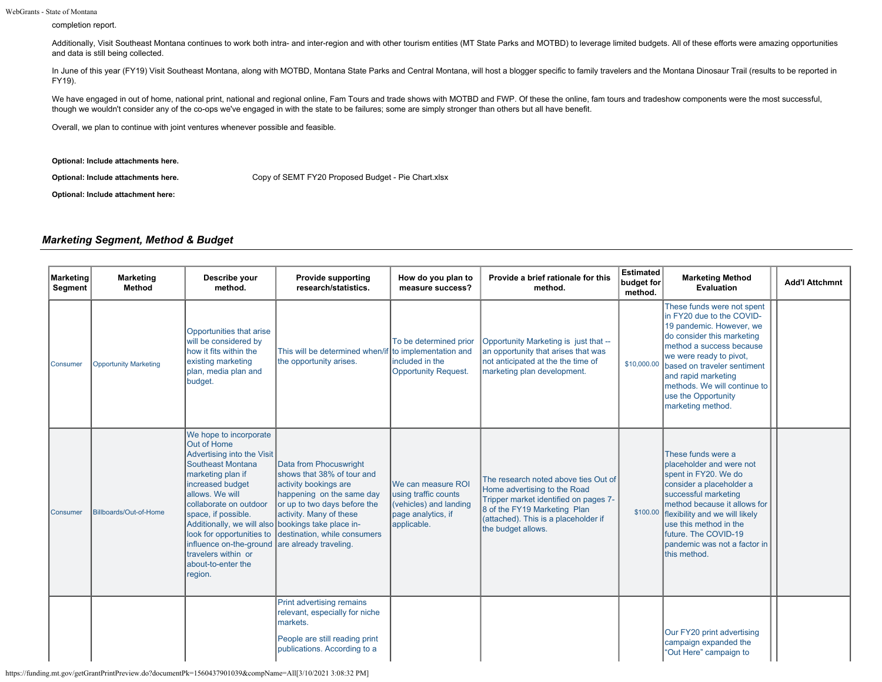WebGrants - State of Montana

completion report.

Additionally, Visit Southeast Montana continues to work both intra- and inter-region and with other tourism entities (MT State Parks and MOTBD) to leverage limited budgets. All of these efforts were amazing opportunities and data is still being collected.

In June of this year (FY19) Visit Southeast Montana, along with MOTBD, Montana State Parks and Central Montana, will host a blogger specific to family travelers and the Montana Dinosaur Trail (results to be reported in FY19).

We have engaged in out of home, national print, national and regional online, Fam Tours and trade shows with MOTBD and FWP. Of these the online, fam tours and tradeshow components were the most successful, though we wouldn't consider any of the co-ops we've engaged in with the state to be failures; some are simply stronger than others but all have benefit.

Overall, we plan to continue with joint ventures whenever possible and feasible.

**Optional: Include attachments here.**

**Optional: Include attachments here.** [Copy of SEMT FY20 Proposed Budget - Pie Chart.xlsx](https://funding.mt.gov/fileDownload.jsp?filename=1557417684156_Copy+of+SEMT+FY20+Proposed+Budget+-+Pie+Chart.xlsx)

**Optional: Include attachment here:**

# *Marketing Segment, Method & Budget*

| Marketing<br>Segment | <b>Marketing</b><br>Method   | Describe your<br>method.                                                                                                                                                                                                                                                                                                                                                    | <b>Provide supporting</b><br>research/statistics.                                                                                                                                                                               | How do you plan to<br>measure success?                                                                    | Provide a brief rationale for this<br>method.                                                                                                                                                               | <b>Estimated</b><br>budget for<br>method. | <b>Marketing Method</b><br><b>Evaluation</b>                                                                                                                                                                                                                                                               | <b>Add'l Attchmnt</b> |
|----------------------|------------------------------|-----------------------------------------------------------------------------------------------------------------------------------------------------------------------------------------------------------------------------------------------------------------------------------------------------------------------------------------------------------------------------|---------------------------------------------------------------------------------------------------------------------------------------------------------------------------------------------------------------------------------|-----------------------------------------------------------------------------------------------------------|-------------------------------------------------------------------------------------------------------------------------------------------------------------------------------------------------------------|-------------------------------------------|------------------------------------------------------------------------------------------------------------------------------------------------------------------------------------------------------------------------------------------------------------------------------------------------------------|-----------------------|
| Consumer             | <b>Opportunity Marketing</b> | Opportunities that arise<br>will be considered by<br>how it fits within the<br>existing marketing<br>plan, media plan and<br>budget.                                                                                                                                                                                                                                        | This will be determined when/if to implementation and<br>the opportunity arises.                                                                                                                                                | To be determined prior<br>included in the<br><b>Opportunity Request.</b>                                  | Opportunity Marketing is just that --<br>an opportunity that arises that was<br>not anticipated at the the time of<br>marketing plan development.                                                           | \$10,000.00                               | These funds were not spent<br>in FY20 due to the COVID-<br>19 pandemic. However, we<br>do consider this marketing<br>method a success because<br>we were ready to pivot,<br>based on traveler sentiment<br>and rapid marketing<br>methods. We will continue to<br>use the Opportunity<br>marketing method. |                       |
| Consumer             | Billboards/Out-of-Home       | We hope to incorporate<br>Out of Home<br>Advertising into the Visit<br>Southeast Montana<br>marketing plan if<br>increased budget<br>allows. We will<br>collaborate on outdoor<br>space, if possible.<br>Additionally, we will also bookings take place in-<br>look for opportunities to<br>influence on-the-ground<br>travelers within or<br>about-to-enter the<br>region. | Data from Phocuswright<br>shows that 38% of tour and<br>activity bookings are<br>happening on the same day<br>or up to two days before the<br>activity. Many of these<br>destination, while consumers<br>are already traveling. | We can measure ROI<br>using traffic counts<br>(vehicles) and landing<br>page analytics, if<br>applicable. | The research noted above ties Out of<br>Home advertising to the Road<br>Tripper market identified on pages 7-<br>8 of the FY19 Marketing Plan<br>(attached). This is a placeholder if<br>the budget allows. | \$100.00                                  | These funds were a<br>placeholder and were not<br>spent in FY20. We do<br>consider a placeholder a<br>successful marketing<br>method because it allows for<br>flexibility and we will likely<br>use this method in the<br>future. The COVID-19<br>pandemic was not a factor in<br>this method.             |                       |
|                      |                              |                                                                                                                                                                                                                                                                                                                                                                             | Print advertising remains<br>relevant, especially for niche<br>markets.<br>People are still reading print<br>publications. According to a                                                                                       |                                                                                                           |                                                                                                                                                                                                             |                                           | Our FY20 print advertising<br>campaign expanded the<br>"Out Here" campaign to                                                                                                                                                                                                                              |                       |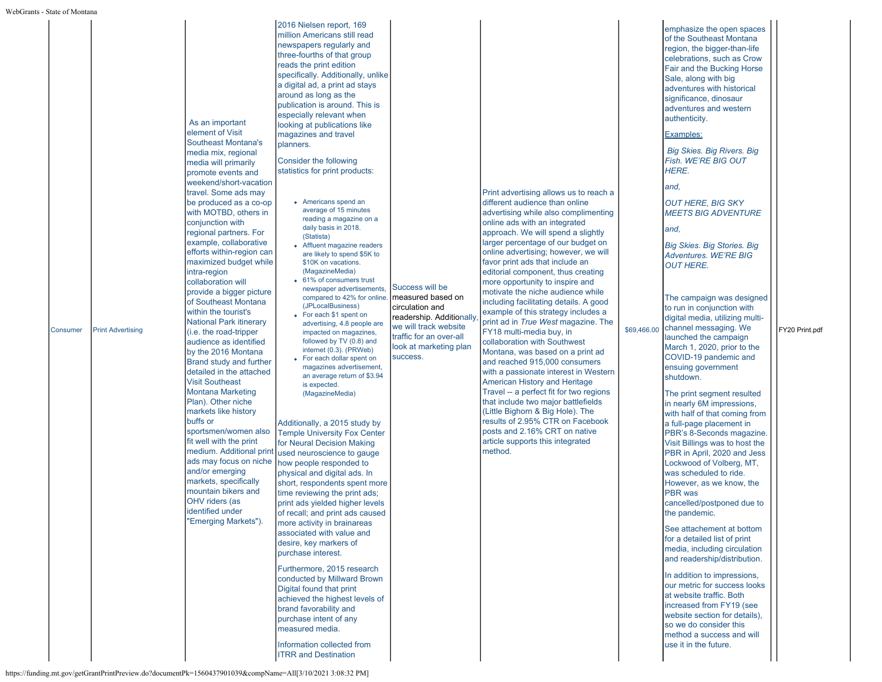|  | Consumer | <b>Print Advertising</b> | As an important<br>element of Visit<br>Southeast Montana's<br>media mix, regional<br>media will primarily<br>promote events and<br>weekend/short-vacation<br>travel. Some ads may<br>be produced as a co-op<br>with MOTBD, others in<br>conjunction with<br>regional partners. For<br>example, collaborative<br>efforts within-region can<br>maximized budget while<br>intra-region<br>collaboration will<br>provide a bigger picture<br>of Southeast Montana<br>within the tourist's<br><b>National Park itinerary</b><br>(i.e. the road-tripper<br>audience as identified<br>by the 2016 Montana<br>Brand study and further<br>detailed in the attached<br><b>Visit Southeast</b><br><b>Montana Marketing</b><br>Plan). Other niche<br>markets like history<br>buffs or<br>sportsmen/women also<br>fit well with the print<br>medium. Additional print<br>ads may focus on niche<br>and/or emerging<br>markets, specifically<br>mountain bikers and<br>OHV riders (as<br>identified under<br>Emerging Markets"). | million Americans still read<br>newspapers regularly and<br>three-fourths of that group<br>reads the print edition<br>specifically. Additionally, unlike<br>a digital ad, a print ad stays<br>around as long as the<br>publication is around. This is<br>especially relevant when<br>looking at publications like<br>magazines and travel<br>planners.<br>Consider the following<br>statistics for print products:<br>Americans spend an<br>average of 15 minutes<br>reading a magazine on a<br>daily basis in 2018.<br>(Statista)<br>• Affluent magazine readers<br>are likely to spend \$5K to<br>\$10K on vacations.<br>(MagazineMedia)<br>• 61% of consumers trust<br>newspaper advertisements,<br>compared to 42% for online.<br>(JPLocalBusiness)<br>• For each \$1 spent on<br>advertising, 4.8 people are<br>impacted on magazines,<br>followed by TV (0.8) and<br>internet (0.3). (PRWeb)<br>• For each dollar spent on<br>magazines advertisement,<br>an average return of \$3.94<br>is expected.<br>(MagazineMedia)<br>Additionally, a 2015 study by<br><b>Temple University Fox Center</b><br>for Neural Decision Making<br>used neuroscience to gauge<br>how people responded to<br>physical and digital ads. In<br>short, respondents spent more<br>time reviewing the print ads;<br>print ads yielded higher levels<br>of recall; and print ads caused<br>more activity in brainareas<br>associated with value and<br>desire, key markers of<br>purchase interest.<br>Furthermore, 2015 research<br>conducted by Millward Brown<br>Digital found that print<br>achieved the highest levels of<br>brand favorability and<br>purchase intent of any<br>measured media.<br>Information collected from<br><b>ITRR and Destination</b> |
|--|----------|--------------------------|--------------------------------------------------------------------------------------------------------------------------------------------------------------------------------------------------------------------------------------------------------------------------------------------------------------------------------------------------------------------------------------------------------------------------------------------------------------------------------------------------------------------------------------------------------------------------------------------------------------------------------------------------------------------------------------------------------------------------------------------------------------------------------------------------------------------------------------------------------------------------------------------------------------------------------------------------------------------------------------------------------------------|--------------------------------------------------------------------------------------------------------------------------------------------------------------------------------------------------------------------------------------------------------------------------------------------------------------------------------------------------------------------------------------------------------------------------------------------------------------------------------------------------------------------------------------------------------------------------------------------------------------------------------------------------------------------------------------------------------------------------------------------------------------------------------------------------------------------------------------------------------------------------------------------------------------------------------------------------------------------------------------------------------------------------------------------------------------------------------------------------------------------------------------------------------------------------------------------------------------------------------------------------------------------------------------------------------------------------------------------------------------------------------------------------------------------------------------------------------------------------------------------------------------------------------------------------------------------------------------------------------------------------------------------------------------------------------------------------------------------------------------------------|
|--|----------|--------------------------|--------------------------------------------------------------------------------------------------------------------------------------------------------------------------------------------------------------------------------------------------------------------------------------------------------------------------------------------------------------------------------------------------------------------------------------------------------------------------------------------------------------------------------------------------------------------------------------------------------------------------------------------------------------------------------------------------------------------------------------------------------------------------------------------------------------------------------------------------------------------------------------------------------------------------------------------------------------------------------------------------------------------|--------------------------------------------------------------------------------------------------------------------------------------------------------------------------------------------------------------------------------------------------------------------------------------------------------------------------------------------------------------------------------------------------------------------------------------------------------------------------------------------------------------------------------------------------------------------------------------------------------------------------------------------------------------------------------------------------------------------------------------------------------------------------------------------------------------------------------------------------------------------------------------------------------------------------------------------------------------------------------------------------------------------------------------------------------------------------------------------------------------------------------------------------------------------------------------------------------------------------------------------------------------------------------------------------------------------------------------------------------------------------------------------------------------------------------------------------------------------------------------------------------------------------------------------------------------------------------------------------------------------------------------------------------------------------------------------------------------------------------------------------|

Success will be measured based on circulation and

success.

we will track website traffic for an over-all

readership. Additionally look at marketing plan Print advertising allows us to reach a different audience than online advertising while also complimenting online ads with an integrated approach. We will spend a slightly larger percentage of our budget on online advertising; however, we will favor print ads that include an editorial component, thus creating more opportunity to inspire and motivate the niche audience while including facilitating details. A good example of this strategy includes a print ad in *True West* magazine. The FY18 multi-media buy, in collaboration with Southwest Montana, was based on a print ad and reached 915,000 consumers with a passionate interest in Western American History and Heritage Travel -- a perfect fit for two regions that include two major battlefields (Little Bighorn & Big Hole). The results of 2.95% CTR on Facebook posts and 2.16% CRT on native article supports this integrated method.

emphasize the open spaces of the Southeast Montana region, the bigger-than-life celebrations, such as Crow Fair and the Bucking Horse Sale, along with big adventures with historical significance, dinosaur adventures and western authenticity.

#### Examples:

*Big Skies. Big Rivers. Big Fish. WE'RE BIG OUT HERE.*

# *and,*

*OUT HERE, BIG SKY MEETS BIG ADVENTURE*

*and,*

*Big Skies. Big Stories. Big Adventures. WE'RE BIG OUT HERE.*

\$69,466.00 channel messaging. We The campaign was designed to run in conjunction with digital media, utilizing multilaunched the campaign March 1, 2020, prior to the COVID-19 pandemic and ensuing government shutdown.

[FY20 Print.pdf](https://funding.mt.gov/fileDownload.jsp?filename=1611883135860_FY20+Print.pdf)

The print segment resulted in nearly 6M impressions, with half of that coming from a full-page placement in PBR's 8-Seconds magazine. Visit Billings was to host the PBR in April, 2020 and Jess Lockwood of Volberg, MT, was scheduled to ride. However, as we know, the PBR was cancelled/postponed due to the pandemic.

See attachement at bottom for a detailed list of print media, including circulation and readership/distribution.

In addition to impressions, our metric for success looks at website traffic. Both increased from FY19 (see website section for details), so we do consider this method a success and will use it in the future.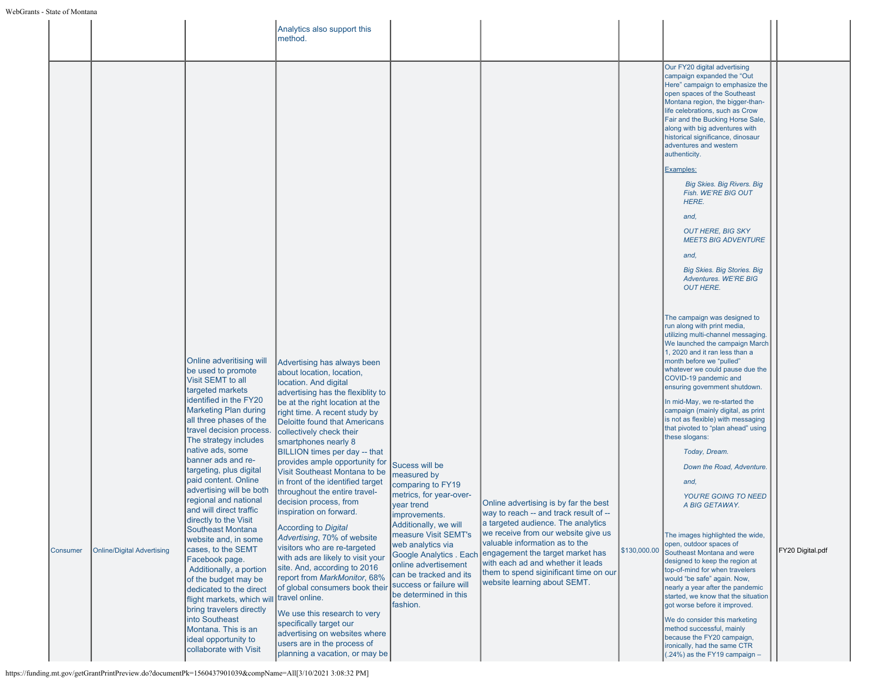|          |                                   |                                                                                                                                                                                                                                                                                                                                                                                                                                                                                                                                                                                                                                                                                                                                                                 | Analytics also support this<br>method.                                                                                                                                                                                                                                                                                                                                                                                                                                                                                                                                                                                                                                                                                                                                                                                                                                                                                             |                                                                                                                                                                                                                                                                                                                                 |                                                                                                                                                                                                                                                                                                                                                   |              |                                                                                                                                                                                                                                                                                                                                                                                                                                                                                                                                                                                                                                                                                                                                                                                                                                                                                                                                                                                                                                                     |                  |
|----------|-----------------------------------|-----------------------------------------------------------------------------------------------------------------------------------------------------------------------------------------------------------------------------------------------------------------------------------------------------------------------------------------------------------------------------------------------------------------------------------------------------------------------------------------------------------------------------------------------------------------------------------------------------------------------------------------------------------------------------------------------------------------------------------------------------------------|------------------------------------------------------------------------------------------------------------------------------------------------------------------------------------------------------------------------------------------------------------------------------------------------------------------------------------------------------------------------------------------------------------------------------------------------------------------------------------------------------------------------------------------------------------------------------------------------------------------------------------------------------------------------------------------------------------------------------------------------------------------------------------------------------------------------------------------------------------------------------------------------------------------------------------|---------------------------------------------------------------------------------------------------------------------------------------------------------------------------------------------------------------------------------------------------------------------------------------------------------------------------------|---------------------------------------------------------------------------------------------------------------------------------------------------------------------------------------------------------------------------------------------------------------------------------------------------------------------------------------------------|--------------|-----------------------------------------------------------------------------------------------------------------------------------------------------------------------------------------------------------------------------------------------------------------------------------------------------------------------------------------------------------------------------------------------------------------------------------------------------------------------------------------------------------------------------------------------------------------------------------------------------------------------------------------------------------------------------------------------------------------------------------------------------------------------------------------------------------------------------------------------------------------------------------------------------------------------------------------------------------------------------------------------------------------------------------------------------|------------------|
|          |                                   |                                                                                                                                                                                                                                                                                                                                                                                                                                                                                                                                                                                                                                                                                                                                                                 |                                                                                                                                                                                                                                                                                                                                                                                                                                                                                                                                                                                                                                                                                                                                                                                                                                                                                                                                    |                                                                                                                                                                                                                                                                                                                                 |                                                                                                                                                                                                                                                                                                                                                   |              | Our FY20 digital advertising<br>campaign expanded the "Out<br>Here" campaign to emphasize the<br>open spaces of the Southeast<br>Montana region, the bigger-than-<br>life celebrations, such as Crow<br>Fair and the Bucking Horse Sale,<br>along with big adventures with<br>historical significance, dinosaur<br>adventures and western<br>authenticity.<br>Examples:<br><b>Big Skies. Big Rivers. Big</b><br>Fish. WE'RE BIG OUT<br>HERE.<br>and,<br><b>OUT HERE, BIG SKY</b><br><b>MEETS BIG ADVENTURE</b><br>and.<br><b>Big Skies. Big Stories. Big</b><br>Adventures, WE'RE BIG<br><b>OUT HERE.</b>                                                                                                                                                                                                                                                                                                                                                                                                                                           |                  |
| Consumer | <b>Online/Digital Advertising</b> | Online adveritising will<br>be used to promote<br>Visit SEMT to all<br>targeted markets<br>identified in the FY20<br><b>Marketing Plan during</b><br>all three phases of the<br>travel decision process.<br>The strategy includes<br>native ads, some<br>banner ads and re-<br>targeting, plus digital<br>paid content. Online<br>advertising will be both<br>regional and national<br>and will direct traffic<br>directly to the Visit<br>Southeast Montana<br>website and, in some<br>cases, to the SEMT<br>Facebook page.<br>Additionally, a portion<br>of the budget may be<br>dedicated to the direct<br>flight markets, which will<br>bring travelers directly<br>into Southeast<br>Montana. This is an<br>ideal opportunity to<br>collaborate with Visit | Advertising has always been<br>about location, location,<br>location. And digital<br>advertising has the flexiblity to<br>be at the right location at the<br>right time. A recent study by<br><b>Deloitte found that Americans</b><br>collectively check their<br>smartphones nearly 8<br>BILLION times per day -- that<br>provides ample opportunity for<br>Visit Southeast Montana to be<br>in front of the identified target<br>throughout the entire travel-<br>decision process, from<br>inspiration on forward.<br>According to Digital<br>Advertising, 70% of website<br>visitors who are re-targeted<br>with ads are likely to visit your<br>site. And, according to 2016<br>report from MarkMonitor, 68%<br>of global consumers book their<br>travel online.<br>We use this research to very<br>specifically target our<br>advertising on websites where<br>users are in the process of<br>planning a vacation, or may be | Sucess will be<br>measured by<br>comparing to FY19<br>metrics, for year-over-<br>vear trend<br>improvements.<br>Additionally, we will<br>measure Visit SEMT's<br>web analytics via<br>Google Analytics . Each<br>online advertisement<br>can be tracked and its<br>success or failure will<br>be determined in this<br>fashion. | Online advertising is by far the best<br>way to reach -- and track result of --<br>a targeted audience. The analytics<br>we receive from our website give us<br>valuable information as to the<br>engagement the target market has<br>with each ad and whether it leads<br>them to spend siginificant time on our<br>website learning about SEMT. | \$130,000.00 | The campaign was designed to<br>run along with print media,<br>utilizing multi-channel messaging.<br>We launched the campaign March<br>1, 2020 and it ran less than a<br>month before we "pulled"<br>whatever we could pause due the<br>COVID-19 pandemic and<br>ensuring government shutdown.<br>In mid-May, we re-started the<br>campaign (mainly digital, as print<br>is not as flexible) with messaging<br>that pivoted to "plan ahead" using<br>these slogans:<br>Today, Dream.<br>Down the Road, Adventure.<br>and,<br><b>YOU'RE GOING TO NEED</b><br>A BIG GETAWAY.<br>The images highlighted the wide,<br>open, outdoor spaces of<br>Southeast Montana and were<br>designed to keep the region at<br>top-of-mind for when travelers<br>would "be safe" again. Now,<br>nearly a year after the pandemic<br>started, we know that the situation<br>got worse before it improved.<br>We do consider this marketing<br>method successful, mainly<br>because the FY20 campaign,<br>ironically, had the same CTR<br>(.24%) as the FY19 campaign - | FY20 Digital.pdf |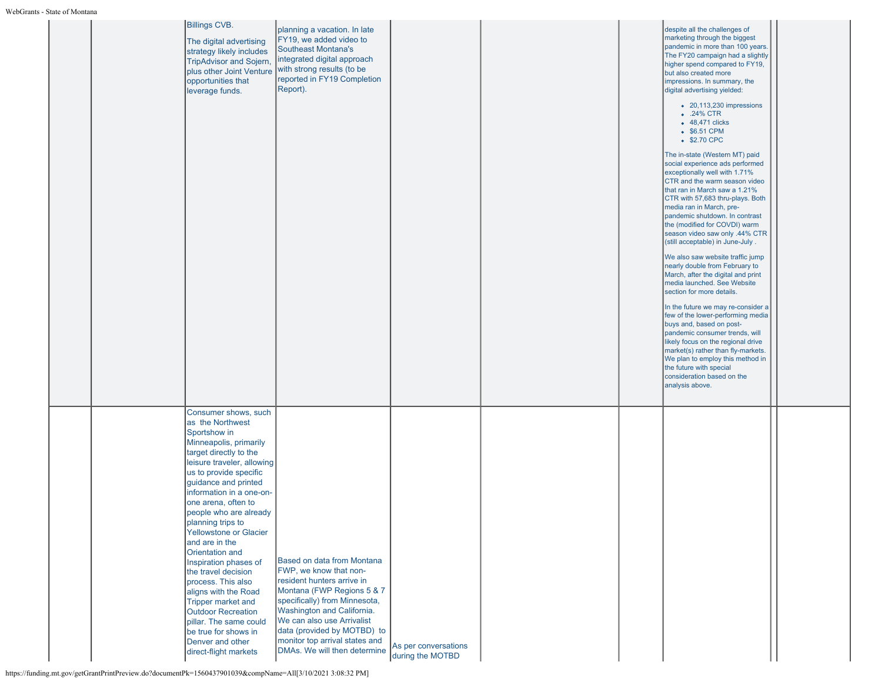| ms - этате от імощана |                                                                                                                                                                                                                                                                                                                                                                                                                                                                                                                                                                                                                             |                                                                                                                                                                                                                                                                                                                |                                          |  |                                                                                                                                                                                                                                                                                                                                                                                                                                                                                                                                                                                                                                                                                                                                                                                                                                                                                                                                                                                                                                                                                                                                                                                                                                                                      |  |
|-----------------------|-----------------------------------------------------------------------------------------------------------------------------------------------------------------------------------------------------------------------------------------------------------------------------------------------------------------------------------------------------------------------------------------------------------------------------------------------------------------------------------------------------------------------------------------------------------------------------------------------------------------------------|----------------------------------------------------------------------------------------------------------------------------------------------------------------------------------------------------------------------------------------------------------------------------------------------------------------|------------------------------------------|--|----------------------------------------------------------------------------------------------------------------------------------------------------------------------------------------------------------------------------------------------------------------------------------------------------------------------------------------------------------------------------------------------------------------------------------------------------------------------------------------------------------------------------------------------------------------------------------------------------------------------------------------------------------------------------------------------------------------------------------------------------------------------------------------------------------------------------------------------------------------------------------------------------------------------------------------------------------------------------------------------------------------------------------------------------------------------------------------------------------------------------------------------------------------------------------------------------------------------------------------------------------------------|--|
|                       | Billings CVB.<br>The digital advertising<br>strategy likely includes<br><b>TripAdvisor and Sojern,</b><br>plus other Joint Venture<br>opportunities that<br>leverage funds.                                                                                                                                                                                                                                                                                                                                                                                                                                                 | planning a vacation. In late<br>FY19, we added video to<br>Southeast Montana's<br>integrated digital approach<br>with strong results (to be<br>reported in FY19 Completion<br>Report).                                                                                                                         |                                          |  | despite all the challenges of<br>marketing through the biggest<br>pandemic in more than 100 years.<br>The FY20 campaign had a slightly<br>higher spend compared to FY19,<br>but also created more<br>impressions. In summary, the<br>digital advertising yielded:<br>• 20,113,230 impressions<br>$\bullet$ .24% CTR<br>• 48,471 clicks<br>• \$6.51 CPM<br>• \$2.70 CPC<br>The in-state (Western MT) paid<br>social experience ads performed<br>exceptionally well with 1.71%<br>CTR and the warm season video<br>that ran in March saw a 1.21%<br>CTR with 57,683 thru-plays. Both<br>media ran in March, pre-<br>pandemic shutdown. In contrast<br>the (modified for COVDI) warm<br>season video saw only .44% CTR<br>(still acceptable) in June-July.<br>We also saw website traffic jump<br>nearly double from February to<br>March, after the digital and print<br>media launched. See Website<br>section for more details.<br>In the future we may re-consider a<br>few of the lower-performing media<br>buys and, based on post-<br>pandemic consumer trends, will<br>likely focus on the regional drive<br>market(s) rather than fly-markets.<br>We plan to employ this method in<br>the future with special<br>consideration based on the<br>analysis above. |  |
|                       | Consumer shows, such<br>as the Northwest<br>Sportshow in<br>Minneapolis, primarily<br>target directly to the<br>leisure traveler, allowing<br>us to provide specific<br>guidance and printed<br>information in a one-on-<br>one arena, often to<br>people who are already<br>planning trips to<br><b>Yellowstone or Glacier</b><br>and are in the<br>Orientation and<br>Inspiration phases of<br>the travel decision<br>process. This also<br>aligns with the Road<br><b>Tripper market and</b><br><b>Outdoor Recreation</b><br>pillar. The same could<br>be true for shows in<br>Denver and other<br>direct-flight markets | Based on data from Montana<br>FWP, we know that non-<br>resident hunters arrive in<br>Montana (FWP Regions 5 & 7<br>specifically) from Minnesota,<br>Washington and California.<br>We can also use Arrivalist<br>data (provided by MOTBD) to<br>monitor top arrival states and<br>DMAs. We will then determine | As per conversations<br>during the MOTBD |  |                                                                                                                                                                                                                                                                                                                                                                                                                                                                                                                                                                                                                                                                                                                                                                                                                                                                                                                                                                                                                                                                                                                                                                                                                                                                      |  |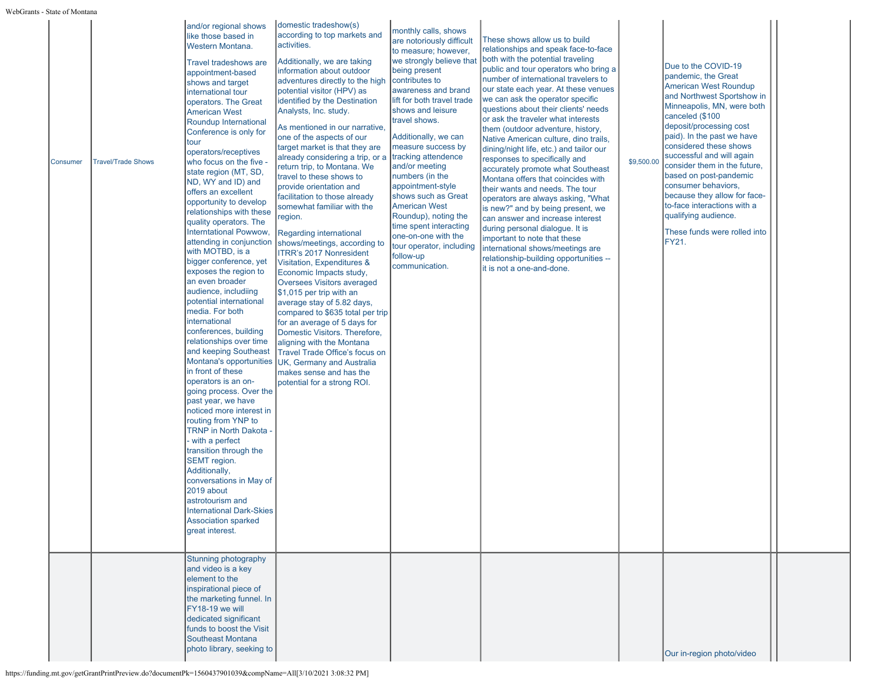| Consumer | <b>Travel/Trade Shows</b> | and/or regional shows<br>like those based in<br>Western Montana.<br><b>Travel tradeshows are</b><br>appointment-based<br>shows and target<br>international tour<br>operators. The Great<br><b>American West</b><br>Roundup International<br>Conference is only for<br>tour<br>operators/receptives<br>who focus on the five -<br>state region (MT, SD,<br>ND, WY and ID) and<br>offers an excellent<br>opportunity to develop<br>relationships with these<br>quality operators. The<br>Interntational Powwow,<br>attending in conjunction<br>with MOTBD, is a<br>bigger conference, yet<br>exposes the region to<br>lan even broader<br>audience, includiing<br>potential international<br>media. For both<br>international<br>conferences, building<br>relationships over time<br>and keeping Southeast<br>in front of these<br>operators is an on-<br>going process. Over the<br>past year, we have<br>noticed more interest in<br>routing from YNP to<br><b>TRNP</b> in North Dakota -<br>- with a perfect<br>transition through the<br>SEMT region.<br>Additionally,<br>conversations in May of<br>2019 about<br>astrotourism and<br><b>International Dark-Skies</b><br><b>Association sparked</b><br>great interest.<br>Stunning photography | domestic tradeshow(s)<br>according to top markets and<br>activities.<br>Additionally, we are taking<br>information about outdoor<br>adventures directly to the high<br>potential visitor (HPV) as<br>identified by the Destination<br>Analysts, Inc. study.<br>As mentioned in our narrative,<br>one of the aspects of our<br>target market is that they are<br>already considering a trip, or a<br>return trip, to Montana. We<br>travel to these shows to<br>provide orientation and<br>facilitation to those already<br>somewhat familiar with the<br>region.<br>Regarding international<br>shows/meetings, according to<br><b>ITRR's 2017 Nonresident</b><br>Visitation, Expenditures &<br>Economic Impacts study,<br><b>Oversees Visitors averaged</b><br>$\vert$ \$1,015 per trip with an<br>average stay of 5.82 days,<br>compared to \$635 total per trip<br>for an average of 5 days for<br>Domestic Visitors. Therefore,<br>aligning with the Montana<br>Travel Trade Office's focus on<br>Montana's opportunities UK, Germany and Australia<br>makes sense and has the<br>potential for a strong ROI. | monthly calls, shows<br>are notoriously difficult<br>to measure; however,<br>we strongly believe that<br>being present<br>contributes to<br>awareness and brand<br>lift for both travel trade<br>shows and leisure<br>travel shows.<br>Additionally, we can<br>measure success by<br>tracking attendence<br>and/or meeting<br>numbers (in the<br>appointment-style<br>shows such as Great<br><b>American West</b><br>Roundup), noting the<br>time spent interacting<br>one-on-one with the<br>tour operator, including<br>follow-up<br>communication. | These shows allow us to build<br>relationships and speak face-to-face<br>both with the potential traveling<br>public and tour operators who bring a<br>Inumber of international travelers to<br>our state each year. At these venues<br>we can ask the operator specific<br>questions about their clients' needs<br>or ask the traveler what interests<br>them (outdoor adventure, history,<br>Native American culture, dino trails,<br>dining/night life, etc.) and tailor our<br>responses to specifically and<br>accurately promote what Southeast<br>Montana offers that coincides with<br>their wants and needs. The tour<br>operators are always asking, "What<br>is new?" and by being present, we<br>can answer and increase interest<br>during personal dialogue. It is<br>important to note that these<br>international shows/meetings are<br>relationship-building opportunities --<br>it is not a one-and-done. | \$9,500.00 | Due to the COVID-19<br>pandemic, the Great<br><b>American West Roundup</b><br>and Northwest Sportshow in<br>Minneapolis, MN, were both<br>canceled (\$100<br>deposit/processing cost<br>paid). In the past we have<br>considered these shows<br>successful and will again<br>consider them in the future,<br>based on post-pandemic<br>consumer behaviors,<br>because they allow for face-<br>to-face interactions with a<br>qualifying audience.<br>These funds were rolled into<br>FY21. |  |
|----------|---------------------------|---------------------------------------------------------------------------------------------------------------------------------------------------------------------------------------------------------------------------------------------------------------------------------------------------------------------------------------------------------------------------------------------------------------------------------------------------------------------------------------------------------------------------------------------------------------------------------------------------------------------------------------------------------------------------------------------------------------------------------------------------------------------------------------------------------------------------------------------------------------------------------------------------------------------------------------------------------------------------------------------------------------------------------------------------------------------------------------------------------------------------------------------------------------------------------------------------------------------------------------------------|------------------------------------------------------------------------------------------------------------------------------------------------------------------------------------------------------------------------------------------------------------------------------------------------------------------------------------------------------------------------------------------------------------------------------------------------------------------------------------------------------------------------------------------------------------------------------------------------------------------------------------------------------------------------------------------------------------------------------------------------------------------------------------------------------------------------------------------------------------------------------------------------------------------------------------------------------------------------------------------------------------------------------------------------------------------------------------------------------------------|-------------------------------------------------------------------------------------------------------------------------------------------------------------------------------------------------------------------------------------------------------------------------------------------------------------------------------------------------------------------------------------------------------------------------------------------------------------------------------------------------------------------------------------------------------|-----------------------------------------------------------------------------------------------------------------------------------------------------------------------------------------------------------------------------------------------------------------------------------------------------------------------------------------------------------------------------------------------------------------------------------------------------------------------------------------------------------------------------------------------------------------------------------------------------------------------------------------------------------------------------------------------------------------------------------------------------------------------------------------------------------------------------------------------------------------------------------------------------------------------------|------------|--------------------------------------------------------------------------------------------------------------------------------------------------------------------------------------------------------------------------------------------------------------------------------------------------------------------------------------------------------------------------------------------------------------------------------------------------------------------------------------------|--|
|          |                           | and video is a key<br>element to the<br>inspirational piece of<br>the marketing funnel. In<br>FY18-19 we will<br>dedicated significant<br>funds to boost the Visit<br>Southeast Montana<br>photo library, seeking to                                                                                                                                                                                                                                                                                                                                                                                                                                                                                                                                                                                                                                                                                                                                                                                                                                                                                                                                                                                                                              |                                                                                                                                                                                                                                                                                                                                                                                                                                                                                                                                                                                                                                                                                                                                                                                                                                                                                                                                                                                                                                                                                                                  |                                                                                                                                                                                                                                                                                                                                                                                                                                                                                                                                                       |                                                                                                                                                                                                                                                                                                                                                                                                                                                                                                                                                                                                                                                                                                                                                                                                                                                                                                                             |            | Our in-region photo/video                                                                                                                                                                                                                                                                                                                                                                                                                                                                  |  |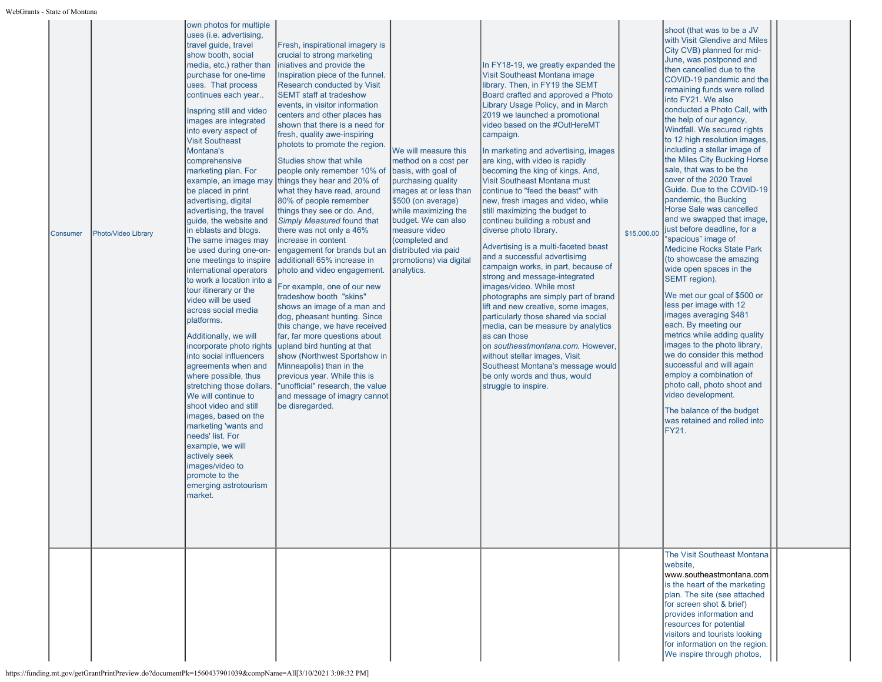| Consumer | Photo/Video Library | own photos for multiple<br>uses (i.e. advertising,<br>travel guide, travel<br>show booth, social<br>media, etc.) rather than<br>purchase for one-time<br>uses. That process<br>continues each year<br>Inspring still and video<br>images are integrated<br>into every aspect of<br><b>Visit Southeast</b><br>Montana's<br>comprehensive<br>marketing plan. For<br>example, an image may<br>be placed in print<br>advertising, digital<br>advertising, the travel<br>guide, the website and<br>in eblasts and blogs.<br>The same images may<br>be used during one-on-<br>one meetings to inspire<br>international operators<br>to work a location into a<br>tour itinerary or the<br>video will be used<br>across social media<br>platforms.<br>Additionally, we will<br>incorporate photo rights<br>into social influencers<br>agreements when and<br>where possible, thus<br>stretching those dollars.<br>We will continue to<br>shoot video and still<br>images, based on the<br>marketing 'wants and<br>needs' list. For<br>example, we will<br>actively seek<br>images/video to<br>promote to the<br>emerging astrotourism<br>market. | Fresh, inspirational imagery is<br>crucial to strong marketing<br>iniatives and provide the<br>Inspiration piece of the funnel.<br>Research conducted by Visit<br><b>SEMT staff at tradeshow</b><br>events, in visitor information<br>centers and other places has<br>shown that there is a need for<br>fresh, quality awe-inspiring<br>photots to promote the region.<br>Studies show that while<br>people only remember 10% of<br>things they hear and 20% of<br>what they have read, around<br>80% of people remember<br>things they see or do. And,<br>Simply Measured found that<br>there was not only a 46%<br>increase in content<br>engagement for brands but an distributed via paid<br>additionall 65% increase in<br>photo and video engagement. analytics.<br>For example, one of our new<br>tradeshow booth "skins"<br>shows an image of a man and<br>dog, pheasant hunting. Since<br>this change, we have received<br>far, far more questions about<br>upland bird hunting at that<br>show (Northwest Sportshow in<br>Minneapolis) than in the<br>previous year. While this is<br>"unofficial" research, the value<br>and message of imagry cannot<br>be disregarded. | We will measure this<br>method on a cost per<br>basis, with goal of<br>purchasing quality<br>images at or less than<br>\$500 (on average)<br>while maximizing the<br>budget. We can also<br>measure video<br>(completed and<br>promotions) via digital | In FY18-19, we greatly expanded the<br>Visit Southeast Montana image<br>library. Then, in FY19 the SEMT<br>Board crafted and approved a Photo<br>Library Usage Policy, and in March<br>2019 we launched a promotional<br>video based on the #OutHereMT<br>campaign.<br>In marketing and advertising, images<br>are king, with video is rapidly<br>becoming the king of kings. And,<br>Visit Southeast Montana must<br>continue to "feed the beast" with<br>new, fresh images and video, while<br>still maximizing the budget to<br>contineu building a robust and<br>diverse photo library.<br>Advertising is a multi-faceted beast<br>and a successful advertisimg<br>campaign works, in part, because of<br>strong and message-integrated<br>images/video. While most<br>photographs are simply part of brand<br>lift and new creative, some images,<br>particularly those shared via social<br>media, can be measure by analytics<br>las can those<br>on southeastmontana.com. However,<br>without stellar images, Visit<br>Southeast Montana's message would<br>be only words and thus, would<br>struggle to inspire. | \$15,000.00 | shoot (that was to be a JV<br>with Visit Glendive and Miles<br>City CVB) planned for mid-<br>June, was postponed and<br>then cancelled due to the<br>COVID-19 pandemic and the<br>remaining funds were rolled<br>into FY21. We also<br>conducted a Photo Call, with<br>the help of our agency,<br>Windfall. We secured rights<br>to 12 high resolution images,<br>including a stellar image of<br>the Miles City Bucking Horse<br>sale, that was to be the<br>cover of the 2020 Travel<br>Guide. Due to the COVID-19<br>pandemic, the Bucking<br>Horse Sale was cancelled<br>and we swapped that image,<br>just before deadline, for a<br>"spacious" image of<br><b>Medicine Rocks State Park</b><br>(to showcase the amazing<br>wide open spaces in the<br>SEMT region).<br>We met our goal of \$500 or<br>less per image with 12<br>images averaging \$481<br>each. By meeting our<br>metrics while adding quality<br>images to the photo library,<br>we do consider this method<br>successful and will again<br>employ a combination of<br>photo call, photo shoot and<br>video development.<br>The balance of the budget<br>was retained and rolled into<br>FY21.<br>The Visit Southeast Montana |  |
|----------|---------------------|-------------------------------------------------------------------------------------------------------------------------------------------------------------------------------------------------------------------------------------------------------------------------------------------------------------------------------------------------------------------------------------------------------------------------------------------------------------------------------------------------------------------------------------------------------------------------------------------------------------------------------------------------------------------------------------------------------------------------------------------------------------------------------------------------------------------------------------------------------------------------------------------------------------------------------------------------------------------------------------------------------------------------------------------------------------------------------------------------------------------------------------------|-------------------------------------------------------------------------------------------------------------------------------------------------------------------------------------------------------------------------------------------------------------------------------------------------------------------------------------------------------------------------------------------------------------------------------------------------------------------------------------------------------------------------------------------------------------------------------------------------------------------------------------------------------------------------------------------------------------------------------------------------------------------------------------------------------------------------------------------------------------------------------------------------------------------------------------------------------------------------------------------------------------------------------------------------------------------------------------------------------------------------------------------------------------------------------------|--------------------------------------------------------------------------------------------------------------------------------------------------------------------------------------------------------------------------------------------------------|---------------------------------------------------------------------------------------------------------------------------------------------------------------------------------------------------------------------------------------------------------------------------------------------------------------------------------------------------------------------------------------------------------------------------------------------------------------------------------------------------------------------------------------------------------------------------------------------------------------------------------------------------------------------------------------------------------------------------------------------------------------------------------------------------------------------------------------------------------------------------------------------------------------------------------------------------------------------------------------------------------------------------------------------------------------------------------------------------------------------------|-------------|------------------------------------------------------------------------------------------------------------------------------------------------------------------------------------------------------------------------------------------------------------------------------------------------------------------------------------------------------------------------------------------------------------------------------------------------------------------------------------------------------------------------------------------------------------------------------------------------------------------------------------------------------------------------------------------------------------------------------------------------------------------------------------------------------------------------------------------------------------------------------------------------------------------------------------------------------------------------------------------------------------------------------------------------------------------------------------------------------------------------------------------------------------------------------------------------------|--|
|          |                     |                                                                                                                                                                                                                                                                                                                                                                                                                                                                                                                                                                                                                                                                                                                                                                                                                                                                                                                                                                                                                                                                                                                                           |                                                                                                                                                                                                                                                                                                                                                                                                                                                                                                                                                                                                                                                                                                                                                                                                                                                                                                                                                                                                                                                                                                                                                                                     |                                                                                                                                                                                                                                                        |                                                                                                                                                                                                                                                                                                                                                                                                                                                                                                                                                                                                                                                                                                                                                                                                                                                                                                                                                                                                                                                                                                                           |             | website,<br>www.southeastmontana.com<br>is the heart of the marketing<br>plan. The site (see attached<br>for screen shot & brief)<br>provides information and<br>resources for potential<br>visitors and tourists looking<br>for information on the region.<br>We inspire through photos,                                                                                                                                                                                                                                                                                                                                                                                                                                                                                                                                                                                                                                                                                                                                                                                                                                                                                                            |  |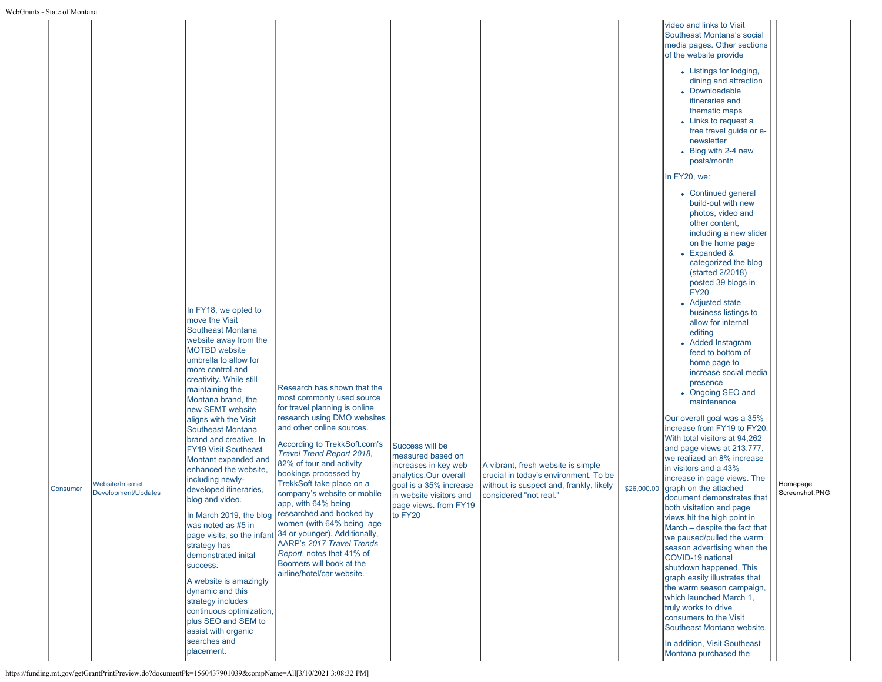| rants - State of Montana |                                         |                                                                                                                                                                                                                                                                                                                                                                                                                                                                                                                                                                                                                                                    |                                                                                                                                                                                                                                                                                                                                                                                                                                                                                                                                                                                                                             |                                                                                                                                                                                |                                                                                                                                                  |             |                                                                                                                                                                                                                                                                                                                                                                                                                                                                                                                                                                                                                                                                                                                                                                                                                                                                                                                                                                                                                                                                                                                                                                                                                                                                                                                                                                                                         |                            |
|--------------------------|-----------------------------------------|----------------------------------------------------------------------------------------------------------------------------------------------------------------------------------------------------------------------------------------------------------------------------------------------------------------------------------------------------------------------------------------------------------------------------------------------------------------------------------------------------------------------------------------------------------------------------------------------------------------------------------------------------|-----------------------------------------------------------------------------------------------------------------------------------------------------------------------------------------------------------------------------------------------------------------------------------------------------------------------------------------------------------------------------------------------------------------------------------------------------------------------------------------------------------------------------------------------------------------------------------------------------------------------------|--------------------------------------------------------------------------------------------------------------------------------------------------------------------------------|--------------------------------------------------------------------------------------------------------------------------------------------------|-------------|---------------------------------------------------------------------------------------------------------------------------------------------------------------------------------------------------------------------------------------------------------------------------------------------------------------------------------------------------------------------------------------------------------------------------------------------------------------------------------------------------------------------------------------------------------------------------------------------------------------------------------------------------------------------------------------------------------------------------------------------------------------------------------------------------------------------------------------------------------------------------------------------------------------------------------------------------------------------------------------------------------------------------------------------------------------------------------------------------------------------------------------------------------------------------------------------------------------------------------------------------------------------------------------------------------------------------------------------------------------------------------------------------------|----------------------------|
| Consumer                 | Website/Internet<br>Development/Updates | In FY18, we opted to<br>move the Visit<br>Southeast Montana<br>website away from the<br><b>MOTBD</b> website<br>umbrella to allow for<br>more control and<br>creativity. While still<br>maintaining the<br>Montana brand, the<br>new SEMT website<br>aligns with the Visit<br>Southeast Montana<br>brand and creative. In<br><b>FY19 Visit Southeast</b><br>Montant expanded and<br>enhanced the website,<br>including newly-<br>developed itineraries,<br>blog and video.<br>was noted as #5 in<br>strategy has<br>demonstrated inital<br>success.<br>A website is amazingly<br>dynamic and this<br>strategy includes<br>continuous optimization, | Research has shown that the<br>most commonly used source<br>for travel planning is online<br>research using DMO websites<br>and other online sources.<br>According to TrekkSoft.com's<br>Travel Trend Report 2018,<br>82% of tour and activity<br>bookings processed by<br>TrekkSoft take place on a<br>company's website or mobile<br>app, with 64% being<br>In March 2019, the blog researched and booked by<br>women (with 64% being age<br>page visits, so the infant 34 or younger). Additionally,<br>AARP's 2017 Travel Trends<br>Report, notes that 41% of<br>Boomers will book at the<br>airline/hotel/car website. | Success will be<br>measured based on<br>increases in key web<br>analytics.Our overall<br>goal is a 35% increase<br>in website visitors and<br>page views. from FY19<br>to FY20 | A vibrant, fresh website is simple<br>crucial in today's environment. To be<br>without is suspect and, frankly, likely<br>considered "not real." | \$26,000.00 | video and links to Visit<br>Southeast Montana's social<br>media pages. Other sections<br>of the website provide<br>• Listings for lodging,<br>dining and attraction<br>• Downloadable<br>itineraries and<br>thematic maps<br>• Links to request a<br>free travel guide or e-<br>newsletter<br>• Blog with 2-4 new<br>posts/month<br>In FY20, we:<br>• Continued general<br>build-out with new<br>photos, video and<br>other content,<br>including a new slider<br>on the home page<br>• Expanded &<br>categorized the blog<br>$(stated 2/2018) -$<br>posted 39 blogs in<br><b>FY20</b><br>• Adjusted state<br>business listings to<br>allow for internal<br>editing<br>• Added Instagram<br>feed to bottom of<br>home page to<br>increase social media<br>presence<br>• Ongoing SEO and<br>maintenance<br>Our overall goal was a 35%<br>increase from FY19 to FY20<br>With total visitors at 94,262<br>and page views at 213,777,<br>we realized an 8% increase<br>in visitors and a 43%<br>increase in page views. The<br>graph on the attached<br>document demonstrates that<br>both visitation and page<br>views hit the high point in<br>March - despite the fact that<br>we paused/pulled the warm<br>season advertising when the<br>COVID-19 national<br>shutdown happened. This<br>graph easily illustrates that<br>the warm season campaign,<br>which launched March 1,<br>truly works to drive | Homepage<br>Screenshot.PNG |
|                          |                                         | plus SEO and SEM to<br>assist with organic<br>searches and<br>placement.                                                                                                                                                                                                                                                                                                                                                                                                                                                                                                                                                                           |                                                                                                                                                                                                                                                                                                                                                                                                                                                                                                                                                                                                                             |                                                                                                                                                                                |                                                                                                                                                  |             | consumers to the Visit<br>Southeast Montana website.<br>In addition, Visit Southeast<br>Montana purchased the                                                                                                                                                                                                                                                                                                                                                                                                                                                                                                                                                                                                                                                                                                                                                                                                                                                                                                                                                                                                                                                                                                                                                                                                                                                                                           |                            |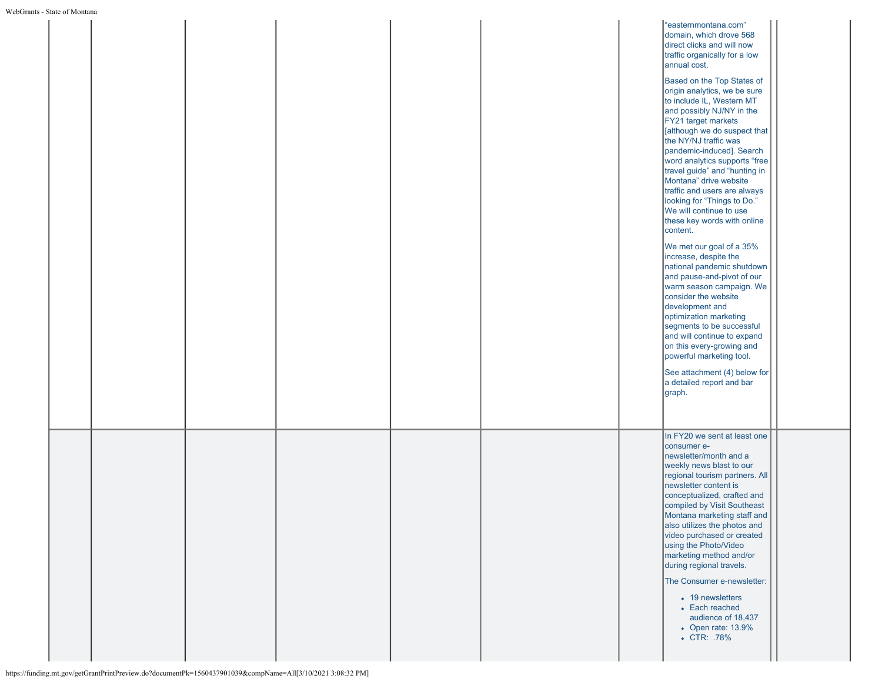|--|

| s - State of Montana |  |  |                                                                                                                                                                                                                                                                                                                                                                                                                                                                                                                                                                                                                                                                                                                                                                                                                                                                                                                                                                                                                    |  |
|----------------------|--|--|--------------------------------------------------------------------------------------------------------------------------------------------------------------------------------------------------------------------------------------------------------------------------------------------------------------------------------------------------------------------------------------------------------------------------------------------------------------------------------------------------------------------------------------------------------------------------------------------------------------------------------------------------------------------------------------------------------------------------------------------------------------------------------------------------------------------------------------------------------------------------------------------------------------------------------------------------------------------------------------------------------------------|--|
|                      |  |  | "easternmontana.com"<br>domain, which drove 568<br>direct clicks and will now<br>traffic organically for a low<br>annual cost.<br>Based on the Top States of<br>origin analytics, we be sure<br>to include IL, Western MT<br>and possibly NJ/NY in the<br>FY21 target markets<br>[although we do suspect that<br>the NY/NJ traffic was<br>pandemic-induced]. Search<br>word analytics supports "free<br>travel guide" and "hunting in<br>Montana" drive website<br>traffic and users are always<br>looking for "Things to Do."<br>We will continue to use<br>these key words with online<br>content.<br>We met our goal of a 35%<br>increase, despite the<br>national pandemic shutdown<br>and pause-and-pivot of our<br>warm season campaign. We<br>consider the website<br>development and<br>optimization marketing<br>segments to be successful<br>and will continue to expand<br>on this every-growing and<br>powerful marketing tool.<br>See attachment (4) below for<br>a detailed report and bar<br>graph. |  |
|                      |  |  | In FY20 we sent at least one<br>consumer e-<br>newsletter/month and a<br>weekly news blast to our<br>regional tourism partners. All<br>newsletter content is<br>conceptualized, crafted and<br>compiled by Visit Southeast<br>Montana marketing staff and<br>also utilizes the photos and<br>video purchased or created<br>using the Photo/Video<br>marketing method and/or<br>during regional travels.<br>The Consumer e-newsletter:<br>• 19 newsletters<br>• Each reached<br>audience of 18,437<br>• Open rate: 13.9%<br>• CTR: .78%                                                                                                                                                                                                                                                                                                                                                                                                                                                                             |  |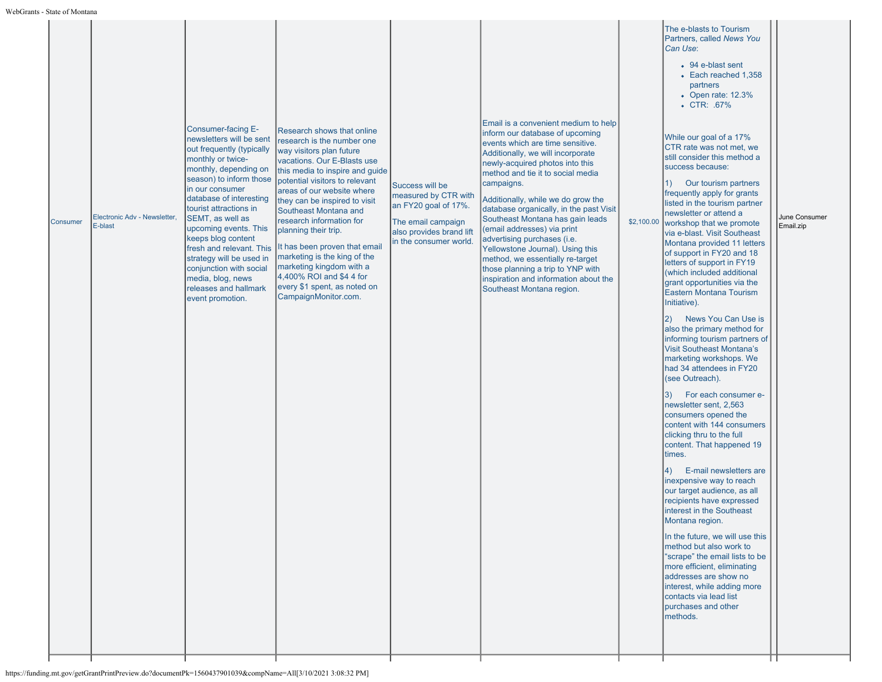|  | Consumer | Electronic Adv - Newsletter,<br>E-blast | Consumer-facing E-<br>newsletters will be sent<br>out frequently (typically<br>monthly or twice-<br>monthly, depending on<br>season) to inform those<br>in our consumer<br>database of interesting<br>tourist attractions in<br>SEMT, as well as<br>upcoming events. This<br>keeps blog content<br>fresh and relevant. This<br>strategy will be used in<br>conjunction with social<br>media, blog, news<br>releases and hallmark<br>event promotion. | Research shows that online<br>research is the number one<br>way visitors plan future<br>vacations. Our E-Blasts use<br>this media to inspire and guide<br>potential visitors to relevant<br>areas of our website where<br>they can be inspired to visit<br>Southeast Montana and<br>research information for<br>planning their trip.<br>It has been proven that email<br>marketing is the king of the<br>marketing kingdom with a<br>4,400% ROI and \$4 4 for<br>every \$1 spent, as noted on<br>CampaignMonitor.com. | Success will be<br>measured by CTR with<br>an FY20 goal of 17%.<br>The email campaign<br>also provides brand lift<br>in the consumer world. | Email is a convenient medium to help<br>inform our database of upcoming<br>events which are time sensitive.<br>Additionally, we will incorporate<br>newly-acquired photos into this<br>method and tie it to social media<br>campaigns.<br>Additionally, while we do grow the<br>database organically, in the past Visit<br>Southeast Montana has gain leads<br>(email addresses) via print<br>advertising purchases (i.e.<br>Yellowstone Journal). Using this<br>method, we essentially re-target<br>those planning a trip to YNP with<br>inspiration and information about the<br>Southeast Montana region. | \$2,100.00 | Partners, called News You<br>Can Use:<br>• 94 e-blast sent<br>• Each reached 1,358<br>partners<br>• Open rate: 12.3%<br>• CTR: .67%<br>While our goal of a 17%<br>CTR rate was not met, we<br>still consider this method a<br>success because:<br>Our tourism partners<br>$\left( \begin{matrix} 1 \end{matrix} \right)$<br>frequently apply for grants<br>listed in the tourism partner<br>newsletter or attend a<br>workshop that we promote<br>via e-blast. Visit Southeast<br>Montana provided 11 letters<br>of support in FY20 and 18<br>letters of support in FY19<br>(which included additional<br>grant opportunities via the<br>Eastern Montana Tourism<br>Initiative).<br>News You Can Use is<br>2)<br>also the primary method for<br>informing tourism partners of<br><b>Visit Southeast Montana's</b><br>marketing workshops. We<br>had 34 attendees in FY20<br>(see Outreach).<br>For each consumer e-<br>3)<br>newsletter sent, 2,563<br>consumers opened the<br>content with 144 consumers<br>clicking thru to the full<br>content. That happened 19<br>times.<br>E-mail newsletters are<br>4)<br>inexpensive way to reach<br>our target audience, as all<br>recipients have expressed<br>interest in the Southeast<br>Montana region.<br>In the future, we will use this<br>method but also work to<br>"scrape" the email lists to be<br>more efficient, eliminating<br>addresses are show no<br>interest, while adding more<br>contacts via lead list<br>purchases and other<br>methods. | June Consumer<br>Email.zip |
|--|----------|-----------------------------------------|------------------------------------------------------------------------------------------------------------------------------------------------------------------------------------------------------------------------------------------------------------------------------------------------------------------------------------------------------------------------------------------------------------------------------------------------------|-----------------------------------------------------------------------------------------------------------------------------------------------------------------------------------------------------------------------------------------------------------------------------------------------------------------------------------------------------------------------------------------------------------------------------------------------------------------------------------------------------------------------|---------------------------------------------------------------------------------------------------------------------------------------------|--------------------------------------------------------------------------------------------------------------------------------------------------------------------------------------------------------------------------------------------------------------------------------------------------------------------------------------------------------------------------------------------------------------------------------------------------------------------------------------------------------------------------------------------------------------------------------------------------------------|------------|-----------------------------------------------------------------------------------------------------------------------------------------------------------------------------------------------------------------------------------------------------------------------------------------------------------------------------------------------------------------------------------------------------------------------------------------------------------------------------------------------------------------------------------------------------------------------------------------------------------------------------------------------------------------------------------------------------------------------------------------------------------------------------------------------------------------------------------------------------------------------------------------------------------------------------------------------------------------------------------------------------------------------------------------------------------------------------------------------------------------------------------------------------------------------------------------------------------------------------------------------------------------------------------------------------------------------------------------------------------------------------------------------------------------------------------------------------------------------------------------------------------|----------------------------|
|--|----------|-----------------------------------------|------------------------------------------------------------------------------------------------------------------------------------------------------------------------------------------------------------------------------------------------------------------------------------------------------------------------------------------------------------------------------------------------------------------------------------------------------|-----------------------------------------------------------------------------------------------------------------------------------------------------------------------------------------------------------------------------------------------------------------------------------------------------------------------------------------------------------------------------------------------------------------------------------------------------------------------------------------------------------------------|---------------------------------------------------------------------------------------------------------------------------------------------|--------------------------------------------------------------------------------------------------------------------------------------------------------------------------------------------------------------------------------------------------------------------------------------------------------------------------------------------------------------------------------------------------------------------------------------------------------------------------------------------------------------------------------------------------------------------------------------------------------------|------------|-----------------------------------------------------------------------------------------------------------------------------------------------------------------------------------------------------------------------------------------------------------------------------------------------------------------------------------------------------------------------------------------------------------------------------------------------------------------------------------------------------------------------------------------------------------------------------------------------------------------------------------------------------------------------------------------------------------------------------------------------------------------------------------------------------------------------------------------------------------------------------------------------------------------------------------------------------------------------------------------------------------------------------------------------------------------------------------------------------------------------------------------------------------------------------------------------------------------------------------------------------------------------------------------------------------------------------------------------------------------------------------------------------------------------------------------------------------------------------------------------------------|----------------------------|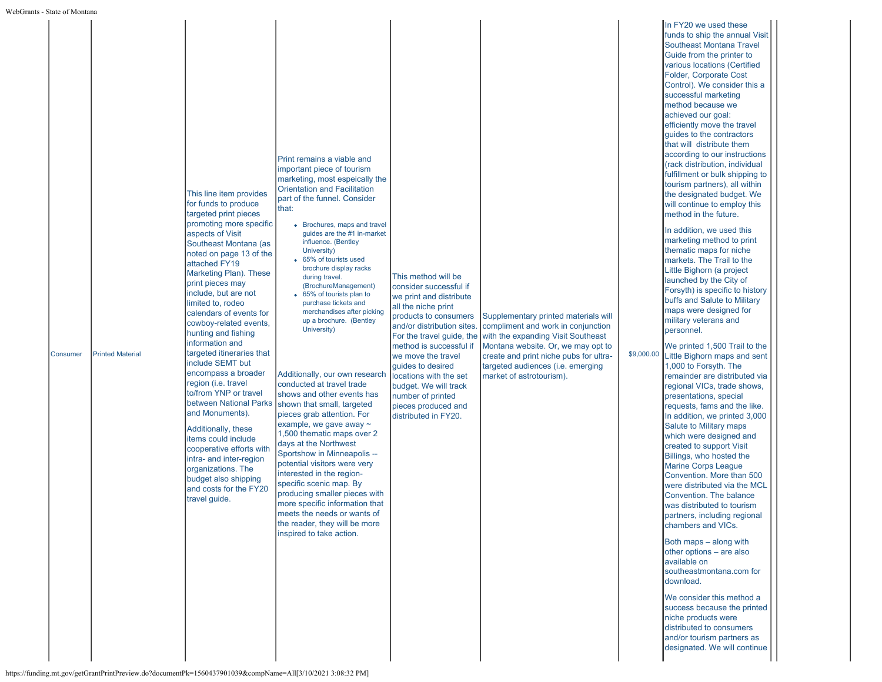| Consumer | <b>Printed Material</b> | This line item provides<br>for funds to produce<br>targeted print pieces<br>promoting more specific<br>aspects of Visit<br>Southeast Montana (as<br>noted on page 13 of the<br>attached FY19<br>Marketing Plan). These<br>print pieces may<br>include, but are not<br>limited to, rodeo<br>calendars of events for<br>cowboy-related events,<br>hunting and fishing<br>information and<br>targeted itineraries that<br>include SEMT but<br>encompass a broader<br>region (i.e. travel<br>to/from YNP or travel<br>between National Parks<br>and Monuments).<br>Additionally, these<br>items could include<br>cooperative efforts with<br>intra- and inter-region<br>organizations. The<br>budget also shipping<br>and costs for the FY20<br>travel guide. | Print remains a viable and<br>important piece of tourism<br>marketing, most espeically the<br><b>Orientation and Facilitation</b><br>part of the funnel. Consider<br>that:<br>• Brochures, maps and travel<br>guides are the #1 in-market<br>influence. (Bentley<br>University)<br>65% of tourists used<br>brochure display racks<br>during travel.<br>(BrochureManagement)<br>65% of tourists plan to<br>purchase tickets and<br>merchandises after picking<br>up a brochure. (Bentley<br>University)<br>Additionally, our own research<br>conducted at travel trade<br>shows and other events has<br>shown that small, targeted<br>pieces grab attention. For<br>example, we gave away ~<br>1,500 thematic maps over 2<br>days at the Northwest<br>Sportshow in Minneapolis --<br>potential visitors were very<br>interested in the region-<br>specific scenic map. By<br>producing smaller pieces with<br>more specific information that<br>meets the needs or wants of<br>the reader, they will be more<br>inspired to take action. | This method will be<br>consider successful if<br>we print and distribute<br>all the niche print<br>products to consumers<br>and/or distribution sites<br>For the travel guide, the<br>method is successful if<br>we move the travel<br>quides to desired<br>locations with the set<br>budget. We will track<br>number of printed<br>pieces produced and<br>distributed in FY20. | Supplementary printed materials will<br>compliment and work in conjunction<br>with the expanding Visit Southeast<br>Montana website. Or, we may opt to<br>create and print niche pubs for ultra-<br>targeted audiences (i.e. emerging<br>market of astrotourism). | \$9,000.00 | In FY20 we used these<br>funds to ship the annual Visit<br><b>Southeast Montana Travel</b><br>Guide from the printer to<br>various locations (Certified<br>Folder, Corporate Cost<br>Control). We consider this a<br>successful marketing<br>method because we<br>achieved our goal:<br>efficiently move the travel<br>guides to the contractors<br>that will distribute them<br>according to our instructions<br>(rack distribution, individual<br>fulfillment or bulk shipping to<br>tourism partners), all within<br>the designated budget. We<br>will continue to employ this<br>method in the future.<br>In addition, we used this<br>marketing method to print<br>thematic maps for niche<br>markets. The Trail to the<br>Little Bighorn (a project<br>launched by the City of<br>Forsyth) is specific to history<br>buffs and Salute to Military<br>maps were designed for<br>military veterans and<br>personnel.<br>We printed 1,500 Trail to the<br>Little Bighorn maps and sent<br>1,000 to Forsyth. The<br>remainder are distributed via<br>regional VICs, trade shows,<br>presentations, special<br>requests, fams and the like.<br>In addition, we printed 3,000<br>Salute to Military maps<br>which were designed and<br>created to support Visit<br>Billings, who hosted the<br><b>Marine Corps League</b><br>Convention. More than 500<br>were distributed via the MCL<br>Convention. The balance<br>was distributed to tourism<br>partners, including regional<br>chambers and VICs.<br>Both maps - along with<br>other options – are also<br>available on<br>southeastmontana.com for<br>download.<br>We consider this method a<br>success because the printed<br>niche products were<br>distributed to consumers<br>and/or tourism partners as<br>designated. We will continue |
|----------|-------------------------|-----------------------------------------------------------------------------------------------------------------------------------------------------------------------------------------------------------------------------------------------------------------------------------------------------------------------------------------------------------------------------------------------------------------------------------------------------------------------------------------------------------------------------------------------------------------------------------------------------------------------------------------------------------------------------------------------------------------------------------------------------------|-----------------------------------------------------------------------------------------------------------------------------------------------------------------------------------------------------------------------------------------------------------------------------------------------------------------------------------------------------------------------------------------------------------------------------------------------------------------------------------------------------------------------------------------------------------------------------------------------------------------------------------------------------------------------------------------------------------------------------------------------------------------------------------------------------------------------------------------------------------------------------------------------------------------------------------------------------------------------------------------------------------------------------------------|---------------------------------------------------------------------------------------------------------------------------------------------------------------------------------------------------------------------------------------------------------------------------------------------------------------------------------------------------------------------------------|-------------------------------------------------------------------------------------------------------------------------------------------------------------------------------------------------------------------------------------------------------------------|------------|---------------------------------------------------------------------------------------------------------------------------------------------------------------------------------------------------------------------------------------------------------------------------------------------------------------------------------------------------------------------------------------------------------------------------------------------------------------------------------------------------------------------------------------------------------------------------------------------------------------------------------------------------------------------------------------------------------------------------------------------------------------------------------------------------------------------------------------------------------------------------------------------------------------------------------------------------------------------------------------------------------------------------------------------------------------------------------------------------------------------------------------------------------------------------------------------------------------------------------------------------------------------------------------------------------------------------------------------------------------------------------------------------------------------------------------------------------------------------------------------------------------------------------------------------------------------------------------------------------------------------------------------------------------------------------------------------------------------------------------------------------------------------------------------------|
|----------|-------------------------|-----------------------------------------------------------------------------------------------------------------------------------------------------------------------------------------------------------------------------------------------------------------------------------------------------------------------------------------------------------------------------------------------------------------------------------------------------------------------------------------------------------------------------------------------------------------------------------------------------------------------------------------------------------------------------------------------------------------------------------------------------------|-----------------------------------------------------------------------------------------------------------------------------------------------------------------------------------------------------------------------------------------------------------------------------------------------------------------------------------------------------------------------------------------------------------------------------------------------------------------------------------------------------------------------------------------------------------------------------------------------------------------------------------------------------------------------------------------------------------------------------------------------------------------------------------------------------------------------------------------------------------------------------------------------------------------------------------------------------------------------------------------------------------------------------------------|---------------------------------------------------------------------------------------------------------------------------------------------------------------------------------------------------------------------------------------------------------------------------------------------------------------------------------------------------------------------------------|-------------------------------------------------------------------------------------------------------------------------------------------------------------------------------------------------------------------------------------------------------------------|------------|---------------------------------------------------------------------------------------------------------------------------------------------------------------------------------------------------------------------------------------------------------------------------------------------------------------------------------------------------------------------------------------------------------------------------------------------------------------------------------------------------------------------------------------------------------------------------------------------------------------------------------------------------------------------------------------------------------------------------------------------------------------------------------------------------------------------------------------------------------------------------------------------------------------------------------------------------------------------------------------------------------------------------------------------------------------------------------------------------------------------------------------------------------------------------------------------------------------------------------------------------------------------------------------------------------------------------------------------------------------------------------------------------------------------------------------------------------------------------------------------------------------------------------------------------------------------------------------------------------------------------------------------------------------------------------------------------------------------------------------------------------------------------------------------------|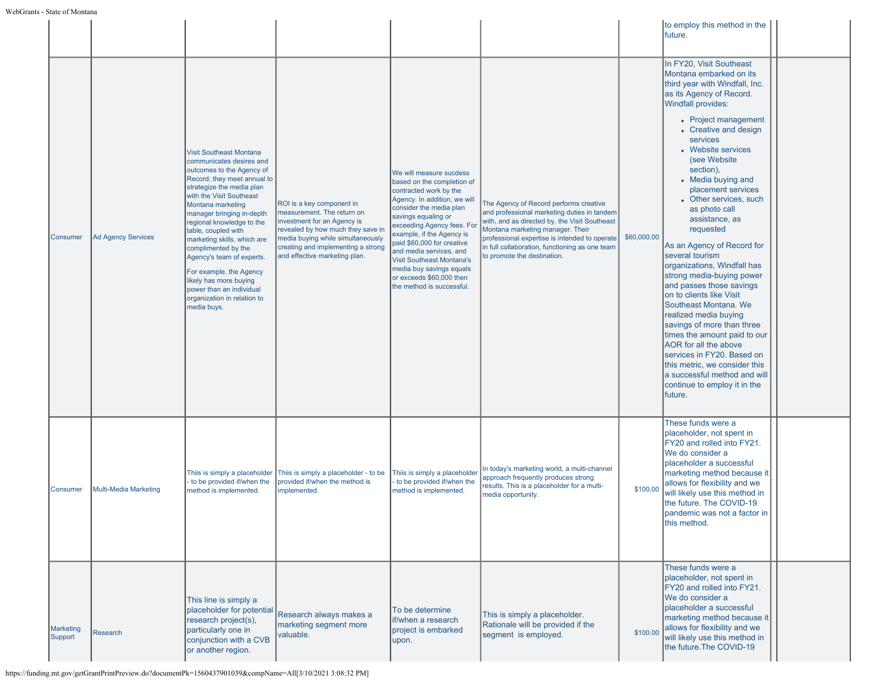|                      |                              |                                                                                                                                                                                                                                                                                                                                                                                                                                                                                                         |                                                                                                                                                                                                                                         |                                                                                                                                                                                                                                                                                                                                                                                                                |                                                                                                                                                                                                                                                                                                              |             | to employ this method in the<br>future.                                                                                                                                                                                                                                                                                                                                                                                                                                                                                                                                                                                                                                                                                                                                                                                                      |  |
|----------------------|------------------------------|---------------------------------------------------------------------------------------------------------------------------------------------------------------------------------------------------------------------------------------------------------------------------------------------------------------------------------------------------------------------------------------------------------------------------------------------------------------------------------------------------------|-----------------------------------------------------------------------------------------------------------------------------------------------------------------------------------------------------------------------------------------|----------------------------------------------------------------------------------------------------------------------------------------------------------------------------------------------------------------------------------------------------------------------------------------------------------------------------------------------------------------------------------------------------------------|--------------------------------------------------------------------------------------------------------------------------------------------------------------------------------------------------------------------------------------------------------------------------------------------------------------|-------------|----------------------------------------------------------------------------------------------------------------------------------------------------------------------------------------------------------------------------------------------------------------------------------------------------------------------------------------------------------------------------------------------------------------------------------------------------------------------------------------------------------------------------------------------------------------------------------------------------------------------------------------------------------------------------------------------------------------------------------------------------------------------------------------------------------------------------------------------|--|
| <b>Consumer</b>      | <b>Ad Agency Services</b>    | <b>Visit Southeast Montana</b><br>communicates desires and<br>outcomes to the Agency of<br>Record; they meet annual to<br>strategize the media plan<br>with the Visit Southeast<br>Montana marketing<br>manager bringing in-depth<br>regional knowledge to the<br>table, coupled with<br>marketing skills, which are<br>complimented by the<br>Agency's team of experts.<br>For example, the Agency<br>likely has more buying<br>power than an individual<br>organization in relation to<br>media buys. | ROI is a key component in<br>measurement. The return on<br>investment for an Agency is<br>revealed by how much they save in<br>media buying while simultaneously<br>creating and implementing a strong<br>and effective marketing plan. | We will measure sucdess<br>based on the completion of<br>contracted work by the<br>Agency. In addition, we will<br>consider the media plan<br>savings equaling or<br>exceeding Agency fees. For<br>example, if the Agency is<br>paid \$60,000 for creative<br>and media services, and<br><b>Visit Southeast Montana's</b><br>media buy savings equals<br>or exceeds \$60,000 then<br>the method is successful. | The Agency of Record performs creative<br>and professional marketing duties in tandem<br>with, and as directed by, the Visit Southeast<br>Montana marketing manager. Their<br>professional expertise is intended to operate<br>in full collaboration, functioning as one team<br>to promote the destination. | \$60,000.00 | In FY20, Visit Southeast<br>Montana embarked on its<br>third year with Windfall, Inc.<br>as its Agency of Record.<br><b>Windfall provides:</b><br>• Project management<br>• Creative and design<br>services<br>• Website services<br>(see Website<br>section),<br>• Media buying and<br>placement services<br>• Other services, such<br>as photo call<br>assistance, as<br>requested<br>As an Agency of Record for<br>several tourism<br>organizations, Windfall has<br>strong media-buying power<br>and passes those savings<br>on to clients like Visit<br>Southeast Montana. We<br>realized media buying<br>savings of more than three<br>times the amount paid to our<br>AOR for all the above<br>services in FY20. Based on<br>this metric, we consider this<br>a successful method and will<br>continue to employ it in the<br>future. |  |
| Consumer             | <b>Multi-Media Marketing</b> | Thiis is simply a placeholder<br>to be provided if/when the<br>method is implemented.                                                                                                                                                                                                                                                                                                                                                                                                                   | Thiis is simply a placeholder - to be<br>provided if/when the method is<br>mplemented.                                                                                                                                                  | Thiis is simply a placeholde<br>to be provided if/when the<br>method is implemented.                                                                                                                                                                                                                                                                                                                           | In today's marketing world, a multi-channel<br>approach frequently produces strong<br>results. This is a placeholder for a multi-<br>media opportunity.                                                                                                                                                      | \$100.00    | These funds were a<br>placeholder, not spent in<br>FY20 and rolled into FY21.<br>We do consider a<br>placeholder a successful<br>marketing method because it<br>allows for flexibility and we<br>will likely use this method in<br>the future. The COVID-19<br>pandemic was not a factor in<br>this method.                                                                                                                                                                                                                                                                                                                                                                                                                                                                                                                                  |  |
| Marketing<br>Support | <b>Research</b>              | This line is simply a<br>placeholder for potential<br>research project(s),<br>particularly one in<br>conjunction with a CVB<br>or another region.                                                                                                                                                                                                                                                                                                                                                       | Research always makes a<br>marketing segment more<br>valuable.                                                                                                                                                                          | To be determine<br>if/when a research<br>project is embarked<br>upon.                                                                                                                                                                                                                                                                                                                                          | This is simply a placeholder.<br>Rationale will be provided if the<br>segment is employed.                                                                                                                                                                                                                   | \$100.00    | These funds were a<br>placeholder, not spent in<br>FY20 and rolled into FY21.<br>We do consider a<br>placeholder a successful<br>marketing method because it<br>allows for flexibility and we<br>will likely use this method in<br>the future. The COVID-19                                                                                                                                                                                                                                                                                                                                                                                                                                                                                                                                                                                  |  |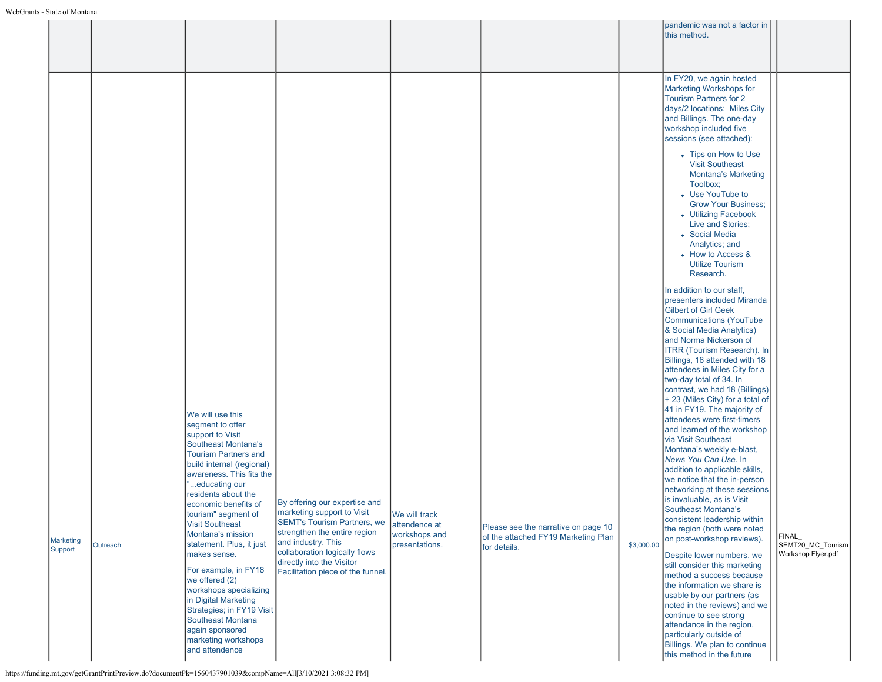|                             |          |                                                                                                                                                                                                         |                                                                                                                                                                                                                       |                                                                   |                                                                                            | pandemic was not a factor in<br>this method.                                                                                                                                                                                                                                                             |                                                  |
|-----------------------------|----------|---------------------------------------------------------------------------------------------------------------------------------------------------------------------------------------------------------|-----------------------------------------------------------------------------------------------------------------------------------------------------------------------------------------------------------------------|-------------------------------------------------------------------|--------------------------------------------------------------------------------------------|----------------------------------------------------------------------------------------------------------------------------------------------------------------------------------------------------------------------------------------------------------------------------------------------------------|--------------------------------------------------|
|                             |          |                                                                                                                                                                                                         |                                                                                                                                                                                                                       |                                                                   |                                                                                            | In FY20, we again hosted<br>Marketing Workshops for<br><b>Tourism Partners for 2</b><br>days/2 locations: Miles City<br>and Billings. The one-day<br>workshop included five<br>sessions (see attached):                                                                                                  |                                                  |
|                             |          |                                                                                                                                                                                                         |                                                                                                                                                                                                                       |                                                                   |                                                                                            | • Tips on How to Use<br><b>Visit Southeast</b><br>Montana's Marketing<br>Toolbox;<br>• Use YouTube to<br><b>Grow Your Business:</b><br>• Utilizing Facebook<br>Live and Stories;<br>• Social Media<br>Analytics; and<br>• How to Access &<br><b>Utilize Tourism</b>                                      |                                                  |
|                             |          |                                                                                                                                                                                                         |                                                                                                                                                                                                                       |                                                                   |                                                                                            | Research.<br>In addition to our staff,<br>presenters included Miranda<br><b>Gilbert of Girl Geek</b><br><b>Communications (YouTube</b><br>& Social Media Analytics)<br>and Norma Nickerson of<br>ITRR (Tourism Research). In<br>Billings, 16 attended with 18<br>attendees in Miles City for a           |                                                  |
|                             |          | We will use this<br>segment to offer<br>support to Visit<br><b>Southeast Montana's</b><br><b>Tourism Partners and</b><br>build internal (regional)<br>awareness. This fits the                          |                                                                                                                                                                                                                       |                                                                   |                                                                                            | two-day total of 34. In<br>contrast, we had 18 (Billings)<br>+ 23 (Miles City) for a total of<br>41 in FY19. The majority of<br>attendees were first-timers<br>and learned of the workshop<br>via Visit Southeast<br>Montana's weekly e-blast,<br>News You Can Use. In<br>addition to applicable skills, |                                                  |
| <b>Marketing</b><br>Support | Outreach | "educating our<br>residents about the<br>economic benefits of<br>tourism" segment of<br><b>Visit Southeast</b><br>Montana's mission<br>statement. Plus, it just<br>makes sense.<br>For example, in FY18 | By offering our expertise and<br>marketing support to Visit<br><b>SEMT's Tourism Partners, we</b><br>strengthen the entire region<br>and industry. This<br>collaboration logically flows<br>directly into the Visitor | We will track<br>attendence at<br>workshops and<br>presentations. | Please see the narrative on page 10<br>of the attached FY19 Marketing Plan<br>for details. | we notice that the in-person<br>networking at these sessions<br>is invaluable, as is Visit<br><b>Southeast Montana's</b><br>consistent leadership within<br>the region (both were noted<br>on post-workshop reviews).<br>\$3,000.00<br>Despite lower numbers, we<br>still consider this marketing        | FINAL<br>SEMT20_MC_Tourism<br>Workshop Flyer.pdf |
|                             |          | we offered (2)<br>workshops specializing<br>in Digital Marketing<br>Strategies; in FY19 Visit<br>Southeast Montana<br>again sponsored<br>marketing workshops<br>and attendence                          | Facilitation piece of the funnel.                                                                                                                                                                                     |                                                                   |                                                                                            | method a success because<br>the information we share is<br>usable by our partners (as<br>noted in the reviews) and we<br>continue to see strong<br>attendance in the region,<br>particularly outside of<br>Billings. We plan to continue<br>this method in the future                                    |                                                  |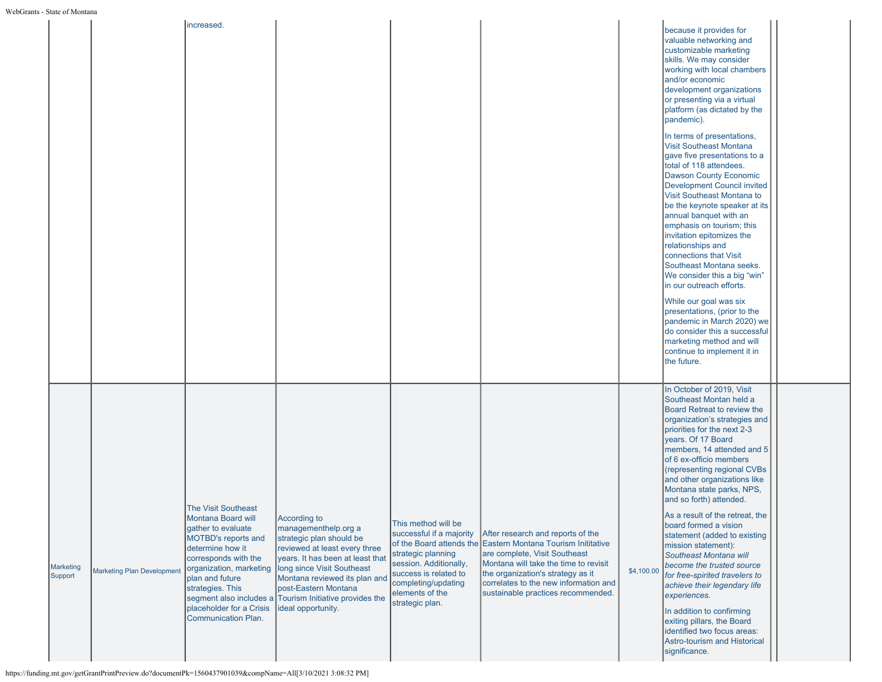|                      |                                   | increased.                                                                                                                                                                                                                                                                          |                                                                                                                                                                                                                                                                                                               |                                                                                                                                                                                       |                                                                                                                                                                                                                                                                                                 |            |                                                                                                                                                                                                                                                                                                                                                                                                                                                                                                                                                                                                                                                                                                                                                        |  |
|----------------------|-----------------------------------|-------------------------------------------------------------------------------------------------------------------------------------------------------------------------------------------------------------------------------------------------------------------------------------|---------------------------------------------------------------------------------------------------------------------------------------------------------------------------------------------------------------------------------------------------------------------------------------------------------------|---------------------------------------------------------------------------------------------------------------------------------------------------------------------------------------|-------------------------------------------------------------------------------------------------------------------------------------------------------------------------------------------------------------------------------------------------------------------------------------------------|------------|--------------------------------------------------------------------------------------------------------------------------------------------------------------------------------------------------------------------------------------------------------------------------------------------------------------------------------------------------------------------------------------------------------------------------------------------------------------------------------------------------------------------------------------------------------------------------------------------------------------------------------------------------------------------------------------------------------------------------------------------------------|--|
|                      |                                   |                                                                                                                                                                                                                                                                                     |                                                                                                                                                                                                                                                                                                               |                                                                                                                                                                                       |                                                                                                                                                                                                                                                                                                 |            | because it provides for<br>valuable networking and<br>customizable marketing<br>skills. We may consider<br>working with local chambers<br>and/or economic<br>development organizations<br>or presenting via a virtual<br>platform (as dictated by the<br>pandemic).                                                                                                                                                                                                                                                                                                                                                                                                                                                                                    |  |
|                      |                                   |                                                                                                                                                                                                                                                                                     |                                                                                                                                                                                                                                                                                                               |                                                                                                                                                                                       |                                                                                                                                                                                                                                                                                                 |            | In terms of presentations,<br><b>Visit Southeast Montana</b><br>gave five presentations to a<br>total of 118 attendees.<br><b>Dawson County Economic</b><br>Development Council invited<br>Visit Southeast Montana to<br>be the keynote speaker at its<br>annual banquet with an<br>emphasis on tourism; this<br>invitation epitomizes the<br>relationships and<br>connections that Visit<br>Southeast Montana seeks.<br>We consider this a big "win"<br>in our outreach efforts.                                                                                                                                                                                                                                                                      |  |
|                      |                                   |                                                                                                                                                                                                                                                                                     |                                                                                                                                                                                                                                                                                                               |                                                                                                                                                                                       |                                                                                                                                                                                                                                                                                                 |            | While our goal was six<br>presentations, (prior to the<br>pandemic in March 2020) we<br>do consider this a successful<br>marketing method and will<br>continue to implement it in<br>the future.                                                                                                                                                                                                                                                                                                                                                                                                                                                                                                                                                       |  |
| Marketing<br>Support | <b>Marketing Plan Development</b> | <b>The Visit Southeast</b><br><b>Montana Board will</b><br>gather to evaluate<br><b>MOTBD's reports and</b><br>determine how it<br>corresponds with the<br>organization, marketing<br>plan and future<br>strategies. This<br>placeholder for a Crisis<br><b>Communication Plan.</b> | According to<br>managementhelp.org a<br>strategic plan should be<br>reviewed at least every three<br>years. It has been at least that<br>long since Visit Southeast<br>Montana reviewed its plan and<br>post-Eastern Montana<br>segment also includes a Tourism Initiative provides the<br>ideal opportunity. | This method will be<br>successful if a majority<br>strategic planning<br>session. Additionally,<br>success is related to<br>completing/updating<br>elements of the<br>strategic plan. | After research and reports of the<br>of the Board attends the Eastern Montana Tourism Inititative<br>are complete, Visit Southeast<br>Montana will take the time to revisit<br>the organization's strategy as it<br>correlates to the new information and<br>sustainable practices recommended. | \$4,100.00 | In October of 2019, Visit<br>Southeast Montan held a<br>Board Retreat to review the<br>organization's strategies and<br>priorities for the next 2-3<br>years. Of 17 Board<br>members, 14 attended and 5<br>of 6 ex-officio members<br>(representing regional CVBs<br>and other organizations like<br>Montana state parks, NPS,<br>and so forth) attended.<br>As a result of the retreat, the<br>board formed a vision<br>statement (added to existing<br>mission statement):<br>Southeast Montana will<br>become the trusted source<br>for free-spirited travelers to<br>achieve their legendary life<br>experiences.<br>In addition to confirming<br>exiting pillars, the Board<br>identified two focus areas:<br><b>Astro-tourism and Historical</b> |  |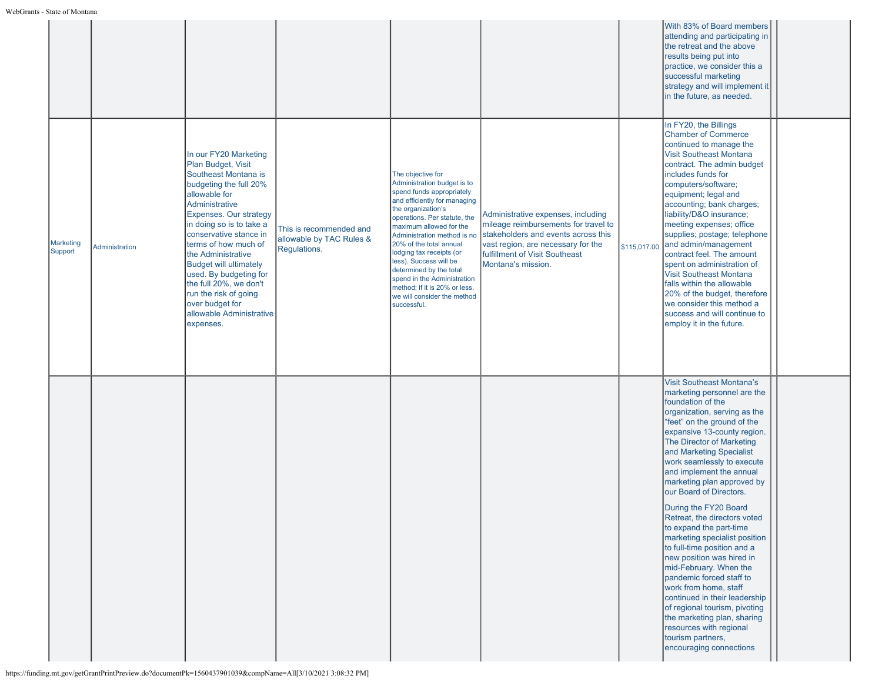|                      |                |                                                                                                                                                                                                                                                                                                                                                                                                                                          |                                                                     |                                                                                                                                                                                                                                                                                                                                                                                                                                                         |                                                                                                                                                                                                                 |              | With 83% of Board members<br>attending and participating in<br>the retreat and the above<br>results being put into<br>practice, we consider this a<br>successful marketing<br>strategy and will implement it<br>in the future, as needed.                                                                                                                                                                                                                                                                                                                                                                                                                                                                                                                                                                  |
|----------------------|----------------|------------------------------------------------------------------------------------------------------------------------------------------------------------------------------------------------------------------------------------------------------------------------------------------------------------------------------------------------------------------------------------------------------------------------------------------|---------------------------------------------------------------------|---------------------------------------------------------------------------------------------------------------------------------------------------------------------------------------------------------------------------------------------------------------------------------------------------------------------------------------------------------------------------------------------------------------------------------------------------------|-----------------------------------------------------------------------------------------------------------------------------------------------------------------------------------------------------------------|--------------|------------------------------------------------------------------------------------------------------------------------------------------------------------------------------------------------------------------------------------------------------------------------------------------------------------------------------------------------------------------------------------------------------------------------------------------------------------------------------------------------------------------------------------------------------------------------------------------------------------------------------------------------------------------------------------------------------------------------------------------------------------------------------------------------------------|
| Marketing<br>Support | Administration | In our FY20 Marketing<br>Plan Budget, Visit<br>Southeast Montana is<br>budgeting the full 20%<br>allowable for<br>Administrative<br>Expenses. Our strategy<br>in doing so is to take a<br>conservative stance in<br>terms of how much of<br>the Administrative<br><b>Budget will ultimately</b><br>used. By budgeting for<br>the full 20%, we don't<br>run the risk of going<br>over budget for<br>allowable Administrative<br>expenses. | This is recommended and<br>allowable by TAC Rules &<br>Regulations. | The objective for<br>Administration budget is to<br>spend funds appropriately<br>and efficiently for managing<br>the organization's<br>operations. Per statute, the<br>maximum allowed for the<br>Administration method is no<br>20% of the total annual<br>lodging tax receipts (or<br>less). Success will be<br>determined by the total<br>spend in the Administration<br>method; if it is 20% or less,<br>we will consider the method<br>successful. | Administrative expenses, including<br>mileage reimbursements for travel to<br>stakeholders and events across this<br>vast region, are necessary for the<br>fulfillment of Visit Southeast<br>Montana's mission. | \$115,017.00 | In FY20, the Billings<br><b>Chamber of Commerce</b><br>continued to manage the<br><b>Visit Southeast Montana</b><br>contract. The admin budget<br>includes funds for<br>computers/software;<br>equipment; legal and<br>accounting; bank charges;<br>liability/D&O insurance;<br>meeting expenses; office<br>supplies; postage; telephone<br>and admin/management<br>contract feel. The amount<br>spent on administration of<br><b>Visit Southeast Montana</b><br>falls within the allowable<br>20% of the budget, therefore<br>we consider this method a<br>success and will continue to<br>employ it in the future.                                                                                                                                                                                       |
|                      |                |                                                                                                                                                                                                                                                                                                                                                                                                                                          |                                                                     |                                                                                                                                                                                                                                                                                                                                                                                                                                                         |                                                                                                                                                                                                                 |              | <b>Visit Southeast Montana's</b><br>marketing personnel are the<br>foundation of the<br>organization, serving as the<br>"feet" on the ground of the<br>expansive 13-county region.<br>The Director of Marketing<br>and Marketing Specialist<br>work seamlessly to execute<br>and implement the annual<br>marketing plan approved by<br>our Board of Directors.<br>During the FY20 Board<br>Retreat, the directors voted<br>to expand the part-time<br>marketing specialist position<br>to full-time position and a<br>new position was hired in<br>mid-February. When the<br>pandemic forced staff to<br>work from home, staff<br>continued in their leadership<br>of regional tourism, pivoting<br>the marketing plan, sharing<br>resources with regional<br>tourism partners,<br>encouraging connections |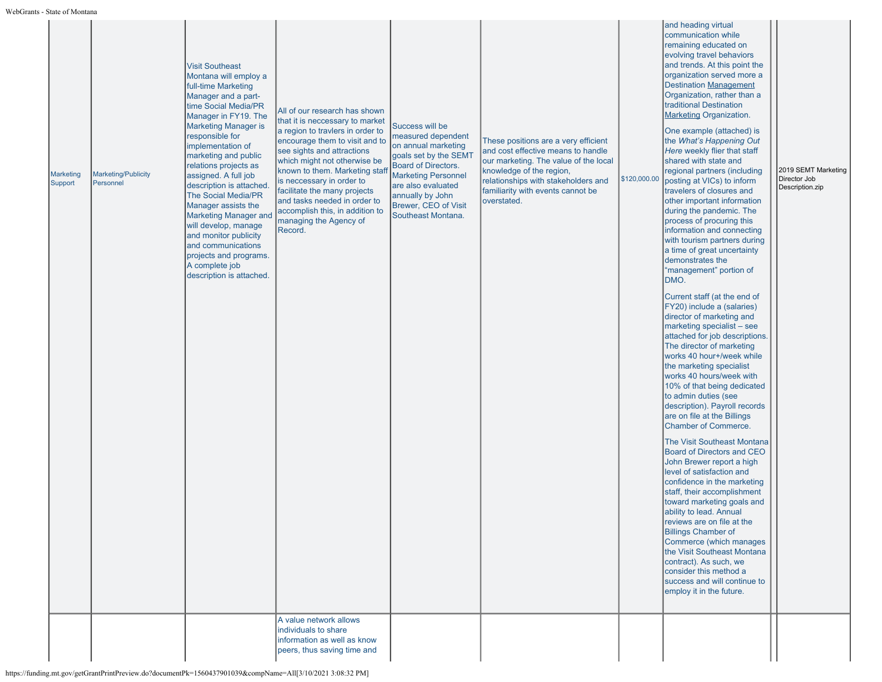| 3 - State of Informal       |                                         |                                                                                                                                                                                                                                                                                                                                                                                                                                                                                                                                                       |                                                                                                                                                                                                                                                                                                                                                                                                                                      |                                                                                                                                                                                                                                    |                                                                                                                                                                                                                                            |              |                                                                                                                                                                                                                                                                                                                                                                                                                                                                                                                                                                                                                                                                                                                                                                                                                                                                                                                                                                                                                                                                                                                                                                                                                                                                                                                                                                                                                                                                                                                                                                                                                                                                              |                                                        |
|-----------------------------|-----------------------------------------|-------------------------------------------------------------------------------------------------------------------------------------------------------------------------------------------------------------------------------------------------------------------------------------------------------------------------------------------------------------------------------------------------------------------------------------------------------------------------------------------------------------------------------------------------------|--------------------------------------------------------------------------------------------------------------------------------------------------------------------------------------------------------------------------------------------------------------------------------------------------------------------------------------------------------------------------------------------------------------------------------------|------------------------------------------------------------------------------------------------------------------------------------------------------------------------------------------------------------------------------------|--------------------------------------------------------------------------------------------------------------------------------------------------------------------------------------------------------------------------------------------|--------------|------------------------------------------------------------------------------------------------------------------------------------------------------------------------------------------------------------------------------------------------------------------------------------------------------------------------------------------------------------------------------------------------------------------------------------------------------------------------------------------------------------------------------------------------------------------------------------------------------------------------------------------------------------------------------------------------------------------------------------------------------------------------------------------------------------------------------------------------------------------------------------------------------------------------------------------------------------------------------------------------------------------------------------------------------------------------------------------------------------------------------------------------------------------------------------------------------------------------------------------------------------------------------------------------------------------------------------------------------------------------------------------------------------------------------------------------------------------------------------------------------------------------------------------------------------------------------------------------------------------------------------------------------------------------------|--------------------------------------------------------|
| <b>Marketing</b><br>Support | <b>Marketing/Publicity</b><br>Personnel | <b>Visit Southeast</b><br>Montana will employ a<br>full-time Marketing<br>Manager and a part-<br>time Social Media/PR<br>Manager in FY19. The<br><b>Marketing Manager is</b><br>responsible for<br>implementation of<br>marketing and public<br>relations projects as<br>assigned. A full job<br>description is attached<br>The Social Media/PR<br>Manager assists the<br><b>Marketing Manager and</b><br>will develop, manage<br>and monitor publicity<br>and communications<br>projects and programs.<br>A complete job<br>description is attached. | All of our research has shown<br>that it is neccessary to market<br>a region to travlers in order to<br>encourage them to visit and to<br>see sights and attractions<br>which might not otherwise be<br>known to them. Marketing staf<br>is neccessary in order to<br>facilitate the many projects<br>and tasks needed in order to<br>accomplish this, in addition to<br>managing the Agency of<br>Record.<br>A value network allows | Success will be<br>measured dependent<br>on annual marketing<br>goals set by the SEMT<br>Board of Directors.<br><b>Marketing Personnel</b><br>are also evaluated<br>annually by John<br>Brewer, CEO of Visit<br>Southeast Montana. | These positions are a very efficient<br>and cost effective means to handle<br>our marketing. The value of the local<br>knowledge of the region,<br>relationships with stakeholders and<br>familiarity with events cannot be<br>overstated. | \$120,000.00 | and heading virtual<br>communication while<br>remaining educated on<br>evolving travel behaviors<br>and trends. At this point the<br>organization served more a<br><b>Destination Management</b><br>Organization, rather than a<br>traditional Destination<br><b>Marketing Organization.</b><br>One example (attached) is<br>the What's Happening Out<br>Here weekly flier that staff<br>shared with state and<br>regional partners (including<br>posting at VICs) to inform<br>travelers of closures and<br>other important information<br>during the pandemic. The<br>process of procuring this<br>information and connecting<br>with tourism partners during<br>a time of great uncertainty<br>demonstrates the<br>"management" portion of<br>DMO.<br>Current staff (at the end of<br>FY20) include a (salaries)<br>director of marketing and<br>marketing specialist - see<br>attached for job descriptions.<br>The director of marketing<br>works 40 hour+/week while<br>the marketing specialist<br>works 40 hours/week with<br>10% of that being dedicated<br>to admin duties (see<br>description). Payroll records<br>are on file at the Billings<br>Chamber of Commerce.<br>The Visit Southeast Montana<br><b>Board of Directors and CEO</b><br>John Brewer report a high<br>level of satisfaction and<br>confidence in the marketing<br>staff, their accomplishment<br>toward marketing goals and<br>ability to lead. Annual<br>reviews are on file at the<br><b>Billings Chamber of</b><br>Commerce (which manages<br>the Visit Southeast Montana<br>contract). As such, we<br>consider this method a<br>success and will continue to<br>employ it in the future. | 2019 SEMT Marketing<br>Director Job<br>Description.zip |
|                             |                                         |                                                                                                                                                                                                                                                                                                                                                                                                                                                                                                                                                       | individuals to share<br>information as well as know<br>peers, thus saving time and                                                                                                                                                                                                                                                                                                                                                   |                                                                                                                                                                                                                                    |                                                                                                                                                                                                                                            |              |                                                                                                                                                                                                                                                                                                                                                                                                                                                                                                                                                                                                                                                                                                                                                                                                                                                                                                                                                                                                                                                                                                                                                                                                                                                                                                                                                                                                                                                                                                                                                                                                                                                                              |                                                        |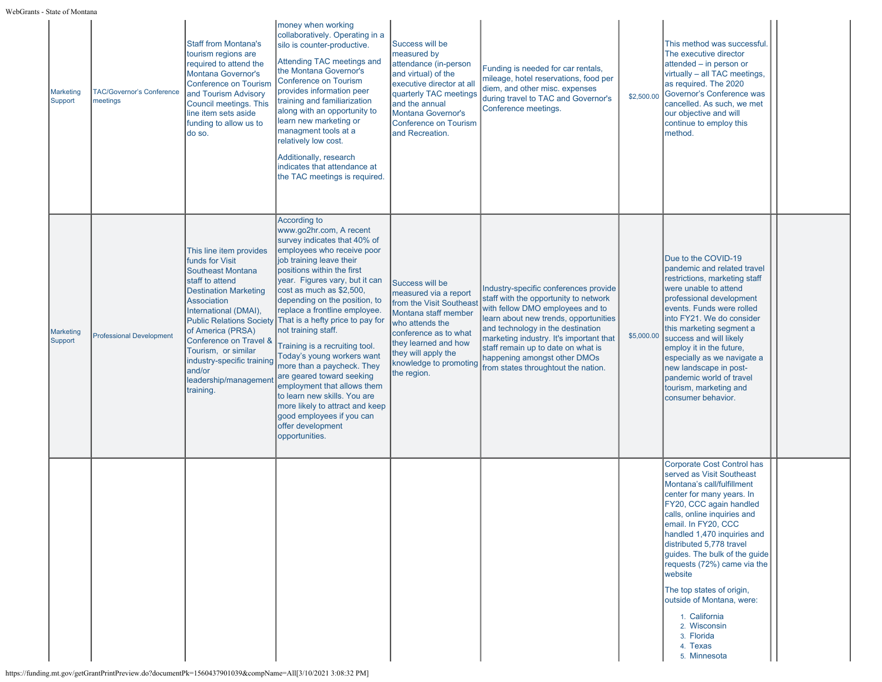| <b>Marketing</b><br>Support | <b>TAC/Governor's Conference</b><br>meetings | <b>Staff from Montana's</b><br>tourism regions are<br>required to attend the<br><b>Montana Governor's</b><br><b>Conference on Tourism</b><br>and Tourism Advisory<br>Council meetings. This<br>line item sets aside<br>funding to allow us to<br>do so.                                                                     | money when working<br>collaboratively. Operating in a<br>silo is counter-productive.<br>Attending TAC meetings and<br>the Montana Governor's<br><b>Conference on Tourism</b><br>provides information peer<br>training and familiarization<br>along with an opportunity to<br>learn new marketing or<br>managment tools at a<br>relatively low cost.<br>Additionally, research<br>indicates that attendance at<br>the TAC meetings is required.                                                                                                                                                                                                                                       | Success will be<br>measured by<br>attendance (in-person<br>and virtual) of the<br>executive director at all<br>quarterly TAC meetings<br>and the annual<br><b>Montana Governor's</b><br><b>Conference on Tourism</b><br>and Recreation. | Funding is needed for car rentals,<br>mileage, hotel reservations, food per<br>diem, and other misc. expenses<br>during travel to TAC and Governor's<br>Conference meetings.                                                                                                                                                                             | \$2,500.00 | This method was successful.<br>The executive director<br>attended - in person or<br>virtually - all TAC meetings,<br>as required. The 2020<br>Governor's Conference was<br>cancelled. As such, we met<br>our objective and will<br>continue to employ this<br>method.                                                                                                                                                                                                          |  |
|-----------------------------|----------------------------------------------|-----------------------------------------------------------------------------------------------------------------------------------------------------------------------------------------------------------------------------------------------------------------------------------------------------------------------------|--------------------------------------------------------------------------------------------------------------------------------------------------------------------------------------------------------------------------------------------------------------------------------------------------------------------------------------------------------------------------------------------------------------------------------------------------------------------------------------------------------------------------------------------------------------------------------------------------------------------------------------------------------------------------------------|-----------------------------------------------------------------------------------------------------------------------------------------------------------------------------------------------------------------------------------------|----------------------------------------------------------------------------------------------------------------------------------------------------------------------------------------------------------------------------------------------------------------------------------------------------------------------------------------------------------|------------|--------------------------------------------------------------------------------------------------------------------------------------------------------------------------------------------------------------------------------------------------------------------------------------------------------------------------------------------------------------------------------------------------------------------------------------------------------------------------------|--|
| <b>Marketing</b><br>Support | <b>Professional Development</b>              | This line item provides<br>funds for Visit<br><b>Southeast Montana</b><br>staff to attend<br><b>Destination Marketing</b><br><b>Association</b><br>International (DMAI),<br>of America (PRSA)<br>Conference on Travel &<br>Tourism, or similar<br>industry-specific training<br>and/or<br>leadership/managemen<br>training. | According to<br>www.go2hr.com, A recent<br>survey indicates that 40% of<br>employees who receive poor<br>job training leave their<br>positions within the first<br>year. Figures vary, but it can<br>cost as much as \$2,500,<br>depending on the position, to<br>replace a frontline employee.<br>Public Relations Society That is a hefty price to pay for<br>not training staff.<br>Training is a recruiting tool.<br>Today's young workers want<br>more than a paycheck. They<br>are geared toward seeking<br>employment that allows them<br>to learn new skills. You are<br>more likely to attract and keep<br>good employees if you can<br>offer development<br>opportunities. | Success will be<br>measured via a report<br>from the Visit Southeast<br>Montana staff member<br>who attends the<br>conference as to what<br>they learned and how<br>they will apply the<br>knowledge to promoting<br>the region.        | Industry-specific conferences provide<br>staff with the opportunity to network<br>with fellow DMO employees and to<br>learn about new trends, opportunities<br>and technology in the destination<br>marketing industry. It's important that<br>staff remain up to date on what is<br>happening amongst other DMOs<br>from states throughtout the nation. | \$5,000.00 | Due to the COVID-19<br>pandemic and related travel<br>restrictions, marketing staff<br>were unable to attend<br>professional development<br>events. Funds were rolled<br>into FY21. We do consider<br>this marketing segment a<br>success and will likely<br>employ it in the future,<br>especially as we navigate a<br>new landscape in post-<br>pandemic world of travel<br>tourism, marketing and<br>consumer behavior.                                                     |  |
|                             |                                              |                                                                                                                                                                                                                                                                                                                             |                                                                                                                                                                                                                                                                                                                                                                                                                                                                                                                                                                                                                                                                                      |                                                                                                                                                                                                                                         |                                                                                                                                                                                                                                                                                                                                                          |            | Corporate Cost Control has<br>served as Visit Southeast<br>Montana's call/fulfillment<br>center for many years. In<br>FY20, CCC again handled<br>calls, online inquiries and<br>email. In FY20, CCC<br>handled 1,470 inquiries and<br>distributed 5,778 travel<br>guides. The bulk of the guide<br>requests (72%) came via the<br>website<br>The top states of origin,<br>outside of Montana, were:<br>1. California<br>2. Wisconsin<br>3. Florida<br>4. Texas<br>5. Minnesota |  |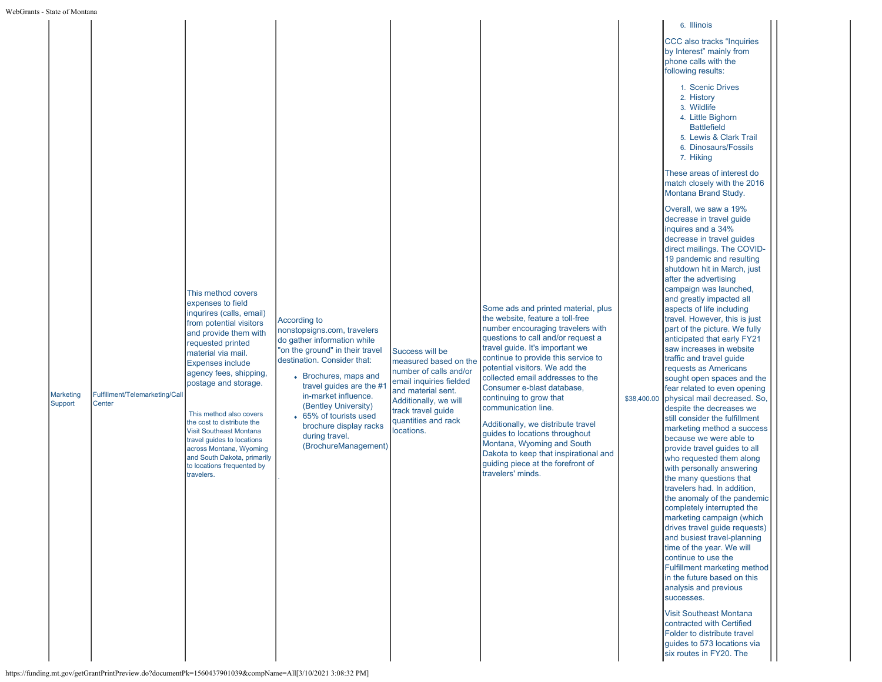| WebGrants - State of Montana |  |                                                                                                                                                                                               |                                                                                                                                              |                                          |                                                                                                                                                                                                                              |                                                                                                                                                                                                                                                                                                                                                                                                                                                                                                                                                                                                                                                                                                                                                                                                                                                     |
|------------------------------|--|-----------------------------------------------------------------------------------------------------------------------------------------------------------------------------------------------|----------------------------------------------------------------------------------------------------------------------------------------------|------------------------------------------|------------------------------------------------------------------------------------------------------------------------------------------------------------------------------------------------------------------------------|-----------------------------------------------------------------------------------------------------------------------------------------------------------------------------------------------------------------------------------------------------------------------------------------------------------------------------------------------------------------------------------------------------------------------------------------------------------------------------------------------------------------------------------------------------------------------------------------------------------------------------------------------------------------------------------------------------------------------------------------------------------------------------------------------------------------------------------------------------|
|                              |  | This method covers<br>expenses to field<br>inqurires (calls, email)<br>from potential visitors<br>and provide them with<br>requested printed<br>material via mail.<br><b>Expenses include</b> | According to<br>nonstopsigns.com, travelers<br>do gather information while<br>"on the ground" in their travel<br>destination. Consider that: | Success will be<br>measured based on the | Some ads and printed material, plus<br>the website, feature a toll-free<br>number encouraging travelers with<br>questions to call and/or request a<br>travel guide. It's important we<br>continue to provide this service to | 6. Illinois<br><b>CCC</b> also tracks "Inquiries"<br>by Interest" mainly from<br>phone calls with the<br>following results:<br>1. Scenic Drives<br>2. History<br>3. Wildlife<br>4. Little Bighorn<br><b>Battlefield</b><br>5. Lewis & Clark Trail<br>6. Dinosaurs/Fossils<br>7. Hiking<br>These areas of interest do<br>match closely with the 2016<br>Montana Brand Study.<br>Overall, we saw a 19%<br>decrease in travel guide<br>inquires and a 34%<br>decrease in travel quides<br>direct mailings. The COVID-<br>19 pandemic and resulting<br>shutdown hit in March, just<br>after the advertising<br>campaign was launched,<br>and greatly impacted all<br>aspects of life including<br>travel. However, this is just<br>part of the picture. We fully<br>anticipated that early FY21<br>saw increases in website<br>traffic and travel guide |
|                              |  | the cost to distribute the<br>Visit Southeast Montana<br>travel guides to locations<br>across Montana, Wyoming<br>and South Dakota, primarily<br>to locations frequented by<br>travelers.     | brochure display racks<br>during travel.<br>(BrochureManagement)                                                                             | quantities and rack<br>locations.        | Additionally, we distribute travel<br>guides to locations throughout<br>Montana, Wyoming and South<br>Dakota to keep that inspirational and<br>guiding piece at the forefront of<br>travelers' minds.                        | marketing method a success<br>because we were able to<br>provide travel guides to all<br>who requested them along<br>with personally answering<br>the many questions that<br>travelers had. In addition,<br>the anomaly of the pandemic<br>completely interrupted the<br>marketing campaign (which<br>drives travel guide requests)<br>and busiest travel-planning<br>time of the year. We will<br>continue to use the<br>Fulfillment marketing method<br>in the future based on this<br>analysis and previous<br>successes.<br><b>Visit Southeast Montana</b>                                                                                                                                                                                                                                                                                      |
|                              |  |                                                                                                                                                                                               |                                                                                                                                              |                                          |                                                                                                                                                                                                                              | contracted with Certified<br>Folder to distribute travel<br>quides to 573 locations via<br>six routes in FY20. The                                                                                                                                                                                                                                                                                                                                                                                                                                                                                                                                                                                                                                                                                                                                  |
|                              |  |                                                                                                                                                                                               | https://funding.mt.gov/getGrantPrintPreview.do?documentPk=1560437901039&compName=All[3/10/2021 3:08:32 PM]                                   |                                          |                                                                                                                                                                                                                              |                                                                                                                                                                                                                                                                                                                                                                                                                                                                                                                                                                                                                                                                                                                                                                                                                                                     |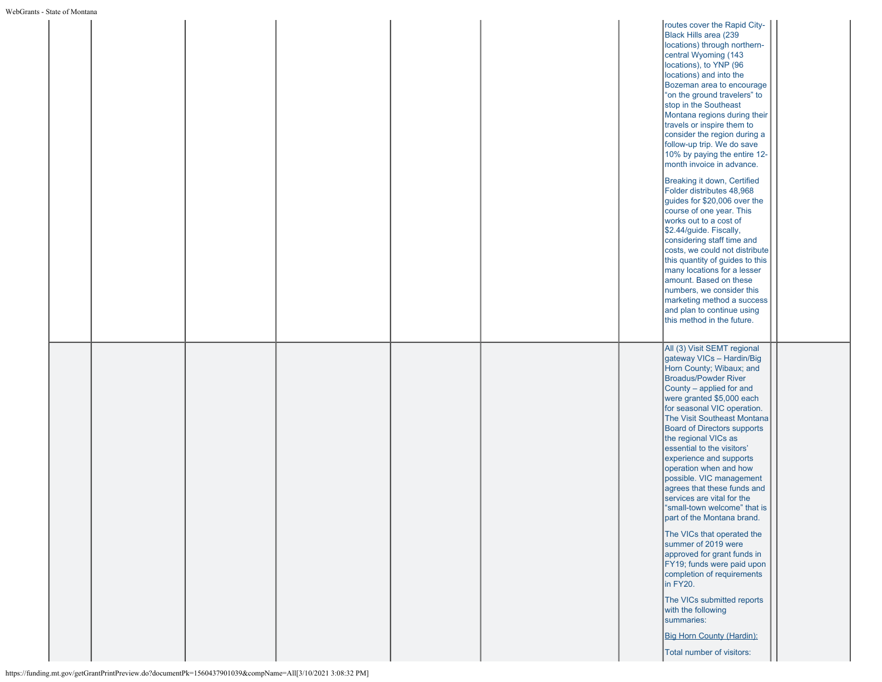|  |  |                                                                                                            |  | routes cover the Rapid City-<br>Black Hills area (239<br>locations) through northern-<br>central Wyoming (143<br>locations), to YNP (96<br>locations) and into the<br>Bozeman area to encourage<br>"on the ground travelers" to<br>stop in the Southeast<br>Montana regions during their<br>travels or inspire them to<br>consider the region during a<br>follow-up trip. We do save<br>10% by paying the entire 12-<br>month invoice in advance.<br>Breaking it down, Certified<br>Folder distributes 48,968<br>guides for \$20,006 over the<br>course of one year. This<br>works out to a cost of<br>\$2.44/guide. Fiscally,<br>considering staff time and<br>costs, we could not distribute<br>this quantity of guides to this<br>many locations for a lesser<br>amount. Based on these<br>numbers, we consider this<br>marketing method a success<br>and plan to continue using<br>this method in the future. |  |
|--|--|------------------------------------------------------------------------------------------------------------|--|-------------------------------------------------------------------------------------------------------------------------------------------------------------------------------------------------------------------------------------------------------------------------------------------------------------------------------------------------------------------------------------------------------------------------------------------------------------------------------------------------------------------------------------------------------------------------------------------------------------------------------------------------------------------------------------------------------------------------------------------------------------------------------------------------------------------------------------------------------------------------------------------------------------------|--|
|  |  | https://funding.mt.gov/getGrantPrintPreview.do?documentPk=1560437901039&compName=All[3/10/2021 3:08:32 PM] |  | All (3) Visit SEMT regional<br>gateway VICs - Hardin/Big<br>Horn County; Wibaux; and<br><b>Broadus/Powder River</b><br>County - applied for and<br>were granted \$5,000 each<br>for seasonal VIC operation.<br>The Visit Southeast Montana<br><b>Board of Directors supports</b><br>the regional VICs as<br>essential to the visitors'<br>experience and supports<br>operation when and how<br>possible. VIC management<br>agrees that these funds and<br>services are vital for the<br>"small-town welcome" that is<br>part of the Montana brand.<br>The VICs that operated the<br>summer of 2019 were<br>approved for grant funds in<br>FY19; funds were paid upon<br>completion of requirements<br>in FY20.<br>The VICs submitted reports<br>with the following<br>summaries:<br><b>Big Horn County (Hardin):</b><br>Total number of visitors:                                                                 |  |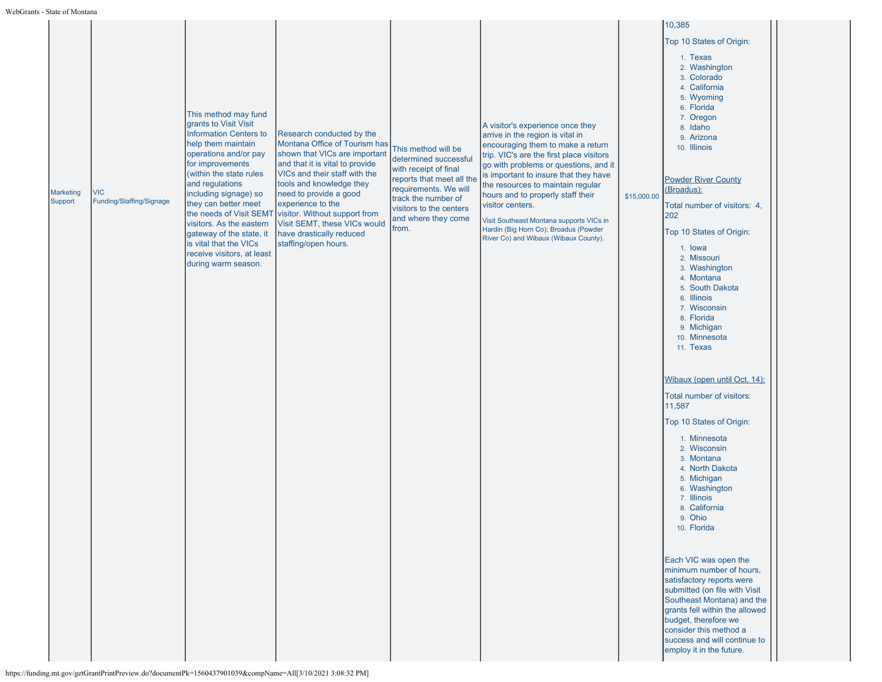|                      |                                        |                                                                                                                                                                                                                                                                                                                                                                                         |                                                                                                                                                                                                                                                                                                                                                                                         |                                                                                                                                                                                                               |                                                                                                                                                                                                                                                                                                                                                                                                                                                                     |             | 10,385                                                                                                                                                                                                                                                                                                                                                                                                                            |  |
|----------------------|----------------------------------------|-----------------------------------------------------------------------------------------------------------------------------------------------------------------------------------------------------------------------------------------------------------------------------------------------------------------------------------------------------------------------------------------|-----------------------------------------------------------------------------------------------------------------------------------------------------------------------------------------------------------------------------------------------------------------------------------------------------------------------------------------------------------------------------------------|---------------------------------------------------------------------------------------------------------------------------------------------------------------------------------------------------------------|---------------------------------------------------------------------------------------------------------------------------------------------------------------------------------------------------------------------------------------------------------------------------------------------------------------------------------------------------------------------------------------------------------------------------------------------------------------------|-------------|-----------------------------------------------------------------------------------------------------------------------------------------------------------------------------------------------------------------------------------------------------------------------------------------------------------------------------------------------------------------------------------------------------------------------------------|--|
|                      |                                        |                                                                                                                                                                                                                                                                                                                                                                                         |                                                                                                                                                                                                                                                                                                                                                                                         |                                                                                                                                                                                                               |                                                                                                                                                                                                                                                                                                                                                                                                                                                                     |             | Top 10 States of Origin:                                                                                                                                                                                                                                                                                                                                                                                                          |  |
| Marketing<br>Support | <b>VIC</b><br>Funding/Staffing/Signage | This method may fund<br>grants to Visit Visit<br><b>Information Centers to</b><br>help them maintain<br>operations and/or pay<br>for improvements<br>(within the state rules<br>and regulations<br>including signage) so<br>they can better meet<br>visitors. As the eastern<br>gateway of the state, it<br>is vital that the VICs<br>receive visitors, at least<br>during warm season. | Research conducted by the<br>Montana Office of Tourism has<br>shown that VICs are important<br>and that it is vital to provide<br>VICs and their staff with the<br>tools and knowledge they<br>need to provide a good<br>experience to the<br>the needs of Visit SEMT visitor. Without support from<br>Visit SEMT, these VICs would<br>have drastically reduced<br>staffing/open hours. | This method will be<br>determined successful<br>with receipt of final<br>reports that meet all the<br>requirements. We will<br>track the number of<br>visitors to the centers<br>and where they come<br>from. | A visitor's experience once they<br>arrive in the region is vital in<br>encouraging them to make a return<br>trip. VIC's are the first place visitors<br>go with problems or questions, and it<br>is important to insure that they have<br>the resources to maintain regular<br>hours and to properly staff their<br>visitor centers.<br>Visit Southeast Montana supports VICs in<br>Hardin (Big Horn Co); Broadus (Powder<br>River Co) and Wibaux (Wibaux County). | \$15,000.00 | 1. Texas<br>2. Washington<br>3. Colorado<br>4. California<br>5. Wyoming<br>6. Florida<br>7. Oregon<br>8. Idaho<br>9. Arizona<br>10. Illinois<br><b>Powder River County</b><br>(Broadus):<br>Total number of visitors: 4,<br>202<br>Top 10 States of Origin:<br>1. Iowa<br>2. Missouri<br>3. Washington<br>4. Montana<br>5. South Dakota<br>6. Illinois<br>7. Wisconsin<br>8. Florida<br>9. Michigan<br>10. Minnesota<br>11. Texas |  |
|                      |                                        |                                                                                                                                                                                                                                                                                                                                                                                         |                                                                                                                                                                                                                                                                                                                                                                                         |                                                                                                                                                                                                               |                                                                                                                                                                                                                                                                                                                                                                                                                                                                     |             | Wibaux (open until Oct. 14):<br>Total number of visitors:                                                                                                                                                                                                                                                                                                                                                                         |  |
|                      |                                        |                                                                                                                                                                                                                                                                                                                                                                                         |                                                                                                                                                                                                                                                                                                                                                                                         |                                                                                                                                                                                                               |                                                                                                                                                                                                                                                                                                                                                                                                                                                                     |             | 11,587                                                                                                                                                                                                                                                                                                                                                                                                                            |  |
|                      |                                        |                                                                                                                                                                                                                                                                                                                                                                                         |                                                                                                                                                                                                                                                                                                                                                                                         |                                                                                                                                                                                                               |                                                                                                                                                                                                                                                                                                                                                                                                                                                                     |             | Top 10 States of Origin:<br>1. Minnesota                                                                                                                                                                                                                                                                                                                                                                                          |  |
|                      |                                        |                                                                                                                                                                                                                                                                                                                                                                                         |                                                                                                                                                                                                                                                                                                                                                                                         |                                                                                                                                                                                                               |                                                                                                                                                                                                                                                                                                                                                                                                                                                                     |             | 2. Wisconsin<br>3. Montana<br>4. North Dakota<br>5. Michigan<br>6. Washington<br>7. Illinois<br>8. California<br>9. Ohio<br>10. Florida                                                                                                                                                                                                                                                                                           |  |
|                      |                                        |                                                                                                                                                                                                                                                                                                                                                                                         |                                                                                                                                                                                                                                                                                                                                                                                         |                                                                                                                                                                                                               |                                                                                                                                                                                                                                                                                                                                                                                                                                                                     |             | Each VIC was open the<br>minimum number of hours,<br>satisfactory reports were<br>submitted (on file with Visit<br>Southeast Montana) and the<br>grants fell within the allowed<br>budget, therefore we<br>consider this method a<br>success and will continue to<br>employ it in the future.                                                                                                                                     |  |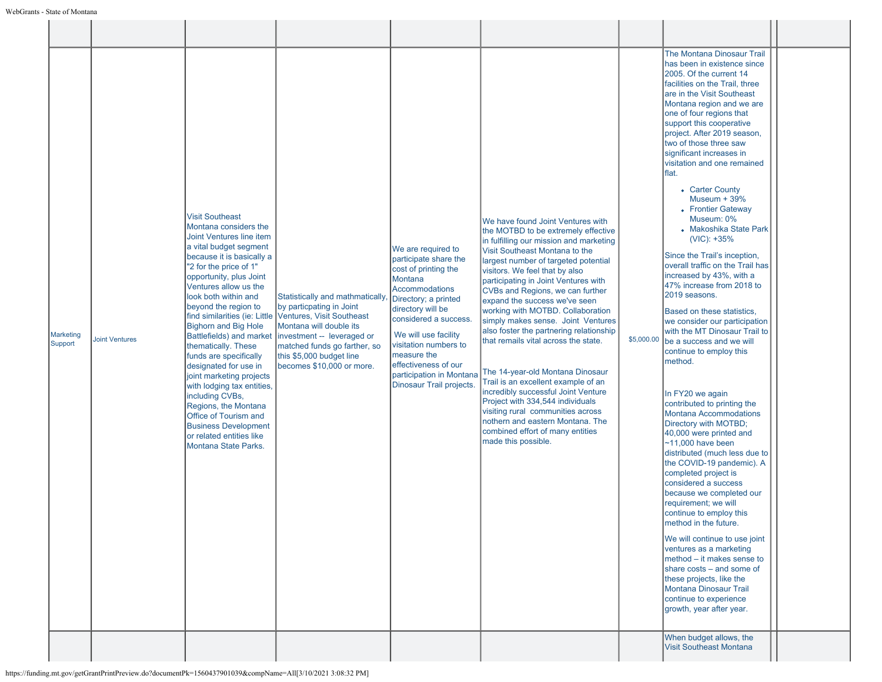| Marketing<br>Support | <b>Joint Ventures</b> | <b>Visit Southeast</b><br>Montana considers the<br>Joint Ventures line item<br>a vital budget segment<br>because it is basically a<br>"2 for the price of 1"<br>opportunity, plus Joint<br>Ventures allow us the<br>look both within and<br>beyond the region to<br>find similarities (ie: Little<br><b>Bighorn and Big Hole</b><br><b>Battlefields)</b> and market<br>thematically. These<br>funds are specifically<br>designated for use in<br>joint marketing projects<br>with lodging tax entities,<br>including CVBs,<br>Regions, the Montana<br>Office of Tourism and<br><b>Business Development</b><br>or related entities like<br><b>Montana State Parks.</b> | Statistically and mathmatically,<br>by particpating in Joint<br>Ventures, Visit Southeast<br>Montana will double its<br>investment -- leveraged or<br>matched funds go farther, so<br>this \$5,000 budget line<br>becomes \$10,000 or more. | We are required to<br>participate share the<br>cost of printing the<br>Montana<br><b>Accommodations</b><br>Directory; a printed<br>directory will be<br>considered a success.<br>We will use facility<br>visitation numbers to<br>measure the<br>effectiveness of our<br>participation in Montana<br>Dinosaur Trail projects. | We have found Joint Ventures with<br>the MOTBD to be extremely effective<br>in fulfilling our mission and marketing<br>Visit Southeast Montana to the<br>largest number of targeted potential<br>visitors. We feel that by also<br>participating in Joint Ventures with<br>CVBs and Regions, we can further<br>expand the success we've seen<br>working with MOTBD. Collaboration<br>simply makes sense. Joint Ventures<br>also foster the partnering relationship<br>that remails vital across the state.<br>The 14-year-old Montana Dinosaur<br>Trail is an excellent example of an<br>incredibly successful Joint Venture<br>Project with 334,544 individuals<br>visiting rural communities across<br>nothern and eastern Montana. The<br>combined effort of many entities<br>made this possible. | \$5,000.00 | The Montana Dinosaur Trail<br>has been in existence since<br>2005. Of the current 14<br>facilities on the Trail, three<br>are in the Visit Southeast<br>Montana region and we are<br>one of four regions that<br>support this cooperative<br>project. After 2019 season,<br>two of those three saw<br>significant increases in<br>visitation and one remained<br>lflat.<br>• Carter County<br>Museum $+39%$<br>• Frontier Gateway<br>Museum: 0%<br>• Makoshika State Park<br>$(VIC): +35\%$<br>Since the Trail's inception,<br>overall traffic on the Trail has<br>increased by 43%, with a<br>47% increase from 2018 to<br>2019 seasons.<br>Based on these statistics,<br>we consider our participation<br>with the MT Dinosaur Trail to<br>be a success and we will<br>continue to employ this<br>method.<br>In FY20 we again<br>contributed to printing the<br>Montana Accommodations<br>Directory with MOTBD;<br>40,000 were printed and<br>$~11,000$ have been<br>distributed (much less due to<br>the COVID-19 pandemic). A<br>completed project is<br>considered a success<br>because we completed our<br>requirement; we will<br>continue to employ this<br>method in the future.<br>We will continue to use joint<br>ventures as a marketing<br>method - it makes sense to<br>share costs - and some of<br>these projects, like the<br>Montana Dinosaur Trail<br>continue to experience<br>growth, year after year.<br>When budget allows, the |  |
|----------------------|-----------------------|-----------------------------------------------------------------------------------------------------------------------------------------------------------------------------------------------------------------------------------------------------------------------------------------------------------------------------------------------------------------------------------------------------------------------------------------------------------------------------------------------------------------------------------------------------------------------------------------------------------------------------------------------------------------------|---------------------------------------------------------------------------------------------------------------------------------------------------------------------------------------------------------------------------------------------|-------------------------------------------------------------------------------------------------------------------------------------------------------------------------------------------------------------------------------------------------------------------------------------------------------------------------------|------------------------------------------------------------------------------------------------------------------------------------------------------------------------------------------------------------------------------------------------------------------------------------------------------------------------------------------------------------------------------------------------------------------------------------------------------------------------------------------------------------------------------------------------------------------------------------------------------------------------------------------------------------------------------------------------------------------------------------------------------------------------------------------------------|------------|---------------------------------------------------------------------------------------------------------------------------------------------------------------------------------------------------------------------------------------------------------------------------------------------------------------------------------------------------------------------------------------------------------------------------------------------------------------------------------------------------------------------------------------------------------------------------------------------------------------------------------------------------------------------------------------------------------------------------------------------------------------------------------------------------------------------------------------------------------------------------------------------------------------------------------------------------------------------------------------------------------------------------------------------------------------------------------------------------------------------------------------------------------------------------------------------------------------------------------------------------------------------------------------------------------------------------------------------------------------------------------------------------------------------------------------------------------|--|
|                      |                       |                                                                                                                                                                                                                                                                                                                                                                                                                                                                                                                                                                                                                                                                       |                                                                                                                                                                                                                                             |                                                                                                                                                                                                                                                                                                                               |                                                                                                                                                                                                                                                                                                                                                                                                                                                                                                                                                                                                                                                                                                                                                                                                      |            | <b>Visit Southeast Montana</b>                                                                                                                                                                                                                                                                                                                                                                                                                                                                                                                                                                                                                                                                                                                                                                                                                                                                                                                                                                                                                                                                                                                                                                                                                                                                                                                                                                                                                          |  |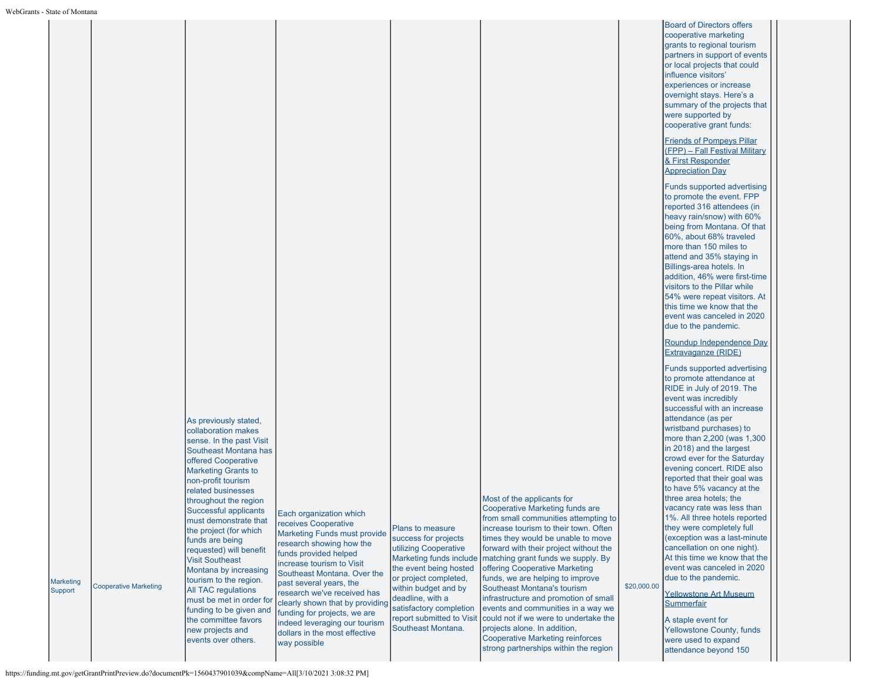| State of Montana            |                              |                                                                                                                                                                                                                            |                                                                                                                                                                                                                                    |                                                                                                                                                                         |                                                                                                                                                                                                                                                                                                                                             |             |                                                                                                                                                                                                                                                                                                                                                                                                                                                       |
|-----------------------------|------------------------------|----------------------------------------------------------------------------------------------------------------------------------------------------------------------------------------------------------------------------|------------------------------------------------------------------------------------------------------------------------------------------------------------------------------------------------------------------------------------|-------------------------------------------------------------------------------------------------------------------------------------------------------------------------|---------------------------------------------------------------------------------------------------------------------------------------------------------------------------------------------------------------------------------------------------------------------------------------------------------------------------------------------|-------------|-------------------------------------------------------------------------------------------------------------------------------------------------------------------------------------------------------------------------------------------------------------------------------------------------------------------------------------------------------------------------------------------------------------------------------------------------------|
|                             |                              |                                                                                                                                                                                                                            |                                                                                                                                                                                                                                    |                                                                                                                                                                         |                                                                                                                                                                                                                                                                                                                                             |             | <b>Board of Directors offers</b><br>cooperative marketing<br>grants to regional tourism<br>partners in support of events<br>or local projects that could<br>influence visitors'<br>experiences or increase<br>overnight stays. Here's a<br>summary of the projects that<br>were supported by<br>cooperative grant funds:                                                                                                                              |
|                             |                              |                                                                                                                                                                                                                            |                                                                                                                                                                                                                                    |                                                                                                                                                                         |                                                                                                                                                                                                                                                                                                                                             |             | <b>Friends of Pompeys Pillar</b><br>(FPP) - Fall Festival Military<br>& First Responder<br><b>Appreciation Day</b>                                                                                                                                                                                                                                                                                                                                    |
|                             |                              |                                                                                                                                                                                                                            |                                                                                                                                                                                                                                    |                                                                                                                                                                         |                                                                                                                                                                                                                                                                                                                                             |             | Funds supported advertising<br>to promote the event. FPP<br>reported 316 attendees (in<br>heavy rain/snow) with 60%<br>being from Montana. Of that<br>60%, about 68% traveled<br>more than 150 miles to<br>attend and 35% staying in<br>Billings-area hotels. In<br>addition, 46% were first-time<br>visitors to the Pillar while<br>54% were repeat visitors. At<br>this time we know that the<br>event was canceled in 2020<br>due to the pandemic. |
|                             |                              |                                                                                                                                                                                                                            |                                                                                                                                                                                                                                    |                                                                                                                                                                         |                                                                                                                                                                                                                                                                                                                                             |             | Roundup Independence Day<br><b>Extravaganze (RIDE)</b><br>Funds supported advertising                                                                                                                                                                                                                                                                                                                                                                 |
|                             |                              | As previously stated,<br>collaboration makes                                                                                                                                                                               |                                                                                                                                                                                                                                    |                                                                                                                                                                         |                                                                                                                                                                                                                                                                                                                                             |             | to promote attendance at<br>RIDE in July of 2019. The<br>event was incredibly<br>successful with an increase<br>attendance (as per<br>wristband purchases) to                                                                                                                                                                                                                                                                                         |
|                             |                              | sense. In the past Visit<br>Southeast Montana has<br>offered Cooperative<br><b>Marketing Grants to</b><br>non-profit tourism<br>related businesses<br>throughout the region                                                |                                                                                                                                                                                                                                    |                                                                                                                                                                         | Most of the applicants for                                                                                                                                                                                                                                                                                                                  |             | more than 2,200 (was 1,300<br>in 2018) and the largest<br>crowd ever for the Saturday<br>evening concert. RIDE also<br>reported that their goal was<br>to have 5% vacancy at the<br>three area hotels; the                                                                                                                                                                                                                                            |
| <b>Marketing</b><br>Support | <b>Cooperative Marketing</b> | Successful applicants<br>must demonstrate that<br>the project (for which<br>funds are being<br>requested) will benefit<br><b>Visit Southeast</b><br>Montana by increasing<br>tourism to the region.<br>All TAC regulations | Each organization which<br>receives Cooperative<br><b>Marketing Funds must provide</b><br>research showing how the<br>funds provided helped<br>increase tourism to Visit<br>Southeast Montana. Over the<br>past several years, the | Plans to measure<br>success for projects<br>utilizing Cooperative<br>Marketing funds include<br>the event being hosted<br>or project completed,<br>within budget and by | Cooperative Marketing funds are<br>from small communities attempting to<br>increase tourism to their town. Often<br>times they would be unable to move<br>forward with their project without the<br>matching grant funds we supply. By<br>offering Cooperative Marketing<br>funds, we are helping to improve<br>Southeast Montana's tourism | \$20,000.00 | vacancy rate was less than<br>1%. All three hotels reported<br>they were completely full<br>(exception was a last-minute<br>cancellation on one night).<br>At this time we know that the<br>event was canceled in 2020<br>due to the pandemic.                                                                                                                                                                                                        |
|                             |                              | must be met in order for<br>funding to be given and<br>the committee favors<br>new projects and<br>events over others.                                                                                                     | research we've received has<br>clearly shown that by providing<br>funding for projects, we are<br>indeed leveraging our tourism<br>dollars in the most effective<br>way possible                                                   | deadline, with a<br>satisfactory completion<br>report submitted to Visit<br>Southeast Montana.                                                                          | infrastructure and promotion of small<br>events and communities in a way we<br>could not if we were to undertake the<br>projects alone. In addition,<br><b>Cooperative Marketing reinforces</b><br>strong partnerships within the region                                                                                                    |             | <b>Yellowstone Art Museum</b><br>Summerfair<br>A staple event for<br>Yellowstone County, funds<br>were used to expand<br>attendance beyond 150                                                                                                                                                                                                                                                                                                        |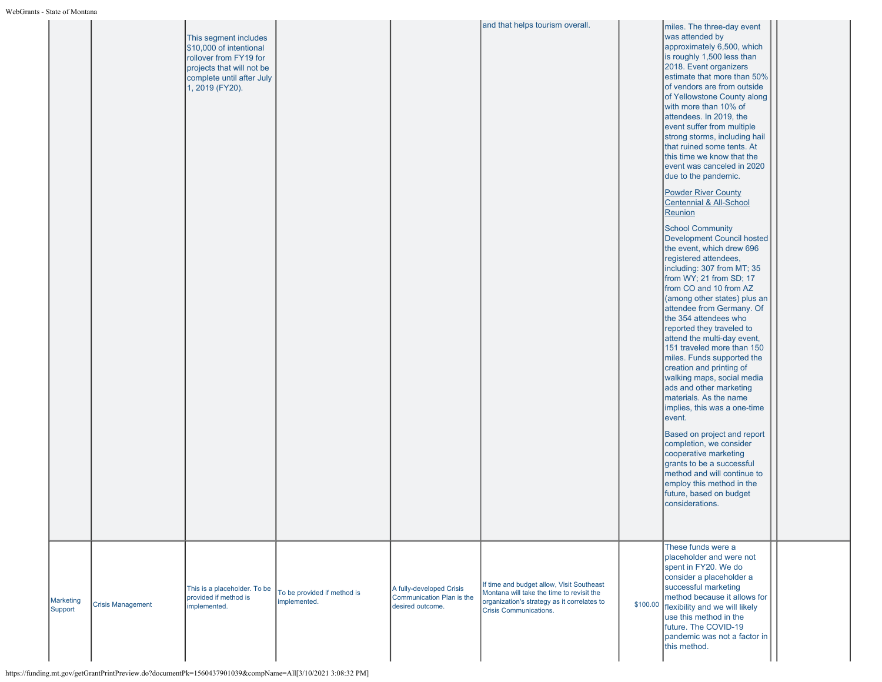|                             |                          | This segment includes<br>\$10,000 of intentional<br>rollover from FY19 for<br>projects that will not be<br>complete until after July<br>1, 2019 (FY20). |                                             |                                                                           | and that helps tourism overall.                                                                                                                                        | miles. The three-day event<br>was attended by<br>approximately 6,500, which<br>is roughly 1,500 less than<br>2018. Event organizers<br>estimate that more than 50%<br>of vendors are from outside<br>of Yellowstone County along<br>with more than 10% of<br>attendees. In 2019, the<br>event suffer from multiple<br>strong storms, including hail<br>that ruined some tents. At<br>this time we know that the<br>event was canceled in 2020<br>due to the pandemic.<br><b>Powder River County</b><br>Centennial & All-School<br>Reunion<br><b>School Community</b><br><b>Development Council hosted</b><br>the event, which drew 696<br>registered attendees,<br>including: 307 from MT; 35<br>from WY; 21 from SD; 17<br>from CO and 10 from AZ<br>(among other states) plus an<br>attendee from Germany. Of<br>the 354 attendees who<br>reported they traveled to<br>attend the multi-day event,<br>151 traveled more than 150<br>miles. Funds supported the<br>creation and printing of<br>walking maps, social media<br>ads and other marketing<br>materials. As the name<br>implies, this was a one-time<br>event.<br>Based on project and report<br>completion, we consider<br>cooperative marketing<br>grants to be a successful<br>method and will continue to<br>employ this method in the<br>future, based on budget<br>considerations. |  |
|-----------------------------|--------------------------|---------------------------------------------------------------------------------------------------------------------------------------------------------|---------------------------------------------|---------------------------------------------------------------------------|------------------------------------------------------------------------------------------------------------------------------------------------------------------------|-----------------------------------------------------------------------------------------------------------------------------------------------------------------------------------------------------------------------------------------------------------------------------------------------------------------------------------------------------------------------------------------------------------------------------------------------------------------------------------------------------------------------------------------------------------------------------------------------------------------------------------------------------------------------------------------------------------------------------------------------------------------------------------------------------------------------------------------------------------------------------------------------------------------------------------------------------------------------------------------------------------------------------------------------------------------------------------------------------------------------------------------------------------------------------------------------------------------------------------------------------------------------------------------------------------------------------------------------------|--|
| <b>Marketing</b><br>Support | <b>Crisis Management</b> | This is a placeholder. To be<br>provided if method is<br>implemented.                                                                                   | To be provided if method is<br>implemented. | A fully-developed Crisis<br>Communication Plan is the<br>desired outcome. | If time and budget allow, Visit Southeast<br>Montana will take the time to revisit the<br>organization's strategy as it correlates to<br><b>Crisis Communications.</b> | These funds were a<br>placeholder and were not<br>spent in FY20. We do<br>consider a placeholder a<br>successful marketing<br>method because it allows for<br>\$100.00 flexibility and we will likely<br>use this method in the<br>future. The COVID-19<br>pandemic was not a factor in<br>this method.                                                                                                                                                                                                                                                                                                                                                                                                                                                                                                                                                                                                                                                                                                                                                                                                                                                                                                                                                                                                                                             |  |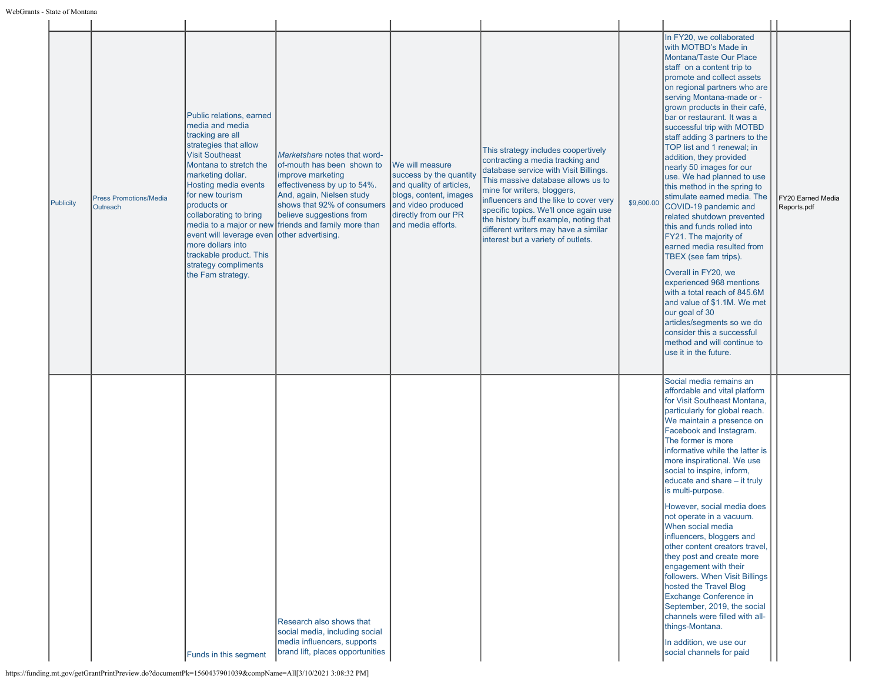| Publicity | <b>Press Promotions/Media</b><br>Outreach | Public relations, earned<br>media and media<br>tracking are all<br>strategies that allow<br><b>Visit Southeast</b><br>Montana to stretch the<br>marketing dollar.<br>Hosting media events<br>for new tourism<br>products or<br>collaborating to bring<br>event will leverage even other advertising.<br>more dollars into<br>trackable product. This<br>strategy compliments<br>the Fam strategy. | Marketshare notes that word-<br>of-mouth has been shown to<br>improve marketing<br>effectiveness by up to 54%.<br>And, again, Nielsen study<br>shows that 92% of consumers<br>believe suggestions from<br>media to a major or new friends and family more than | We will measure<br>success by the quantity<br>and quality of articles,<br>blogs, content, images<br>and video produced<br>directly from our PR<br>and media efforts. | This strategy includes coopertively<br>contracting a media tracking and<br>database service with Visit Billings.<br>This massive database allows us to<br>mine for writers, bloggers,<br>influencers and the like to cover very<br>specific topics. We'll once again use<br>the history buff example, noting that<br>different writers may have a similar<br>interest but a variety of outlets. | \$9,600.00 | In FY20, we collaborated<br>with MOTBD's Made in<br>Montana/Taste Our Place<br>staff on a content trip to<br>promote and collect assets<br>on regional partners who are<br>serving Montana-made or -<br>grown products in their café,<br>bar or restaurant. It was a<br>successful trip with MOTBD<br>staff adding 3 partners to the<br>TOP list and 1 renewal: in<br>addition, they provided<br>nearly 50 images for our<br>use. We had planned to use<br>this method in the spring to<br>stimulate earned media. The<br>COVID-19 pandemic and<br>related shutdown prevented<br>this and funds rolled into<br>FY21. The majority of<br>earned media resulted from<br>TBEX (see fam trips).<br>Overall in FY20, we<br>experienced 968 mentions<br>with a total reach of 845.6M<br>and value of \$1.1M. We met<br>our goal of 30<br>articles/segments so we do<br>consider this a successful<br>method and will continue to<br>use it in the future. | FY20 Earned Media<br>Reports.pdf |
|-----------|-------------------------------------------|---------------------------------------------------------------------------------------------------------------------------------------------------------------------------------------------------------------------------------------------------------------------------------------------------------------------------------------------------------------------------------------------------|----------------------------------------------------------------------------------------------------------------------------------------------------------------------------------------------------------------------------------------------------------------|----------------------------------------------------------------------------------------------------------------------------------------------------------------------|-------------------------------------------------------------------------------------------------------------------------------------------------------------------------------------------------------------------------------------------------------------------------------------------------------------------------------------------------------------------------------------------------|------------|-----------------------------------------------------------------------------------------------------------------------------------------------------------------------------------------------------------------------------------------------------------------------------------------------------------------------------------------------------------------------------------------------------------------------------------------------------------------------------------------------------------------------------------------------------------------------------------------------------------------------------------------------------------------------------------------------------------------------------------------------------------------------------------------------------------------------------------------------------------------------------------------------------------------------------------------------------|----------------------------------|
|           |                                           | Funds in this segment                                                                                                                                                                                                                                                                                                                                                                             | Research also shows that<br>social media, including social<br>media influencers, supports<br>brand lift, places opportunities                                                                                                                                  |                                                                                                                                                                      |                                                                                                                                                                                                                                                                                                                                                                                                 |            | Social media remains an<br>affordable and vital platform<br>for Visit Southeast Montana,<br>particularly for global reach.<br>We maintain a presence on<br>Facebook and Instagram.<br>The former is more<br>informative while the latter is<br>more inspirational. We use<br>social to inspire, inform,<br>educate and share - it truly<br>is multi-purpose.<br>However, social media does<br>not operate in a vacuum.<br>When social media<br>influencers, bloggers and<br>other content creators travel,<br>they post and create more<br>engagement with their<br>followers. When Visit Billings<br>hosted the Travel Blog<br>Exchange Conference in<br>September, 2019, the social<br>channels were filled with all-<br>things-Montana.<br>In addition, we use our<br>social channels for paid                                                                                                                                                   |                                  |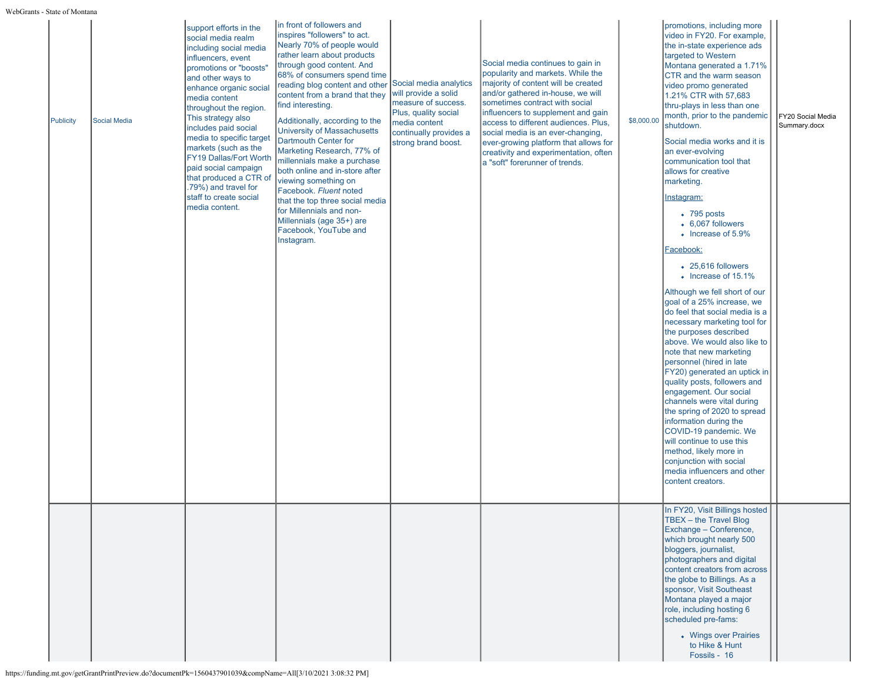| s - State of Montana |              |                                                                                                                                                                                                                                                                                                                                                                                                                                                                    |                                                                                                                                                                                                                                                                                                                                                                                                                                                                                                                                                                                                                                                                                        |                                                                                                                                       |                                                                                                                                                                                                                                                                                                                                                                                                                             |            |                                                                                                                                                                                                                                                                                                                                                                                                                                                                                                                                                                                                                                                                                                                                                                                                                                                                                                                                                                                                                                                                                                                                                                                               |                                   |
|----------------------|--------------|--------------------------------------------------------------------------------------------------------------------------------------------------------------------------------------------------------------------------------------------------------------------------------------------------------------------------------------------------------------------------------------------------------------------------------------------------------------------|----------------------------------------------------------------------------------------------------------------------------------------------------------------------------------------------------------------------------------------------------------------------------------------------------------------------------------------------------------------------------------------------------------------------------------------------------------------------------------------------------------------------------------------------------------------------------------------------------------------------------------------------------------------------------------------|---------------------------------------------------------------------------------------------------------------------------------------|-----------------------------------------------------------------------------------------------------------------------------------------------------------------------------------------------------------------------------------------------------------------------------------------------------------------------------------------------------------------------------------------------------------------------------|------------|-----------------------------------------------------------------------------------------------------------------------------------------------------------------------------------------------------------------------------------------------------------------------------------------------------------------------------------------------------------------------------------------------------------------------------------------------------------------------------------------------------------------------------------------------------------------------------------------------------------------------------------------------------------------------------------------------------------------------------------------------------------------------------------------------------------------------------------------------------------------------------------------------------------------------------------------------------------------------------------------------------------------------------------------------------------------------------------------------------------------------------------------------------------------------------------------------|-----------------------------------|
| <b>Publicity</b>     | Social Media | support efforts in the<br>social media realm<br>including social media<br>influencers, event<br>promotions or "boosts"<br>and other ways to<br>enhance organic social<br>media content<br>throughout the region.<br>This strategy also<br>includes paid social<br>media to specific target<br>markets (such as the<br>FY19 Dallas/Fort Worth<br>paid social campaign<br>that produced a CTR of<br>.79%) and travel for<br>staff to create social<br>media content. | in front of followers and<br>inspires "followers" to act.<br>Nearly 70% of people would<br>rather learn about products<br>through good content. And<br>68% of consumers spend time<br>reading blog content and other Social media analytics<br>content from a brand that they<br>find interesting.<br>Additionally, according to the<br>University of Massachusetts<br><b>Dartmouth Center for</b><br>Marketing Research, 77% of<br>millennials make a purchase<br>both online and in-store after<br>viewing something on<br>Facebook. Fluent noted<br>that the top three social media<br>for Millennials and non-<br>Millennials (age 35+) are<br>Facebook, YouTube and<br>Instagram. | will provide a solid<br>measure of success.<br>Plus, quality social<br>media content<br>continually provides a<br>strong brand boost. | Social media continues to gain in<br>popularity and markets. While the<br>majority of content will be created<br>and/or gathered in-house, we will<br>sometimes contract with social<br>influencers to supplement and gain<br>access to different audiences. Plus,<br>social media is an ever-changing,<br>ever-growing platform that allows for<br>creativity and experimentation, often<br>a "soft" forerunner of trends. | \$8,000.00 | promotions, including more<br>video in FY20. For example,<br>the in-state experience ads<br>targeted to Western<br>Montana generated a 1.71%<br>CTR and the warm season<br>video promo generated<br>1.21% CTR with 57,683<br>thru-plays in less than one<br>month, prior to the pandemic<br>shutdown.<br>Social media works and it is<br>an ever-evolving<br>communication tool that<br>allows for creative<br>marketing.<br><u>Instagram:</u><br>$\bullet$ 795 posts<br>$\bullet$ 6,067 followers<br>• Increase of 5.9%<br>Facebook:<br>$\bullet$ 25,616 followers<br>• Increase of 15.1%<br>Although we fell short of our<br>goal of a 25% increase, we<br>do feel that social media is a<br>necessary marketing tool for<br>the purposes described<br>above. We would also like to<br>note that new marketing<br>personnel (hired in late<br>FY20) generated an uptick in<br>quality posts, followers and<br>engagement. Our social<br>channels were vital during<br>the spring of 2020 to spread<br>information during the<br>COVID-19 pandemic. We<br>will continue to use this<br>method, likely more in<br>conjunction with social<br>media influencers and other<br>content creators. | FY20 Social Media<br>Summary.docx |
|                      |              |                                                                                                                                                                                                                                                                                                                                                                                                                                                                    |                                                                                                                                                                                                                                                                                                                                                                                                                                                                                                                                                                                                                                                                                        |                                                                                                                                       |                                                                                                                                                                                                                                                                                                                                                                                                                             |            | In FY20, Visit Billings hosted<br>TBEX - the Travel Blog<br>Exchange - Conference,<br>which brought nearly 500<br>bloggers, journalist,<br>photographers and digital<br>content creators from across<br>the globe to Billings. As a<br>sponsor, Visit Southeast<br>Montana played a major<br>role, including hosting 6<br>scheduled pre-fams:<br>• Wings over Prairies<br>to Hike & Hunt<br>Fossils - 16                                                                                                                                                                                                                                                                                                                                                                                                                                                                                                                                                                                                                                                                                                                                                                                      |                                   |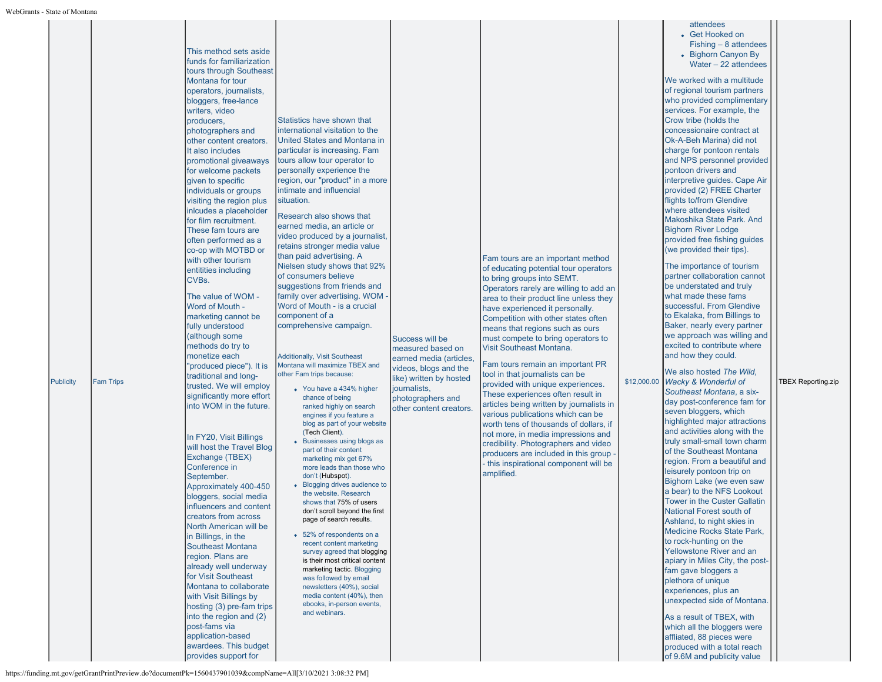| <b>Publicity</b> | <b>Fam Trips</b> | This method sets aside<br>funds for familiarization<br>tours through Southeast<br>Montana for tour<br>operators, journalists,<br>bloggers, free-lance<br>writers, video<br>producers,<br>photographers and<br>other content creators.<br>It also includes<br>promotional giveaways<br>for welcome packets<br>given to specific<br>individuals or groups<br>visiting the region plus<br>inlcudes a placeholder<br>for film recruitment.<br>These fam tours are<br>often performed as a<br>co-op with MOTBD or<br>with other tourism<br>entitities including<br>CVBs.<br>The value of WOM -<br>Word of Mouth -<br>marketing cannot be<br>fully understood<br>although some<br>methods do try to<br>monetize each<br>'produced piece"). It is<br>traditional and long-<br>trusted. We will employ<br>significantly more effort<br>into WOM in the future.<br>In FY20, Visit Billings<br>will host the Travel Blog<br>Exchange (TBEX)<br>Conference in<br>September.<br>Approximately 400-450<br>bloggers, social media<br>influencers and content<br>creators from across<br>North American will be<br>in Billings, in the<br><b>Southeast Montana</b><br>region. Plans are<br>already well underway<br>for Visit Southeast<br>Montana to collaborate<br>with Visit Billings by<br>hosting (3) pre-fam trips<br>into the region and (2)<br>post-fams via<br>application-based<br>awardees. This budget<br>provides support for | Statistics have shown that<br>international visitation to the<br>United States and Montana in<br>particular is increasing. Fam<br>tours allow tour operator to<br>personally experience the<br>region, our "product" in a more<br>intimate and influencial<br>situation.<br>Research also shows that<br>earned media, an article or<br>video produced by a journalist,<br>retains stronger media value<br>than paid advertising. A<br>Nielsen study shows that 92%<br>of consumers believe<br>suggestions from friends and<br>family over advertising. WOM -<br>Word of Mouth - is a crucial<br>component of a<br>comprehensive campaign.<br><b>Additionally, Visit Southeast</b><br>Montana will maximize TBEX and<br>other Fam trips because:<br>• You have a 434% higher<br>chance of being<br>ranked highly on search<br>engines if you feature a<br>blog as part of your website<br>(Tech Client).<br>• Businesses using blogs as<br>part of their content<br>marketing mix get 67%<br>more leads than those who<br>don't (Hubspot).<br>• Blogging drives audience to<br>the website. Research<br>shows that 75% of users<br>don't scroll beyond the first<br>page of search results.<br>• 52% of respondents on a<br>recent content marketing<br>survey agreed that blogging<br>is their most critical content<br>marketing tactic. Blogging<br>was followed by email<br>newsletters (40%), social<br>media content (40%), then<br>ebooks, in-person events,<br>and webinars. | Success will be<br>measured based on<br>earned media (articles,<br>videos, blogs and the<br>like) written by hosted<br>journalists,<br>photographers and<br>other content creators. | Fam tours are an important method<br>of educating potential tour operators<br>to bring groups into SEMT.<br>Operators rarely are willing to add an<br>area to their product line unless they<br>have experienced it personally.<br>Competition with other states often<br>means that regions such as ours<br>must compete to bring operators to<br>Visit Southeast Montana.<br>Fam tours remain an important PR<br>tool in that journalists can be<br>provided with unique experiences.<br>These experiences often result in<br>articles being written by journalists in<br>various publications which can be<br>worth tens of thousands of dollars, if<br>not more, in media impressions and<br>credibility. Photographers and video<br>producers are included in this group<br>- this inspirational component will be<br>amplified. | \$12,000.00 | • Get Hooked on<br>Fishing - 8 attendees<br>• Bighorn Canyon By<br>Water $-22$ attendees<br>We worked with a multitude<br>of regional tourism partners<br>who provided complimentary<br>services. For example, the<br>Crow tribe (holds the<br>concessionaire contract at<br>Ok-A-Beh Marina) did not<br>charge for pontoon rentals<br>and NPS personnel provided<br>pontoon drivers and<br>interpretive guides. Cape Air<br>provided (2) FREE Charter<br>flights to/from Glendive<br>where attendees visited<br>Makoshika State Park. And<br><b>Bighorn River Lodge</b><br>provided free fishing quides<br>(we provided their tips).<br>The importance of tourism<br>partner collaboration cannot<br>be understated and truly<br>what made these fams<br>successful. From Glendive<br>to Ekalaka, from Billings to<br>Baker, nearly every partner<br>we approach was willing and<br>excited to contribute where<br>and how they could.<br>We also hosted The Wild,<br>Wacky & Wonderful of<br>Southeast Montana, a six-<br>day post-conference fam for<br>seven bloggers, which<br>highlighted major attractions<br>and activities along with the<br>truly small-small town charm<br>of the Southeast Montana<br>region. From a beautiful and<br>leisurely pontoon trip on<br>Bighorn Lake (we even saw<br>a bear) to the NFS Lookout<br><b>Tower in the Custer Gallatin</b><br>National Forest south of<br>Ashland, to night skies in<br>Medicine Rocks State Park,<br>to rock-hunting on the<br>Yellowstone River and an<br>apiary in Miles City, the post-<br>fam gave bloggers a<br>plethora of unique<br>experiences, plus an<br>unexpected side of Montana.<br>As a result of TBEX, with<br>which all the bloggers were<br>affliated, 88 pieces were<br>produced with a total reach<br>of 9.6M and publicity value | <b>TBEX Reporting.zip</b> |
|------------------|------------------|-----------------------------------------------------------------------------------------------------------------------------------------------------------------------------------------------------------------------------------------------------------------------------------------------------------------------------------------------------------------------------------------------------------------------------------------------------------------------------------------------------------------------------------------------------------------------------------------------------------------------------------------------------------------------------------------------------------------------------------------------------------------------------------------------------------------------------------------------------------------------------------------------------------------------------------------------------------------------------------------------------------------------------------------------------------------------------------------------------------------------------------------------------------------------------------------------------------------------------------------------------------------------------------------------------------------------------------------------------------------------------------------------------------------------------|-------------------------------------------------------------------------------------------------------------------------------------------------------------------------------------------------------------------------------------------------------------------------------------------------------------------------------------------------------------------------------------------------------------------------------------------------------------------------------------------------------------------------------------------------------------------------------------------------------------------------------------------------------------------------------------------------------------------------------------------------------------------------------------------------------------------------------------------------------------------------------------------------------------------------------------------------------------------------------------------------------------------------------------------------------------------------------------------------------------------------------------------------------------------------------------------------------------------------------------------------------------------------------------------------------------------------------------------------------------------------------------------------------------------------------------------------------------------------------------|-------------------------------------------------------------------------------------------------------------------------------------------------------------------------------------|---------------------------------------------------------------------------------------------------------------------------------------------------------------------------------------------------------------------------------------------------------------------------------------------------------------------------------------------------------------------------------------------------------------------------------------------------------------------------------------------------------------------------------------------------------------------------------------------------------------------------------------------------------------------------------------------------------------------------------------------------------------------------------------------------------------------------------------|-------------|---------------------------------------------------------------------------------------------------------------------------------------------------------------------------------------------------------------------------------------------------------------------------------------------------------------------------------------------------------------------------------------------------------------------------------------------------------------------------------------------------------------------------------------------------------------------------------------------------------------------------------------------------------------------------------------------------------------------------------------------------------------------------------------------------------------------------------------------------------------------------------------------------------------------------------------------------------------------------------------------------------------------------------------------------------------------------------------------------------------------------------------------------------------------------------------------------------------------------------------------------------------------------------------------------------------------------------------------------------------------------------------------------------------------------------------------------------------------------------------------------------------------------------------------------------------------------------------------------------------------------------------------------------------------------------------------------------------------------------------------------------------------------------------------------------------------------|---------------------------|
|------------------|------------------|-----------------------------------------------------------------------------------------------------------------------------------------------------------------------------------------------------------------------------------------------------------------------------------------------------------------------------------------------------------------------------------------------------------------------------------------------------------------------------------------------------------------------------------------------------------------------------------------------------------------------------------------------------------------------------------------------------------------------------------------------------------------------------------------------------------------------------------------------------------------------------------------------------------------------------------------------------------------------------------------------------------------------------------------------------------------------------------------------------------------------------------------------------------------------------------------------------------------------------------------------------------------------------------------------------------------------------------------------------------------------------------------------------------------------------|-------------------------------------------------------------------------------------------------------------------------------------------------------------------------------------------------------------------------------------------------------------------------------------------------------------------------------------------------------------------------------------------------------------------------------------------------------------------------------------------------------------------------------------------------------------------------------------------------------------------------------------------------------------------------------------------------------------------------------------------------------------------------------------------------------------------------------------------------------------------------------------------------------------------------------------------------------------------------------------------------------------------------------------------------------------------------------------------------------------------------------------------------------------------------------------------------------------------------------------------------------------------------------------------------------------------------------------------------------------------------------------------------------------------------------------------------------------------------------------|-------------------------------------------------------------------------------------------------------------------------------------------------------------------------------------|---------------------------------------------------------------------------------------------------------------------------------------------------------------------------------------------------------------------------------------------------------------------------------------------------------------------------------------------------------------------------------------------------------------------------------------------------------------------------------------------------------------------------------------------------------------------------------------------------------------------------------------------------------------------------------------------------------------------------------------------------------------------------------------------------------------------------------------|-------------|---------------------------------------------------------------------------------------------------------------------------------------------------------------------------------------------------------------------------------------------------------------------------------------------------------------------------------------------------------------------------------------------------------------------------------------------------------------------------------------------------------------------------------------------------------------------------------------------------------------------------------------------------------------------------------------------------------------------------------------------------------------------------------------------------------------------------------------------------------------------------------------------------------------------------------------------------------------------------------------------------------------------------------------------------------------------------------------------------------------------------------------------------------------------------------------------------------------------------------------------------------------------------------------------------------------------------------------------------------------------------------------------------------------------------------------------------------------------------------------------------------------------------------------------------------------------------------------------------------------------------------------------------------------------------------------------------------------------------------------------------------------------------------------------------------------------------|---------------------------|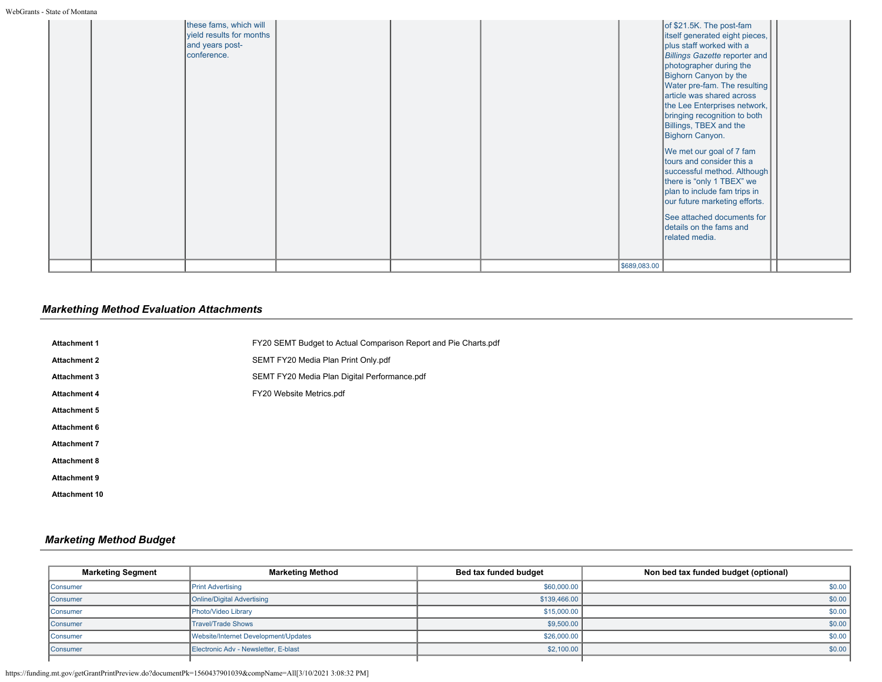|  | these fams, which will<br>yield results for months<br>and years post-<br>conference. |  |              | of \$21.5K. The post-fam<br>litself generated eight pieces,<br>plus staff worked with a<br>Billings Gazette reporter and<br>photographer during the<br>Bighorn Canyon by the<br>Water pre-fam. The resulting<br>article was shared across<br>the Lee Enterprises network,<br>bringing recognition to both<br>Billings, TBEX and the<br>Bighorn Canyon.<br>We met our goal of 7 fam<br>tours and consider this a<br>successful method. Although<br>there is "only 1 TBEX" we<br>plan to include fam trips in<br>our future marketing efforts.<br>See attached documents for<br>details on the fams and<br>related media. |  |
|--|--------------------------------------------------------------------------------------|--|--------------|-------------------------------------------------------------------------------------------------------------------------------------------------------------------------------------------------------------------------------------------------------------------------------------------------------------------------------------------------------------------------------------------------------------------------------------------------------------------------------------------------------------------------------------------------------------------------------------------------------------------------|--|
|  |                                                                                      |  | \$689,083.00 |                                                                                                                                                                                                                                                                                                                                                                                                                                                                                                                                                                                                                         |  |

# *Markething Method Evaluation Attachments*

| <b>Attachment 1</b>  | FY20 SEMT Budget to Actual Comparison Report and Pie Charts.pdf |
|----------------------|-----------------------------------------------------------------|
| <b>Attachment 2</b>  | SEMT FY20 Media Plan Print Only.pdf                             |
| <b>Attachment 3</b>  | SEMT FY20 Media Plan Digital Performance.pdf                    |
| <b>Attachment 4</b>  | FY20 Website Metrics.pdf                                        |
| <b>Attachment 5</b>  |                                                                 |
| <b>Attachment 6</b>  |                                                                 |
| <b>Attachment 7</b>  |                                                                 |
| <b>Attachment 8</b>  |                                                                 |
| <b>Attachment 9</b>  |                                                                 |
| <b>Attachment 10</b> |                                                                 |
|                      |                                                                 |

# *Marketing Method Budget*

| <b>Marketing Segment</b> | <b>Marketing Method</b>              | Bed tax funded budget | Non bed tax funded budget (optional) |
|--------------------------|--------------------------------------|-----------------------|--------------------------------------|
| <b>Consumer</b>          | <b>Print Advertising</b>             | \$60,000.00           | \$0.00                               |
| <b>Consumer</b>          | <b>Online/Digital Advertising</b>    | \$139,466.00          | \$0.00                               |
| Consumer                 | Photo/Video Library                  | \$15,000.00           | \$0.00                               |
| Consumer                 | <b>Travel/Trade Shows</b>            | \$9,500.00            | \$0.00                               |
| Consumer                 | Website/Internet Development/Updates | \$26,000.00           | \$0.00                               |
| <b>Consumer</b>          | Electronic Adv - Newsletter, E-blast | \$2,100.00            | \$0.00                               |
|                          |                                      |                       |                                      |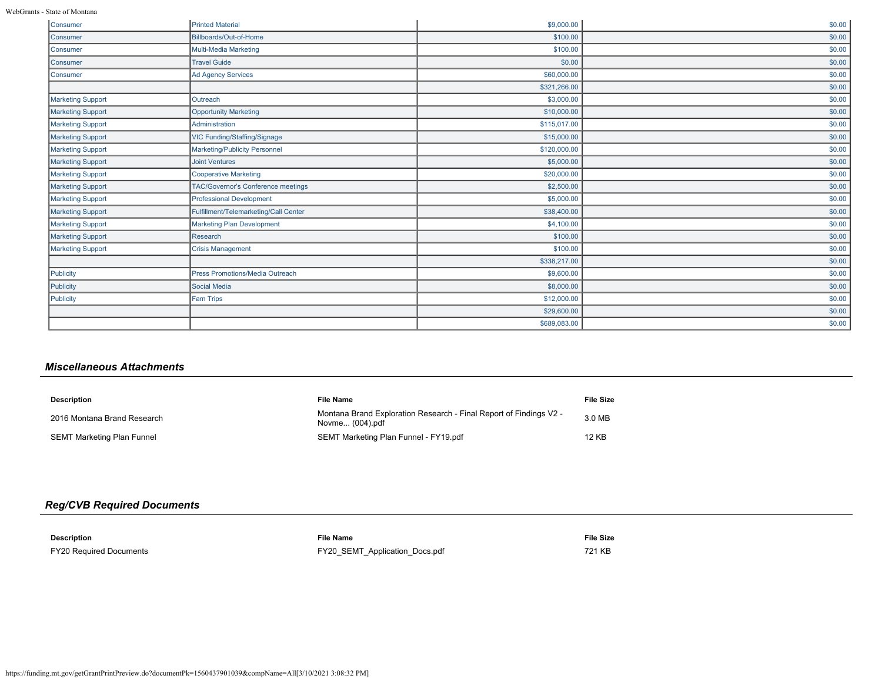WebGrants - State of Montana

| Consumer                 | <b>Printed Material</b>                   | \$9,000.00   | \$0.00 |
|--------------------------|-------------------------------------------|--------------|--------|
| Consumer                 | Billboards/Out-of-Home                    | \$100.00     | \$0.00 |
| Consumer                 | <b>Multi-Media Marketing</b>              | \$100.00     | \$0.00 |
| Consumer                 | <b>Travel Guide</b>                       | \$0.00       | \$0.00 |
| Consumer                 | Ad Agency Services                        | \$60,000.00  | \$0.00 |
|                          |                                           | \$321,266.00 | \$0.00 |
| <b>Marketing Support</b> | Outreach                                  | \$3,000.00   | \$0.00 |
| <b>Marketing Support</b> | <b>Opportunity Marketing</b>              | \$10,000.00  | \$0.00 |
| Marketing Support        | Administration                            | \$115,017.00 | \$0.00 |
| <b>Marketing Support</b> | <b>VIC Funding/Staffing/Signage</b>       | \$15,000.00  | \$0.00 |
| <b>Marketing Support</b> | <b>Marketing/Publicity Personnel</b>      | \$120,000.00 | \$0.00 |
| Marketing Support        | <b>Joint Ventures</b>                     | \$5,000.00   | \$0.00 |
| Marketing Support        | <b>Cooperative Marketing</b>              | \$20,000.00  | \$0.00 |
| Marketing Support        | <b>TAC/Governor's Conference meetings</b> | \$2,500.00   | \$0.00 |
| Marketing Support        | <b>Professional Development</b>           | \$5,000.00   | \$0.00 |
| <b>Marketing Support</b> | Fulfillment/Telemarketing/Call Center     | \$38,400.00  | \$0.00 |
| <b>Marketing Support</b> | <b>Marketing Plan Development</b>         | \$4,100.00   | \$0.00 |
| <b>Marketing Support</b> | Research                                  | \$100.00     | \$0.00 |
| Marketing Support        | <b>Crisis Management</b>                  | \$100.00     | \$0.00 |
|                          |                                           | \$338,217.00 | \$0.00 |
| Publicity                | Press Promotions/Media Outreach           | \$9,600.00   | \$0.00 |
| Publicity                | Social Media                              | \$8,000.00   | \$0.00 |
| Publicity                | <b>Fam Trips</b>                          | \$12,000.00  | \$0.00 |
|                          |                                           | \$29,600.00  | \$0.00 |
|                          |                                           | \$689,083.00 | \$0.00 |

# *Miscellaneous Attachments*

| <b>Description</b>          | <b>File Name</b>                                                                      | <b>File Size</b> |
|-----------------------------|---------------------------------------------------------------------------------------|------------------|
| 2016 Montana Brand Research | Montana Brand Exploration Research - Final Report of Findings V2 -<br>Novme (004).pdf | 3.0 MB           |
| SEMT Marketing Plan Funnel  | SEMT Marketing Plan Funnel - FY19.pdf                                                 | 12 KB            |

# *Reg/CVB Required Documents*

| Description                    | <b>File Name</b>               | <b>File Size</b> |
|--------------------------------|--------------------------------|------------------|
| <b>FY20 Required Documents</b> | FY20_SEMT_Application_Docs.pdf | 721 KB           |